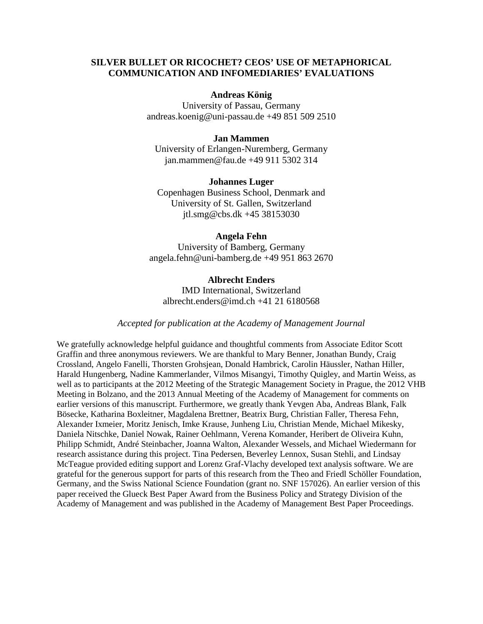# **SILVER BULLET OR RICOCHET? CEOS' USE OF METAPHORICAL COMMUNICATION AND INFOMEDIARIES' EVALUATIONS**

#### **Andreas König**

University of Passau, Germany andreas.koenig@uni-passau.de +49 851 509 2510

# **Jan Mammen**

University of Erlangen-Nuremberg, Germany jan.mammen@fau.de +49 911 5302 314

#### **Johannes Luger**

Copenhagen Business School, Denmark and University of St. Gallen, Switzerland [jtl.smg@cbs.dk](mailto:jtl.smg@cbs.dk) +45 38153030

#### **Angela Fehn**

University of Bamberg, Germany angela.fehn@uni-bamberg.de +49 951 863 2670

### **Albrecht Enders**

IMD International, Switzerland albrecht.enders@imd.ch +41 21 6180568

# *Accepted for publication at the Academy of Management Journal*

We gratefully acknowledge helpful guidance and thoughtful comments from Associate Editor Scott Graffin and three anonymous reviewers. We are thankful to Mary Benner, Jonathan Bundy, Craig Crossland, Angelo Fanelli, Thorsten Grohsjean, Donald Hambrick, Carolin Häussler, Nathan Hiller, Harald Hungenberg, Nadine Kammerlander, Vilmos Misangyi, Timothy Quigley, and Martin Weiss, as well as to participants at the 2012 Meeting of the Strategic Management Society in Prague, the 2012 VHB Meeting in Bolzano, and the 2013 Annual Meeting of the Academy of Management for comments on earlier versions of this manuscript. Furthermore, we greatly thank Yevgen Aba, Andreas Blank, Falk Bösecke, Katharina Boxleitner, Magdalena Brettner, Beatrix Burg, Christian Faller, Theresa Fehn, Alexander Ixmeier, Moritz Jenisch, Imke Krause, Junheng Liu, Christian Mende, Michael Mikesky, Daniela Nitschke, Daniel Nowak, Rainer Oehlmann, Verena Komander, Heribert de Oliveira Kuhn, Philipp Schmidt, André Steinbacher, Joanna Walton, Alexander Wessels, and Michael Wiedermann for research assistance during this project. Tina Pedersen, Beverley Lennox, Susan Stehli, and Lindsay McTeague provided editing support and Lorenz Graf-Vlachy developed text analysis software. We are grateful for the generous support for parts of this research from the Theo and Friedl Schöller Foundation, Germany, and the Swiss National Science Foundation (grant no. SNF 157026). An earlier version of this paper received the Glueck Best Paper Award from the Business Policy and Strategy Division of the Academy of Management and was published in the Academy of Management Best Paper Proceedings.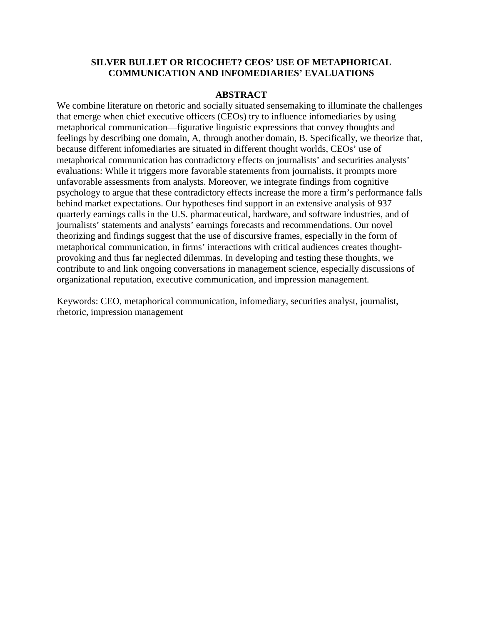# **SILVER BULLET OR RICOCHET? CEOS' USE OF METAPHORICAL COMMUNICATION AND INFOMEDIARIES' EVALUATIONS**

### **ABSTRACT**

We combine literature on rhetoric and socially situated sensemaking to illuminate the challenges that emerge when chief executive officers (CEOs) try to influence infomediaries by using metaphorical communication—figurative linguistic expressions that convey thoughts and feelings by describing one domain, A, through another domain, B. Specifically, we theorize that, because different infomediaries are situated in different thought worlds, CEOs' use of metaphorical communication has contradictory effects on journalists' and securities analysts' evaluations: While it triggers more favorable statements from journalists, it prompts more unfavorable assessments from analysts. Moreover, we integrate findings from cognitive psychology to argue that these contradictory effects increase the more a firm's performance falls behind market expectations. Our hypotheses find support in an extensive analysis of 937 quarterly earnings calls in the U.S. pharmaceutical, hardware, and software industries, and of journalists' statements and analysts' earnings forecasts and recommendations. Our novel theorizing and findings suggest that the use of discursive frames, especially in the form of metaphorical communication, in firms' interactions with critical audiences creates thoughtprovoking and thus far neglected dilemmas. In developing and testing these thoughts, we contribute to and link ongoing conversations in management science, especially discussions of organizational reputation, executive communication, and impression management.

Keywords: CEO, metaphorical communication, infomediary, securities analyst, journalist, rhetoric, impression management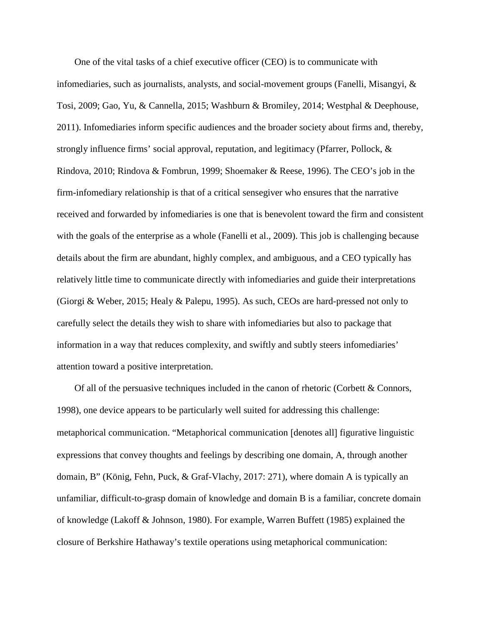One of the vital tasks of a chief executive officer (CEO) is to communicate with infomediaries, such as journalists, analysts, and social-movement groups (Fanelli, Misangyi, & Tosi, 2009; Gao, Yu, & Cannella, 2015; Washburn & Bromiley, 2014; Westphal & Deephouse, 2011). Infomediaries inform specific audiences and the broader society about firms and, thereby, strongly influence firms' social approval, reputation, and legitimacy (Pfarrer, Pollock, & Rindova, 2010; Rindova & Fombrun, 1999; Shoemaker & Reese, 1996). The CEO's job in the firm-infomediary relationship is that of a critical sensegiver who ensures that the narrative received and forwarded by infomediaries is one that is benevolent toward the firm and consistent with the goals of the enterprise as a whole (Fanelli et al., 2009). This job is challenging because details about the firm are abundant, highly complex, and ambiguous, and a CEO typically has relatively little time to communicate directly with infomediaries and guide their interpretations (Giorgi & Weber, 2015; Healy & Palepu, 1995). As such, CEOs are hard-pressed not only to carefully select the details they wish to share with infomediaries but also to package that information in a way that reduces complexity, and swiftly and subtly steers infomediaries' attention toward a positive interpretation.

Of all of the persuasive techniques included in the canon of rhetoric (Corbett & Connors, 1998), one device appears to be particularly well suited for addressing this challenge: metaphorical communication. "Metaphorical communication [denotes all] figurative linguistic expressions that convey thoughts and feelings by describing one domain, A, through another domain, B" (König, Fehn, Puck, & Graf-Vlachy, 2017: 271), where domain A is typically an unfamiliar, difficult-to-grasp domain of knowledge and domain B is a familiar, concrete domain of knowledge (Lakoff & Johnson, 1980). For example, Warren Buffett (1985) explained the closure of Berkshire Hathaway's textile operations using metaphorical communication: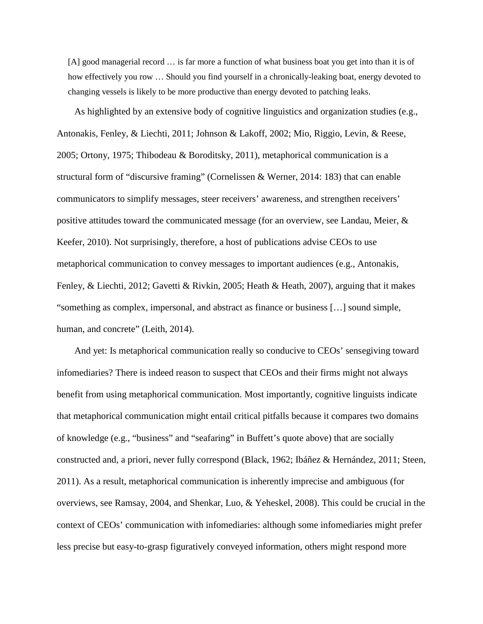[A] good managerial record ... is far more a function of what business boat you get into than it is of how effectively you row … Should you find yourself in a chronically-leaking boat, energy devoted to changing vessels is likely to be more productive than energy devoted to patching leaks.

As highlighted by an extensive body of cognitive linguistics and organization studies (e.g., Antonakis, Fenley, & Liechti, 2011; Johnson & Lakoff, 2002; Mio, Riggio, Levin, & Reese, 2005; Ortony, 1975; Thibodeau & Boroditsky, 2011), metaphorical communication is a structural form of "discursive framing" (Cornelissen & Werner, 2014: 183) that can enable communicators to simplify messages, steer receivers' awareness, and strengthen receivers' positive attitudes toward the communicated message (for an overview, see Landau, Meier, & Keefer, 2010). Not surprisingly, therefore, a host of publications advise CEOs to use metaphorical communication to convey messages to important audiences (e.g., Antonakis, Fenley, & Liechti, 2012; Gavetti & Rivkin, 2005; Heath & Heath, 2007), arguing that it makes "something as complex, impersonal, and abstract as finance or business […] sound simple, human, and concrete" (Leith, 2014).

And yet: Is metaphorical communication really so conducive to CEOs' sensegiving toward infomediaries? There is indeed reason to suspect that CEOs and their firms might not always benefit from using metaphorical communication. Most importantly, cognitive linguists indicate that metaphorical communication might entail critical pitfalls because it compares two domains of knowledge (e.g., "business" and "seafaring" in Buffett's quote above) that are socially constructed and, a priori, never fully correspond (Black, 1962; Ibáñez & Hernández, 2011; Steen, 2011). As a result, metaphorical communication is inherently imprecise and ambiguous (for overviews, see Ramsay, 2004, and Shenkar, Luo, & Yeheskel, 2008). This could be crucial in the context of CEOs' communication with infomediaries: although some infomediaries might prefer less precise but easy-to-grasp figuratively conveyed information, others might respond more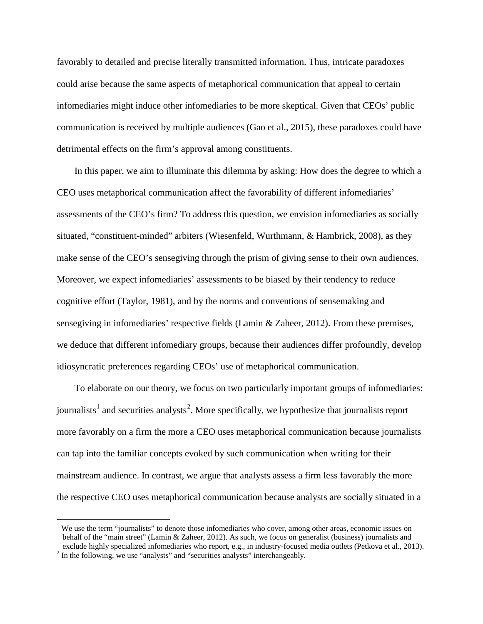favorably to detailed and precise literally transmitted information. Thus, intricate paradoxes could arise because the same aspects of metaphorical communication that appeal to certain infomediaries might induce other infomediaries to be more skeptical. Given that CEOs' public communication is received by multiple audiences (Gao et al., 2015), these paradoxes could have detrimental effects on the firm's approval among constituents.

In this paper, we aim to illuminate this dilemma by asking: How does the degree to which a CEO uses metaphorical communication affect the favorability of different infomediaries' assessments of the CEO's firm? To address this question, we envision infomediaries as socially situated, "constituent-minded" arbiters (Wiesenfeld, Wurthmann, & Hambrick, 2008), as they make sense of the CEO's sensegiving through the prism of giving sense to their own audiences. Moreover, we expect infomediaries' assessments to be biased by their tendency to reduce cognitive effort (Taylor, 1981), and by the norms and conventions of sensemaking and sensegiving in infomediaries' respective fields (Lamin & Zaheer, 2012). From these premises, we deduce that different infomediary groups, because their audiences differ profoundly, develop idiosyncratic preferences regarding CEOs' use of metaphorical communication.

To elaborate on our theory, we focus on two particularly important groups of infomediaries: journalists<sup>[1](#page-4-0)</sup> and securities analysts<sup>[2](#page-4-1)</sup>. More specifically, we hypothesize that journalists report more favorably on a firm the more a CEO uses metaphorical communication because journalists can tap into the familiar concepts evoked by such communication when writing for their mainstream audience. In contrast, we argue that analysts assess a firm less favorably the more the respective CEO uses metaphorical communication because analysts are socially situated in a

<span id="page-4-0"></span><sup>&</sup>lt;sup>1</sup> We use the term "journalists" to denote those infomediaries who cover, among other areas, economic issues on behalf of the "main street" (Lamin & Zaheer, 2012). As such, we focus on generalist (business) journalists and exclude highly specialized infomediaries who report, e.g., in industry-focused media outlets (Petkova et al., 2013).<br><sup>2</sup> In the following, we use "analysts" and "securities analysts" interchangeably.

<span id="page-4-1"></span>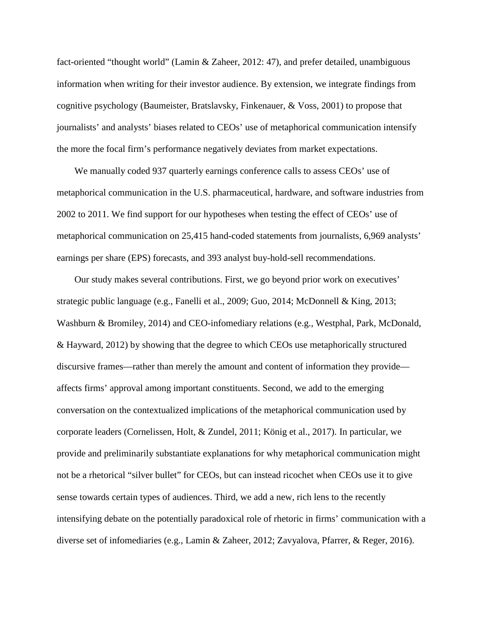fact-oriented "thought world" (Lamin & Zaheer, 2012: 47), and prefer detailed, unambiguous information when writing for their investor audience. By extension, we integrate findings from cognitive psychology (Baumeister, Bratslavsky, Finkenauer, & Voss, 2001) to propose that journalists' and analysts' biases related to CEOs' use of metaphorical communication intensify the more the focal firm's performance negatively deviates from market expectations.

We manually coded 937 quarterly earnings conference calls to assess CEOs' use of metaphorical communication in the U.S. pharmaceutical, hardware, and software industries from 2002 to 2011. We find support for our hypotheses when testing the effect of CEOs' use of metaphorical communication on 25,415 hand-coded statements from journalists, 6,969 analysts' earnings per share (EPS) forecasts, and 393 analyst buy-hold-sell recommendations.

Our study makes several contributions. First, we go beyond prior work on executives' strategic public language (e.g., Fanelli et al., 2009; Guo, 2014; McDonnell & King, 2013; Washburn & Bromiley, 2014) and CEO-infomediary relations (e.g., Westphal, Park, McDonald, & Hayward, 2012) by showing that the degree to which CEOs use metaphorically structured discursive frames—rather than merely the amount and content of information they provide affects firms' approval among important constituents. Second, we add to the emerging conversation on the contextualized implications of the metaphorical communication used by corporate leaders (Cornelissen, Holt, & Zundel, 2011; König et al., 2017). In particular, we provide and preliminarily substantiate explanations for why metaphorical communication might not be a rhetorical "silver bullet" for CEOs, but can instead ricochet when CEOs use it to give sense towards certain types of audiences. Third, we add a new, rich lens to the recently intensifying debate on the potentially paradoxical role of rhetoric in firms' communication with a diverse set of infomediaries (e.g., Lamin & Zaheer, 2012; Zavyalova, Pfarrer, & Reger, 2016).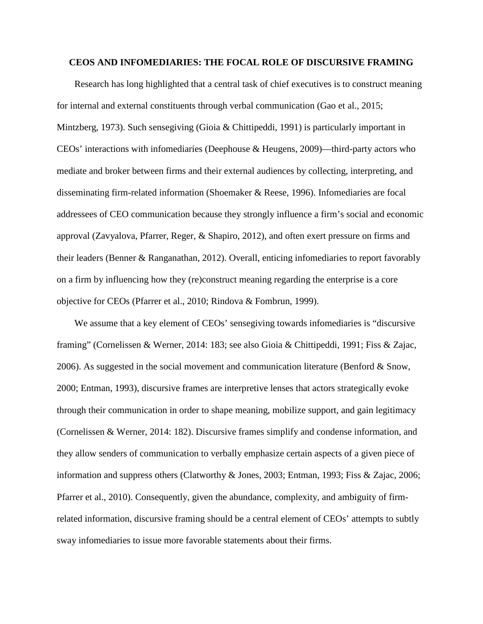#### **CEOS AND INFOMEDIARIES: THE FOCAL ROLE OF DISCURSIVE FRAMING**

Research has long highlighted that a central task of chief executives is to construct meaning for internal and external constituents through verbal communication (Gao et al., 2015; Mintzberg, 1973). Such sensegiving (Gioia & Chittipeddi, 1991) is particularly important in CEOs' interactions with infomediaries (Deephouse & Heugens, 2009)—third-party actors who mediate and broker between firms and their external audiences by collecting, interpreting, and disseminating firm-related information (Shoemaker & Reese, 1996). Infomediaries are focal addressees of CEO communication because they strongly influence a firm's social and economic approval (Zavyalova, Pfarrer, Reger, & Shapiro, 2012), and often exert pressure on firms and their leaders (Benner & Ranganathan, 2012). Overall, enticing infomediaries to report favorably on a firm by influencing how they (re)construct meaning regarding the enterprise is a core objective for CEOs (Pfarrer et al., 2010; Rindova & Fombrun, 1999).

We assume that a key element of CEOs' sensegiving towards infomediaries is "discursive framing" (Cornelissen & Werner, 2014: 183; see also Gioia & Chittipeddi, 1991; Fiss & Zajac, 2006). As suggested in the social movement and communication literature (Benford & Snow, 2000; Entman, 1993), discursive frames are interpretive lenses that actors strategically evoke through their communication in order to shape meaning, mobilize support, and gain legitimacy (Cornelissen & Werner, 2014: 182). Discursive frames simplify and condense information, and they allow senders of communication to verbally emphasize certain aspects of a given piece of information and suppress others (Clatworthy & Jones, 2003; Entman, 1993; Fiss & Zajac, 2006; Pfarrer et al., 2010). Consequently, given the abundance, complexity, and ambiguity of firmrelated information, discursive framing should be a central element of CEOs' attempts to subtly sway infomediaries to issue more favorable statements about their firms.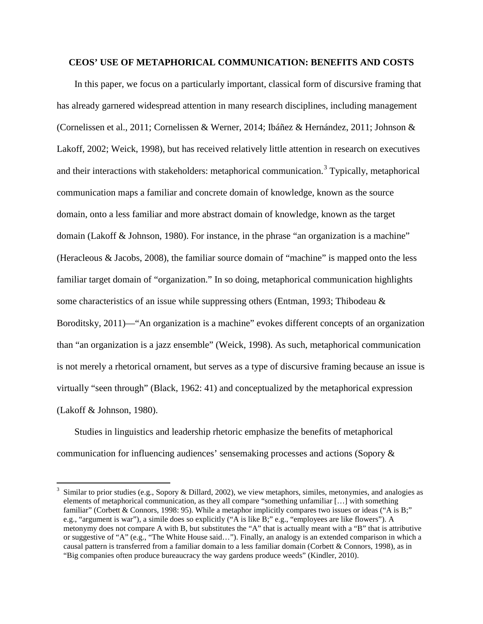## **CEOS' USE OF METAPHORICAL COMMUNICATION: BENEFITS AND COSTS**

In this paper, we focus on a particularly important, classical form of discursive framing that has already garnered widespread attention in many research disciplines, including management (Cornelissen et al., 2011; Cornelissen & Werner, 2014; Ibáñez & Hernández, 2011; Johnson & Lakoff, 2002; Weick, 1998), but has received relatively little attention in research on executives and their interactions with stakeholders: metaphorical communication.<sup>[3](#page-7-0)</sup> Typically, metaphorical communication maps a familiar and concrete domain of knowledge, known as the source domain, onto a less familiar and more abstract domain of knowledge, known as the target domain (Lakoff & Johnson, 1980). For instance, in the phrase "an organization is a machine" (Heracleous & Jacobs, 2008), the familiar source domain of "machine" is mapped onto the less familiar target domain of "organization." In so doing, metaphorical communication highlights some characteristics of an issue while suppressing others (Entman, 1993; Thibodeau & Boroditsky, 2011)—"An organization is a machine" evokes different concepts of an organization than "an organization is a jazz ensemble" (Weick, 1998). As such, metaphorical communication is not merely a rhetorical ornament, but serves as a type of discursive framing because an issue is virtually "seen through" (Black, 1962: 41) and conceptualized by the metaphorical expression (Lakoff & Johnson, 1980).

Studies in linguistics and leadership rhetoric emphasize the benefits of metaphorical communication for influencing audiences' sensemaking processes and actions (Sopory &

<span id="page-7-0"></span> <sup>3</sup> Similar to prior studies (e.g., Sopory & Dillard, 2002), we view metaphors, similes, metonymies, and analogies as elements of metaphorical communication, as they all compare "something unfamiliar […] with something familiar" (Corbett & Connors, 1998: 95). While a metaphor implicitly compares two issues or ideas ("A is B;" e.g., "argument is war"), a simile does so explicitly ("A is like B;" e.g., "employees are like flowers"). A metonymy does not compare A with B, but substitutes the "A" that is actually meant with a "B" that is attributive or suggestive of "A" (e.g., "The White House said…"). Finally, an analogy is an extended comparison in which a causal pattern is transferred from a familiar domain to a less familiar domain (Corbett & Connors, 1998), as in "Big companies often produce bureaucracy the way gardens produce weeds" (Kindler, 2010).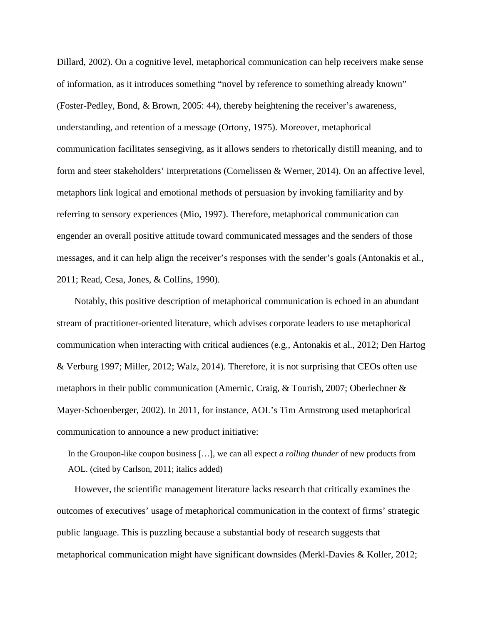Dillard, 2002). On a cognitive level, metaphorical communication can help receivers make sense of information, as it introduces something "novel by reference to something already known" (Foster-Pedley, Bond, & Brown, 2005: 44), thereby heightening the receiver's awareness, understanding, and retention of a message (Ortony, 1975). Moreover, metaphorical communication facilitates sensegiving, as it allows senders to rhetorically distill meaning, and to form and steer stakeholders' interpretations (Cornelissen & Werner, 2014). On an affective level, metaphors link logical and emotional methods of persuasion by invoking familiarity and by referring to sensory experiences (Mio, 1997). Therefore, metaphorical communication can engender an overall positive attitude toward communicated messages and the senders of those messages, and it can help align the receiver's responses with the sender's goals (Antonakis et al., 2011; Read, Cesa, Jones, & Collins, 1990).

Notably, this positive description of metaphorical communication is echoed in an abundant stream of practitioner-oriented literature, which advises corporate leaders to use metaphorical communication when interacting with critical audiences (e.g., Antonakis et al., 2012; Den Hartog & Verburg 1997; Miller, 2012; Walz, 2014). Therefore, it is not surprising that CEOs often use metaphors in their public communication (Amernic, Craig, & Tourish, 2007; Oberlechner & Mayer-Schoenberger, 2002). In 2011, for instance, AOL's Tim Armstrong used metaphorical communication to announce a new product initiative:

In the Groupon-like coupon business […], we can all expect *a rolling thunder* of new products from AOL. (cited by Carlson, 2011; italics added)

However, the scientific management literature lacks research that critically examines the outcomes of executives' usage of metaphorical communication in the context of firms' strategic public language. This is puzzling because a substantial body of research suggests that metaphorical communication might have significant downsides (Merkl-Davies & Koller, 2012;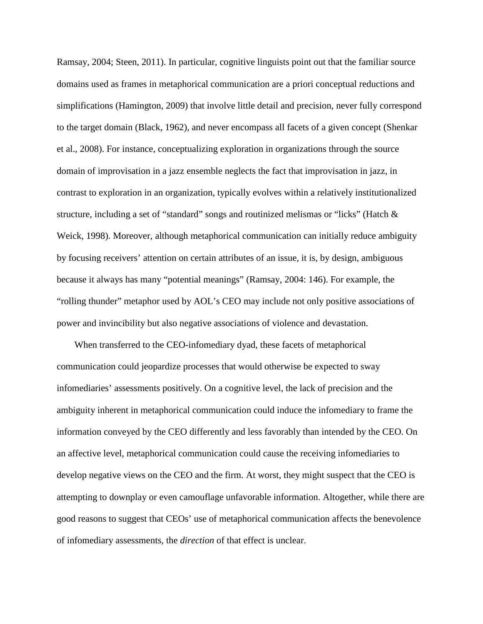Ramsay, 2004; Steen, 2011). In particular, cognitive linguists point out that the familiar source domains used as frames in metaphorical communication are a priori conceptual reductions and simplifications (Hamington, 2009) that involve little detail and precision, never fully correspond to the target domain (Black, 1962), and never encompass all facets of a given concept (Shenkar et al., 2008). For instance, conceptualizing exploration in organizations through the source domain of improvisation in a jazz ensemble neglects the fact that improvisation in jazz, in contrast to exploration in an organization, typically evolves within a relatively institutionalized structure, including a set of "standard" songs and routinized melismas or "licks" (Hatch & Weick, 1998). Moreover, although metaphorical communication can initially reduce ambiguity by focusing receivers' attention on certain attributes of an issue, it is, by design, ambiguous because it always has many "potential meanings" (Ramsay, 2004: 146). For example, the "rolling thunder" metaphor used by AOL's CEO may include not only positive associations of power and invincibility but also negative associations of violence and devastation.

When transferred to the CEO-infomediary dyad, these facets of metaphorical communication could jeopardize processes that would otherwise be expected to sway infomediaries' assessments positively. On a cognitive level, the lack of precision and the ambiguity inherent in metaphorical communication could induce the infomediary to frame the information conveyed by the CEO differently and less favorably than intended by the CEO. On an affective level, metaphorical communication could cause the receiving infomediaries to develop negative views on the CEO and the firm. At worst, they might suspect that the CEO is attempting to downplay or even camouflage unfavorable information. Altogether, while there are good reasons to suggest that CEOs' use of metaphorical communication affects the benevolence of infomediary assessments, the *direction* of that effect is unclear.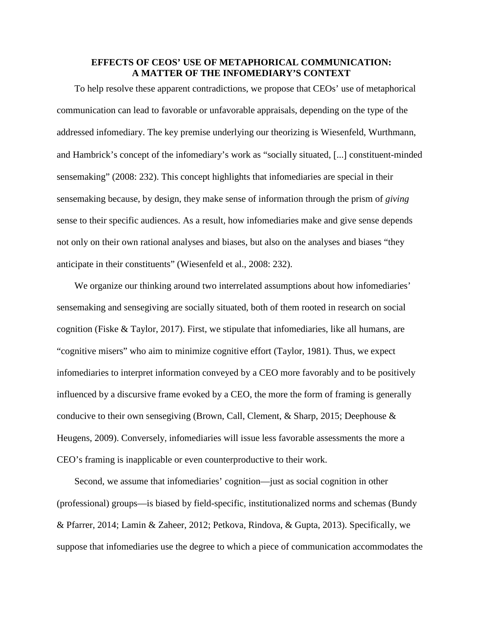# **EFFECTS OF CEOS' USE OF METAPHORICAL COMMUNICATION: A MATTER OF THE INFOMEDIARY'S CONTEXT**

To help resolve these apparent contradictions, we propose that CEOs' use of metaphorical communication can lead to favorable or unfavorable appraisals, depending on the type of the addressed infomediary. The key premise underlying our theorizing is Wiesenfeld, Wurthmann, and Hambrick's concept of the infomediary's work as "socially situated, [...] constituent-minded sensemaking" (2008: 232). This concept highlights that infomediaries are special in their sensemaking because, by design, they make sense of information through the prism of *giving* sense to their specific audiences. As a result, how infomediaries make and give sense depends not only on their own rational analyses and biases, but also on the analyses and biases "they anticipate in their constituents" (Wiesenfeld et al., 2008: 232).

We organize our thinking around two interrelated assumptions about how infomediaries' sensemaking and sensegiving are socially situated, both of them rooted in research on social cognition (Fiske & Taylor, 2017). First, we stipulate that infomediaries, like all humans, are "cognitive misers" who aim to minimize cognitive effort (Taylor, 1981). Thus, we expect infomediaries to interpret information conveyed by a CEO more favorably and to be positively influenced by a discursive frame evoked by a CEO, the more the form of framing is generally conducive to their own sensegiving (Brown, Call, Clement, & Sharp, 2015; Deephouse & Heugens, 2009). Conversely, infomediaries will issue less favorable assessments the more a CEO's framing is inapplicable or even counterproductive to their work.

Second, we assume that infomediaries' cognition—just as social cognition in other (professional) groups—is biased by field-specific, institutionalized norms and schemas (Bundy & Pfarrer, 2014; Lamin & Zaheer, 2012; Petkova, Rindova, & Gupta, 2013). Specifically, we suppose that infomediaries use the degree to which a piece of communication accommodates the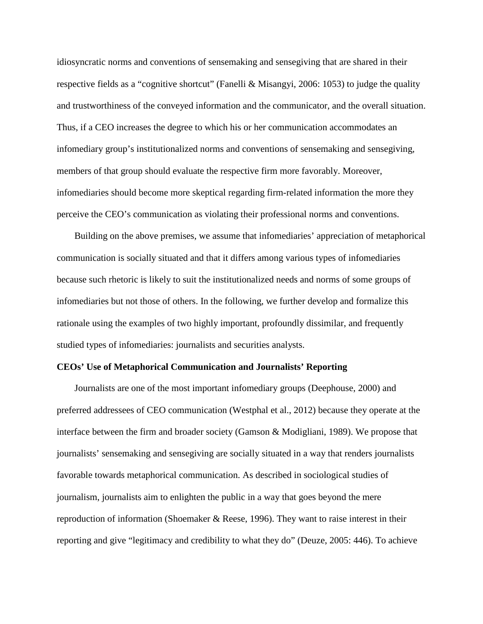idiosyncratic norms and conventions of sensemaking and sensegiving that are shared in their respective fields as a "cognitive shortcut" (Fanelli & Misangyi, 2006: 1053) to judge the quality and trustworthiness of the conveyed information and the communicator, and the overall situation. Thus, if a CEO increases the degree to which his or her communication accommodates an infomediary group's institutionalized norms and conventions of sensemaking and sensegiving, members of that group should evaluate the respective firm more favorably. Moreover, infomediaries should become more skeptical regarding firm-related information the more they perceive the CEO's communication as violating their professional norms and conventions.

Building on the above premises, we assume that infomediaries' appreciation of metaphorical communication is socially situated and that it differs among various types of infomediaries because such rhetoric is likely to suit the institutionalized needs and norms of some groups of infomediaries but not those of others. In the following, we further develop and formalize this rationale using the examples of two highly important, profoundly dissimilar, and frequently studied types of infomediaries: journalists and securities analysts.

#### **CEOs' Use of Metaphorical Communication and Journalists' Reporting**

Journalists are one of the most important infomediary groups (Deephouse, 2000) and preferred addressees of CEO communication (Westphal et al., 2012) because they operate at the interface between the firm and broader society (Gamson & Modigliani, 1989). We propose that journalists' sensemaking and sensegiving are socially situated in a way that renders journalists favorable towards metaphorical communication. As described in sociological studies of journalism, journalists aim to enlighten the public in a way that goes beyond the mere reproduction of information (Shoemaker & Reese, 1996). They want to raise interest in their reporting and give "legitimacy and credibility to what they do" (Deuze, 2005: 446). To achieve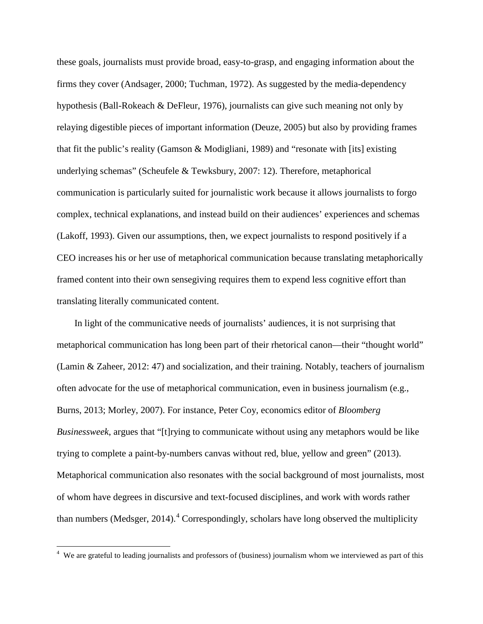these goals, journalists must provide broad, easy-to-grasp, and engaging information about the firms they cover (Andsager, 2000; Tuchman, 1972). As suggested by the media-dependency hypothesis (Ball-Rokeach & DeFleur, 1976), journalists can give such meaning not only by relaying digestible pieces of important information (Deuze, 2005) but also by providing frames that fit the public's reality (Gamson & Modigliani, 1989) and "resonate with [its] existing underlying schemas" (Scheufele & Tewksbury, 2007: 12). Therefore, metaphorical communication is particularly suited for journalistic work because it allows journalists to forgo complex, technical explanations, and instead build on their audiences' experiences and schemas (Lakoff, 1993). Given our assumptions, then, we expect journalists to respond positively if a CEO increases his or her use of metaphorical communication because translating metaphorically framed content into their own sensegiving requires them to expend less cognitive effort than translating literally communicated content.

In light of the communicative needs of journalists' audiences, it is not surprising that metaphorical communication has long been part of their rhetorical canon—their "thought world" (Lamin & Zaheer, 2012: 47) and socialization, and their training. Notably, teachers of journalism often advocate for the use of metaphorical communication, even in business journalism (e.g., Burns, 2013; Morley, 2007). For instance, Peter Coy, economics editor of *Bloomberg Businessweek*, argues that "[t]rying to communicate without using any metaphors would be like trying to complete a paint-by-numbers canvas without red, blue, yellow and green" (2013). Metaphorical communication also resonates with the social background of most journalists, most of whom have degrees in discursive and text-focused disciplines, and work with words rather than numbers (Medsger,  $2014$  $2014$ ).<sup>4</sup> Correspondingly, scholars have long observed the multiplicity

<span id="page-12-0"></span><sup>&</sup>lt;sup>4</sup> We are grateful to leading journalists and professors of (business) journalism whom we interviewed as part of this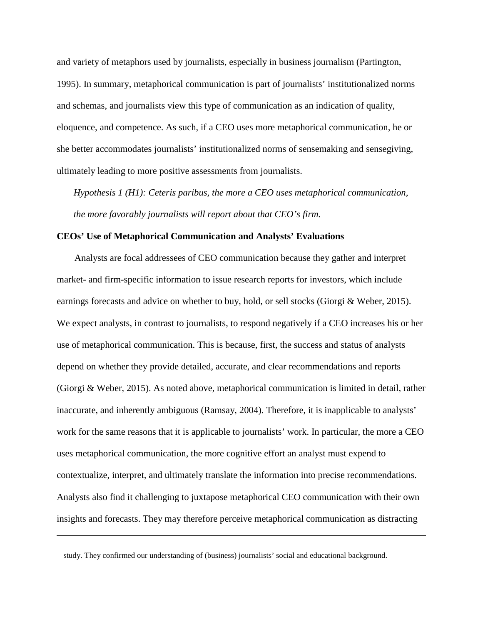and variety of metaphors used by journalists, especially in business journalism (Partington, 1995). In summary, metaphorical communication is part of journalists' institutionalized norms and schemas, and journalists view this type of communication as an indication of quality, eloquence, and competence. As such, if a CEO uses more metaphorical communication, he or she better accommodates journalists' institutionalized norms of sensemaking and sensegiving, ultimately leading to more positive assessments from journalists.

*Hypothesis 1 (H1): Ceteris paribus, the more a CEO uses metaphorical communication, the more favorably journalists will report about that CEO's firm.*

### **CEOs' Use of Metaphorical Communication and Analysts' Evaluations**

Analysts are focal addressees of CEO communication because they gather and interpret market- and firm-specific information to issue research reports for investors, which include earnings forecasts and advice on whether to buy, hold, or sell stocks (Giorgi & Weber, 2015). We expect analysts, in contrast to journalists, to respond negatively if a CEO increases his or her use of metaphorical communication. This is because, first, the success and status of analysts depend on whether they provide detailed, accurate, and clear recommendations and reports (Giorgi & Weber, 2015). As noted above, metaphorical communication is limited in detail, rather inaccurate, and inherently ambiguous (Ramsay, 2004). Therefore, it is inapplicable to analysts' work for the same reasons that it is applicable to journalists' work. In particular, the more a CEO uses metaphorical communication, the more cognitive effort an analyst must expend to contextualize, interpret, and ultimately translate the information into precise recommendations. Analysts also find it challenging to juxtapose metaphorical CEO communication with their own insights and forecasts. They may therefore perceive metaphorical communication as distracting

 $\overline{a}$ 

study. They confirmed our understanding of (business) journalists' social and educational background.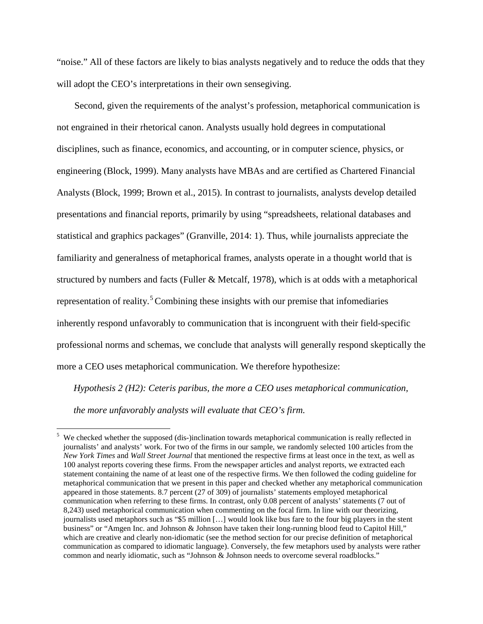"noise." All of these factors are likely to bias analysts negatively and to reduce the odds that they will adopt the CEO's interpretations in their own sensegiving.

Second, given the requirements of the analyst's profession, metaphorical communication is not engrained in their rhetorical canon. Analysts usually hold degrees in computational disciplines, such as finance, economics, and accounting, or in computer science, physics, or engineering (Block, 1999). Many analysts have MBAs and are certified as Chartered Financial Analysts (Block, 1999; Brown et al., 2015). In contrast to journalists, analysts develop detailed presentations and financial reports, primarily by using "spreadsheets, relational databases and statistical and graphics packages" (Granville, 2014: 1). Thus, while journalists appreciate the familiarity and generalness of metaphorical frames, analysts operate in a thought world that is structured by numbers and facts (Fuller & Metcalf, 1978), which is at odds with a metaphorical representation of reality.<sup>[5](#page-14-0)</sup> Combining these insights with our premise that infomediaries inherently respond unfavorably to communication that is incongruent with their field-specific professional norms and schemas, we conclude that analysts will generally respond skeptically the more a CEO uses metaphorical communication. We therefore hypothesize:

*Hypothesis 2 (H2): Ceteris paribus, the more a CEO uses metaphorical communication, the more unfavorably analysts will evaluate that CEO's firm.*

<span id="page-14-0"></span><sup>&</sup>lt;sup>5</sup> We checked whether the supposed (dis-)inclination towards metaphorical communication is really reflected in journalists' and analysts' work. For two of the firms in our sample, we randomly selected 100 articles from the *New York Times* and *Wall Street Journal* that mentioned the respective firms at least once in the text, as well as 100 analyst reports covering these firms. From the newspaper articles and analyst reports, we extracted each statement containing the name of at least one of the respective firms. We then followed the coding guideline for metaphorical communication that we present in this paper and checked whether any metaphorical communication appeared in those statements. 8.7 percent (27 of 309) of journalists' statements employed metaphorical communication when referring to these firms. In contrast, only 0.08 percent of analysts' statements (7 out of 8,243) used metaphorical communication when commenting on the focal firm. In line with our theorizing, journalists used metaphors such as "\$5 million […] would look like bus fare to the four big players in the stent business" or "Amgen Inc. and Johnson & Johnson have taken their long-running blood feud to Capitol Hill," which are creative and clearly non-idiomatic (see the method section for our precise definition of metaphorical communication as compared to idiomatic language). Conversely, the few metaphors used by analysts were rather common and nearly idiomatic, such as "Johnson & Johnson needs to overcome several roadblocks."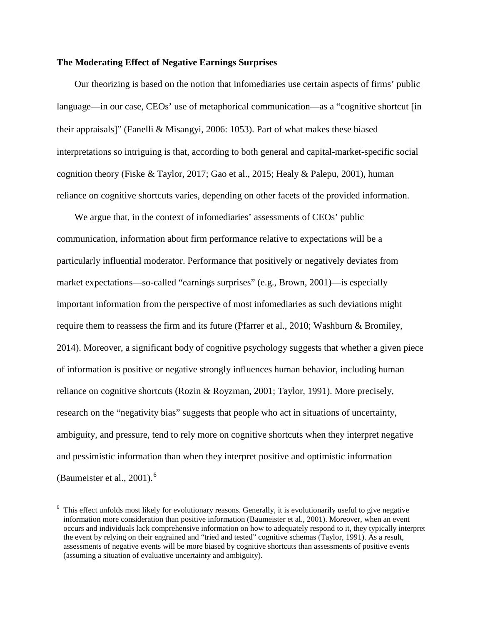#### **The Moderating Effect of Negative Earnings Surprises**

Our theorizing is based on the notion that infomediaries use certain aspects of firms' public language—in our case, CEOs' use of metaphorical communication—as a "cognitive shortcut [in their appraisals]" (Fanelli & Misangyi, 2006: 1053). Part of what makes these biased interpretations so intriguing is that, according to both general and capital-market-specific social cognition theory (Fiske & Taylor, 2017; Gao et al., 2015; Healy & Palepu, 2001), human reliance on cognitive shortcuts varies, depending on other facets of the provided information.

We argue that, in the context of infomediaries' assessments of CEOs' public communication, information about firm performance relative to expectations will be a particularly influential moderator. Performance that positively or negatively deviates from market expectations—so-called "earnings surprises" (e.g., Brown, 2001)—is especially important information from the perspective of most infomediaries as such deviations might require them to reassess the firm and its future (Pfarrer et al., 2010; Washburn & Bromiley, 2014). Moreover, a significant body of cognitive psychology suggests that whether a given piece of information is positive or negative strongly influences human behavior, including human reliance on cognitive shortcuts (Rozin & Royzman, 2001; Taylor, 1991). More precisely, research on the "negativity bias" suggests that people who act in situations of uncertainty, ambiguity, and pressure, tend to rely more on cognitive shortcuts when they interpret negative and pessimistic information than when they interpret positive and optimistic information (Baumeister et al., 2001). $<sup>6</sup>$  $<sup>6</sup>$  $<sup>6</sup>$ </sup>

<span id="page-15-0"></span> <sup>6</sup> This effect unfolds most likely for evolutionary reasons. Generally, it is evolutionarily useful to give negative information more consideration than positive information (Baumeister et al., 2001). Moreover, when an event occurs and individuals lack comprehensive information on how to adequately respond to it, they typically interpret the event by relying on their engrained and "tried and tested" cognitive schemas (Taylor, 1991). As a result, assessments of negative events will be more biased by cognitive shortcuts than assessments of positive events (assuming a situation of evaluative uncertainty and ambiguity).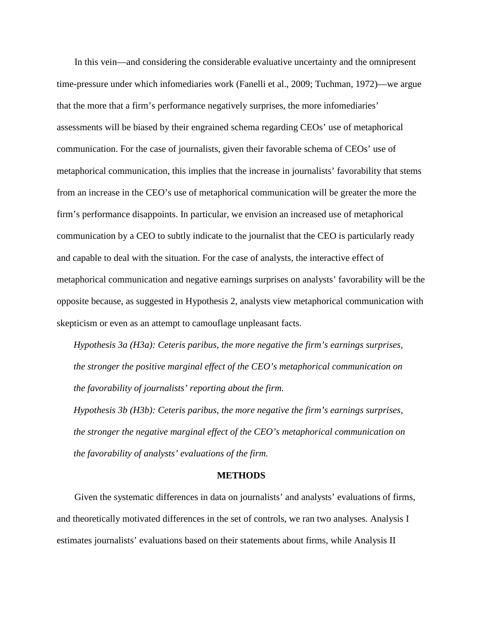In this vein—and considering the considerable evaluative uncertainty and the omnipresent time-pressure under which infomediaries work (Fanelli et al., 2009; Tuchman, 1972)—we argue that the more that a firm's performance negatively surprises, the more infomediaries' assessments will be biased by their engrained schema regarding CEOs' use of metaphorical communication. For the case of journalists, given their favorable schema of CEOs' use of metaphorical communication, this implies that the increase in journalists' favorability that stems from an increase in the CEO's use of metaphorical communication will be greater the more the firm's performance disappoints. In particular, we envision an increased use of metaphorical communication by a CEO to subtly indicate to the journalist that the CEO is particularly ready and capable to deal with the situation. For the case of analysts, the interactive effect of metaphorical communication and negative earnings surprises on analysts' favorability will be the opposite because, as suggested in Hypothesis 2, analysts view metaphorical communication with skepticism or even as an attempt to camouflage unpleasant facts.

*Hypothesis 3a (H3a): Ceteris paribus, the more negative the firm's earnings surprises, the stronger the positive marginal effect of the CEO's metaphorical communication on the favorability of journalists' reporting about the firm.*

*Hypothesis 3b (H3b): Ceteris paribus, the more negative the firm's earnings surprises, the stronger the negative marginal effect of the CEO's metaphorical communication on the favorability of analysts' evaluations of the firm.*

#### **METHODS**

Given the systematic differences in data on journalists' and analysts' evaluations of firms, and theoretically motivated differences in the set of controls, we ran two analyses. Analysis I estimates journalists' evaluations based on their statements about firms, while Analysis II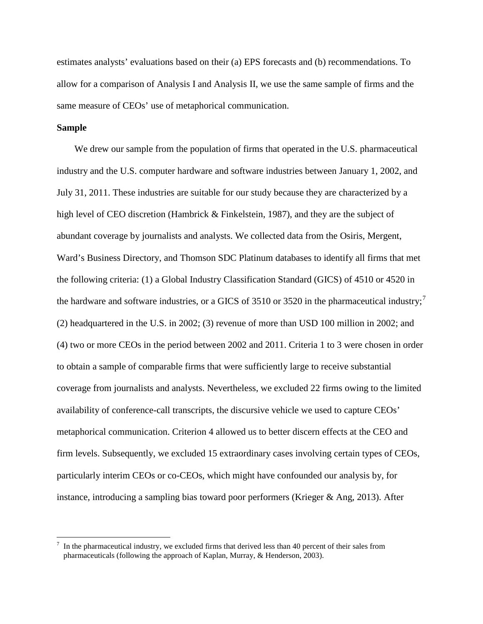estimates analysts' evaluations based on their (a) EPS forecasts and (b) recommendations. To allow for a comparison of Analysis I and Analysis II, we use the same sample of firms and the same measure of CEOs' use of metaphorical communication.

#### **Sample**

We drew our sample from the population of firms that operated in the U.S. pharmaceutical industry and the U.S. computer hardware and software industries between January 1, 2002, and July 31, 2011. These industries are suitable for our study because they are characterized by a high level of CEO discretion (Hambrick & Finkelstein, 1987), and they are the subject of abundant coverage by journalists and analysts. We collected data from the Osiris, Mergent, Ward's Business Directory, and Thomson SDC Platinum databases to identify all firms that met the following criteria: (1) a Global Industry Classification Standard (GICS) of 4510 or 4520 in the hardware and software industries, or a GICS of 3510 or 3520 in the pharmaceutical industry;<sup>[7](#page-17-0)</sup> (2) headquartered in the U.S. in 2002; (3) revenue of more than USD 100 million in 2002; and (4) two or more CEOs in the period between 2002 and 2011. Criteria 1 to 3 were chosen in order to obtain a sample of comparable firms that were sufficiently large to receive substantial coverage from journalists and analysts. Nevertheless, we excluded 22 firms owing to the limited availability of conference-call transcripts, the discursive vehicle we used to capture CEOs' metaphorical communication. Criterion 4 allowed us to better discern effects at the CEO and firm levels. Subsequently, we excluded 15 extraordinary cases involving certain types of CEOs, particularly interim CEOs or co-CEOs, which might have confounded our analysis by, for instance, introducing a sampling bias toward poor performers (Krieger & Ang, 2013). After

<span id="page-17-0"></span> <sup>7</sup> In the pharmaceutical industry, we excluded firms that derived less than 40 percent of their sales from pharmaceuticals (following the approach of Kaplan, Murray, & Henderson, 2003).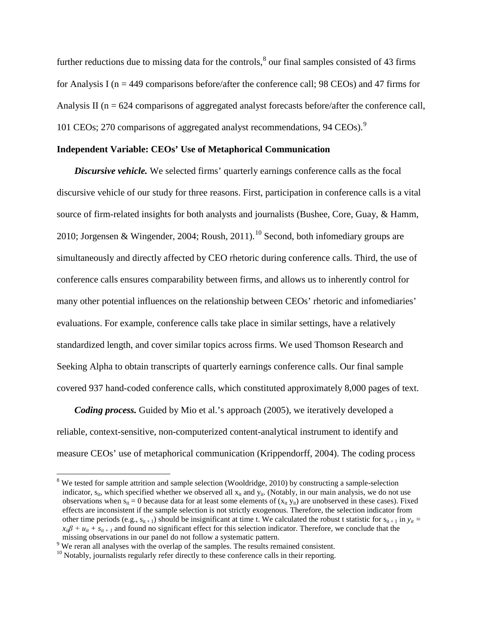further reductions due to missing data for the controls,<sup>[8](#page-18-0)</sup> our final samples consisted of 43 firms for Analysis I ( $n = 449$  comparisons before/after the conference call; 98 CEOs) and 47 firms for Analysis II ( $n = 624$  comparisons of aggregated analyst forecasts before/after the conference call, 101 CEOs; 270 comparisons of aggregated analyst recommendations, 94 CEOs).[9](#page-18-1)

#### **Independent Variable: CEOs' Use of Metaphorical Communication**

*Discursive vehicle.* We selected firms' quarterly earnings conference calls as the focal discursive vehicle of our study for three reasons. First, participation in conference calls is a vital source of firm-related insights for both analysts and journalists (Bushee, Core, Guay, & Hamm, 20[10](#page-18-2); Jorgensen & Wingender, 2004; Roush, 2011).<sup>10</sup> Second, both infomediary groups are simultaneously and directly affected by CEO rhetoric during conference calls. Third, the use of conference calls ensures comparability between firms, and allows us to inherently control for many other potential influences on the relationship between CEOs' rhetoric and infomediaries' evaluations. For example, conference calls take place in similar settings, have a relatively standardized length, and cover similar topics across firms. We used Thomson Research and Seeking Alpha to obtain transcripts of quarterly earnings conference calls. Our final sample covered 937 hand-coded conference calls, which constituted approximately 8,000 pages of text.

*Coding process.* Guided by Mio et al.'s approach (2005), we iteratively developed a reliable, context-sensitive, non-computerized content-analytical instrument to identify and measure CEOs' use of metaphorical communication (Krippendorff, 2004). The coding process

<span id="page-18-0"></span> $8$  We tested for sample attrition and sample selection (Wooldridge, 2010) by constructing a sample-selection indicator,  $s_{it}$ , which specified whether we observed all  $x_{it}$  and  $y_{it}$ . (Notably, in our main analysis, we do not use observations when  $s_{it} = 0$  because data for at least some elements of  $(x_{it} y_{it})$  are unobserved in these cases). Fixed effects are inconsistent if the sample selection is not strictly exogenous. Therefore, the selection indicator from other time periods (e.g.,  $s_{it+1}$ ) should be insignificant at time t. We calculated the robust t statistic for  $s_{it+1}$  in  $y_{it}$  =  $x_{ii}\beta + u_{ii} + s_{ii} + i$  and found no significant effect for this selection indicator. Therefore, we conclude that the missing observations in our panel do not follow a systematic pattern.

<span id="page-18-2"></span><span id="page-18-1"></span> $\degree$  We reran all analyses with the overlap of the samples. The results remained consistent.<br><sup>10</sup> Notably, iournalists regularly refer directly to these conference calls in their reporting.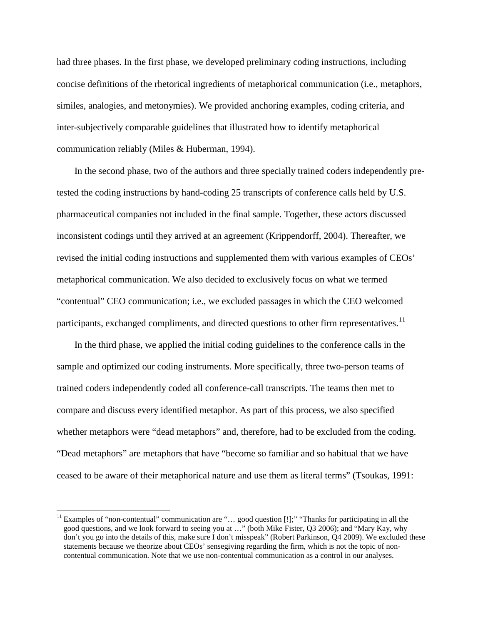had three phases. In the first phase, we developed preliminary coding instructions, including concise definitions of the rhetorical ingredients of metaphorical communication (i.e., metaphors, similes, analogies, and metonymies). We provided anchoring examples, coding criteria, and inter-subjectively comparable guidelines that illustrated how to identify metaphorical communication reliably (Miles & Huberman, 1994).

In the second phase, two of the authors and three specially trained coders independently pretested the coding instructions by hand-coding 25 transcripts of conference calls held by U.S. pharmaceutical companies not included in the final sample. Together, these actors discussed inconsistent codings until they arrived at an agreement (Krippendorff, 2004). Thereafter, we revised the initial coding instructions and supplemented them with various examples of CEOs' metaphorical communication. We also decided to exclusively focus on what we termed "contentual" CEO communication; i.e., we excluded passages in which the CEO welcomed participants, exchanged compliments, and directed questions to other firm representatives.<sup>[11](#page-19-0)</sup>

In the third phase, we applied the initial coding guidelines to the conference calls in the sample and optimized our coding instruments. More specifically, three two-person teams of trained coders independently coded all conference-call transcripts. The teams then met to compare and discuss every identified metaphor. As part of this process, we also specified whether metaphors were "dead metaphors" and, therefore, had to be excluded from the coding. "Dead metaphors" are metaphors that have "become so familiar and so habitual that we have ceased to be aware of their metaphorical nature and use them as literal terms" (Tsoukas, 1991:

<span id="page-19-0"></span><sup>&</sup>lt;sup>11</sup> Examples of "non-contentual" communication are "... good question [!];" "Thanks for participating in all the good questions, and we look forward to seeing you at …" (both Mike Fister, Q3 2006); and "Mary Kay, why don't you go into the details of this, make sure I don't misspeak" (Robert Parkinson, Q4 2009). We excluded these statements because we theorize about CEOs' sensegiving regarding the firm, which is not the topic of noncontentual communication. Note that we use non-contentual communication as a control in our analyses.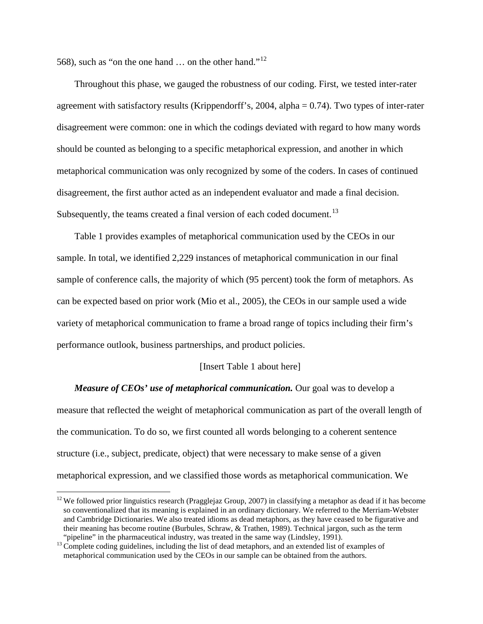568), such as "on the one hand … on the other hand."[12](#page-20-0)

Throughout this phase, we gauged the robustness of our coding. First, we tested inter-rater agreement with satisfactory results (Krippendorff's, 2004, alpha  $= 0.74$ ). Two types of inter-rater disagreement were common: one in which the codings deviated with regard to how many words should be counted as belonging to a specific metaphorical expression, and another in which metaphorical communication was only recognized by some of the coders. In cases of continued disagreement, the first author acted as an independent evaluator and made a final decision. Subsequently, the teams created a final version of each coded document.<sup>[13](#page-20-1)</sup>

Table 1 provides examples of metaphorical communication used by the CEOs in our sample. In total, we identified 2,229 instances of metaphorical communication in our final sample of conference calls, the majority of which (95 percent) took the form of metaphors. As can be expected based on prior work (Mio et al., 2005), the CEOs in our sample used a wide variety of metaphorical communication to frame a broad range of topics including their firm's performance outlook, business partnerships, and product policies.

#### [Insert Table 1 about here]

*Measure of CEOs' use of metaphorical communication.* Our goal was to develop a measure that reflected the weight of metaphorical communication as part of the overall length of the communication. To do so, we first counted all words belonging to a coherent sentence structure (i.e., subject, predicate, object) that were necessary to make sense of a given metaphorical expression, and we classified those words as metaphorical communication. We

<span id="page-20-0"></span><sup>&</sup>lt;sup>12</sup> We followed prior linguistics research (Pragglejaz Group, 2007) in classifying a metaphor as dead if it has become so conventionalized that its meaning is explained in an ordinary dictionary. We referred to the Merriam-Webster and Cambridge Dictionaries. We also treated idioms as dead metaphors, as they have ceased to be figurative and their meaning has become routine (Burbules, Schraw, & Trathen, 1989). Technical jargon, such as the term "pipeline" in the pharmaceutical industry, was treated in the same way (Lindsley, 1991).

<span id="page-20-1"></span> $13$  Complete coding guidelines, including the list of dead metaphors, and an extended list of examples of metaphorical communication used by the CEOs in our sample can be obtained from the authors.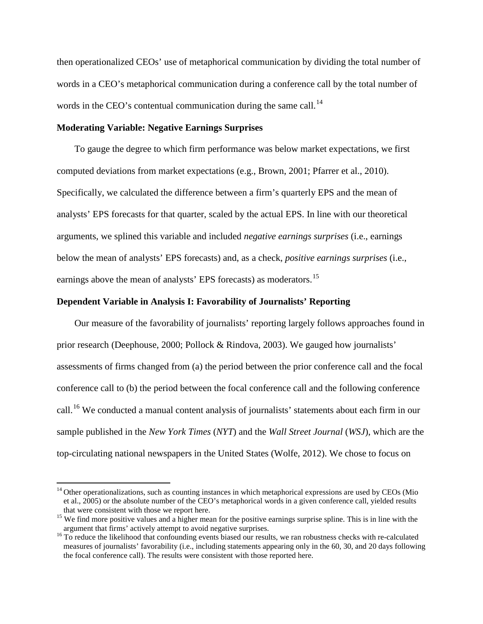then operationalized CEOs' use of metaphorical communication by dividing the total number of words in a CEO's metaphorical communication during a conference call by the total number of words in the CEO's contentual communication during the same call.<sup>[14](#page-21-0)</sup>

#### **Moderating Variable: Negative Earnings Surprises**

To gauge the degree to which firm performance was below market expectations, we first computed deviations from market expectations (e.g., Brown, 2001; Pfarrer et al., 2010). Specifically, we calculated the difference between a firm's quarterly EPS and the mean of analysts' EPS forecasts for that quarter, scaled by the actual EPS. In line with our theoretical arguments, we splined this variable and included *negative earnings surprises* (i.e., earnings below the mean of analysts' EPS forecasts) and, as a check, *positive earnings surprises* (i.e., earnings above the mean of analysts' EPS forecasts) as moderators.<sup>[15](#page-21-1)</sup>

## **Dependent Variable in Analysis I: Favorability of Journalists' Reporting**

Our measure of the favorability of journalists' reporting largely follows approaches found in prior research (Deephouse, 2000; Pollock & Rindova, 2003). We gauged how journalists' assessments of firms changed from (a) the period between the prior conference call and the focal conference call to (b) the period between the focal conference call and the following conference call.[16](#page-21-2) We conducted a manual content analysis of journalists' statements about each firm in our sample published in the *New York Times* (*NYT*) and the *Wall Street Journal* (*WSJ*), which are the top-circulating national newspapers in the United States (Wolfe, 2012). We chose to focus on

<span id="page-21-0"></span> $14$  Other operationalizations, such as counting instances in which metaphorical expressions are used by CEOs (Mio et al., 2005) or the absolute number of the CEO's metaphorical words in a given conference call, yielded results

<span id="page-21-1"></span>that were consistent with those we report here.<br><sup>15</sup> We find more positive values and a higher mean for the positive earnings surprise spline. This is in line with the argument that firms' actively attempt to avoid negativ

<span id="page-21-2"></span> $16$  To reduce the likelihood that confounding events biased our results, we ran robustness checks with re-calculated measures of journalists' favorability (i.e., including statements appearing only in the 60, 30, and 20 days following the focal conference call). The results were consistent with those reported here.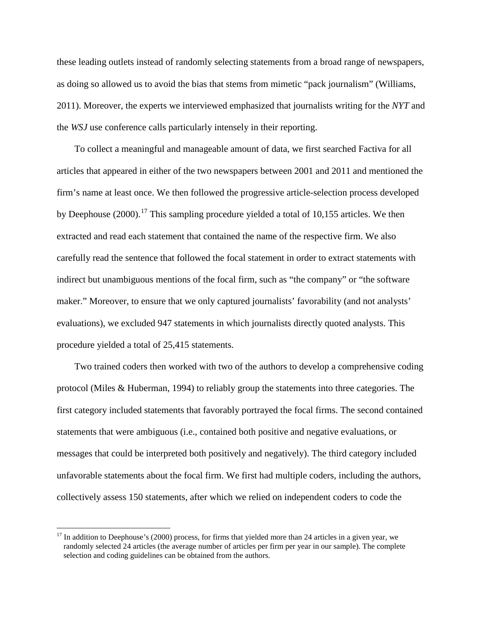these leading outlets instead of randomly selecting statements from a broad range of newspapers, as doing so allowed us to avoid the bias that stems from mimetic "pack journalism" (Williams, 2011). Moreover, the experts we interviewed emphasized that journalists writing for the *NYT* and the *WSJ* use conference calls particularly intensely in their reporting.

To collect a meaningful and manageable amount of data, we first searched Factiva for all articles that appeared in either of the two newspapers between 2001 and 2011 and mentioned the firm's name at least once. We then followed the progressive article-selection process developed by Deephouse (2000).<sup>[17](#page-22-0)</sup> This sampling procedure yielded a total of 10,155 articles. We then extracted and read each statement that contained the name of the respective firm. We also carefully read the sentence that followed the focal statement in order to extract statements with indirect but unambiguous mentions of the focal firm, such as "the company" or "the software maker." Moreover, to ensure that we only captured journalists' favorability (and not analysts' evaluations), we excluded 947 statements in which journalists directly quoted analysts. This procedure yielded a total of 25,415 statements.

Two trained coders then worked with two of the authors to develop a comprehensive coding protocol (Miles & Huberman, 1994) to reliably group the statements into three categories. The first category included statements that favorably portrayed the focal firms. The second contained statements that were ambiguous (i.e., contained both positive and negative evaluations, or messages that could be interpreted both positively and negatively). The third category included unfavorable statements about the focal firm. We first had multiple coders, including the authors, collectively assess 150 statements, after which we relied on independent coders to code the

<span id="page-22-0"></span> $17$  In addition to Deephouse's (2000) process, for firms that yielded more than 24 articles in a given year, we randomly selected 24 articles (the average number of articles per firm per year in our sample). The complete selection and coding guidelines can be obtained from the authors.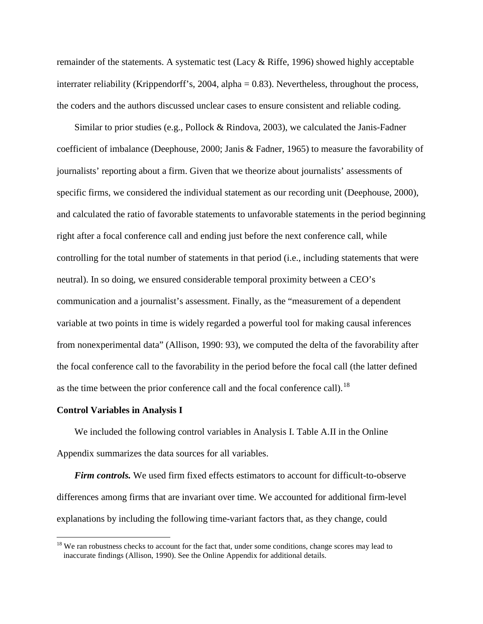remainder of the statements. A systematic test (Lacy & Riffe, 1996) showed highly acceptable interrater reliability (Krippendorff's, 2004, alpha = 0.83). Nevertheless, throughout the process, the coders and the authors discussed unclear cases to ensure consistent and reliable coding.

Similar to prior studies (e.g., Pollock & Rindova, 2003), we calculated the Janis-Fadner coefficient of imbalance (Deephouse, 2000; Janis & Fadner, 1965) to measure the favorability of journalists' reporting about a firm. Given that we theorize about journalists' assessments of specific firms, we considered the individual statement as our recording unit (Deephouse, 2000), and calculated the ratio of favorable statements to unfavorable statements in the period beginning right after a focal conference call and ending just before the next conference call, while controlling for the total number of statements in that period (i.e., including statements that were neutral). In so doing, we ensured considerable temporal proximity between a CEO's communication and a journalist's assessment. Finally, as the "measurement of a dependent variable at two points in time is widely regarded a powerful tool for making causal inferences from nonexperimental data" (Allison, 1990: 93), we computed the delta of the favorability after the focal conference call to the favorability in the period before the focal call (the latter defined as the time between the prior conference call and the focal conference call).<sup>[18](#page-23-0)</sup>

#### **Control Variables in Analysis I**

We included the following control variables in Analysis I. Table A.II in the Online Appendix summarizes the data sources for all variables.

*Firm controls.* We used firm fixed effects estimators to account for difficult-to-observe differences among firms that are invariant over time. We accounted for additional firm-level explanations by including the following time-variant factors that, as they change, could

<span id="page-23-0"></span><sup>&</sup>lt;sup>18</sup> We ran robustness checks to account for the fact that, under some conditions, change scores may lead to inaccurate findings (Allison, 1990). See the Online Appendix for additional details.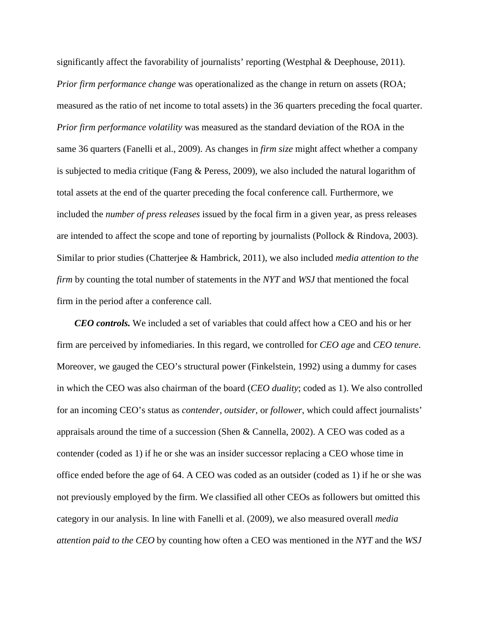significantly affect the favorability of journalists' reporting (Westphal & Deephouse, 2011). *Prior firm performance change* was operationalized as the change in return on assets (ROA; measured as the ratio of net income to total assets) in the 36 quarters preceding the focal quarter. *Prior firm performance volatility* was measured as the standard deviation of the ROA in the same 36 quarters (Fanelli et al., 2009). As changes in *firm size* might affect whether a company is subjected to media critique (Fang & Peress, 2009), we also included the natural logarithm of total assets at the end of the quarter preceding the focal conference call*.* Furthermore, we included the *number of press releases* issued by the focal firm in a given year, as press releases are intended to affect the scope and tone of reporting by journalists (Pollock & Rindova, 2003). Similar to prior studies (Chatterjee & Hambrick, 2011), we also included *media attention to the firm* by counting the total number of statements in the *NYT* and *WSJ* that mentioned the focal firm in the period after a conference call.

*CEO controls.* We included a set of variables that could affect how a CEO and his or her firm are perceived by infomediaries. In this regard, we controlled for *CEO age* and *CEO tenure*. Moreover, we gauged the CEO's structural power (Finkelstein, 1992) using a dummy for cases in which the CEO was also chairman of the board (*CEO duality*; coded as 1). We also controlled for an incoming CEO's status as *contender, outsider*, or *follower*, which could affect journalists' appraisals around the time of a succession (Shen & Cannella, 2002). A CEO was coded as a contender (coded as 1) if he or she was an insider successor replacing a CEO whose time in office ended before the age of 64. A CEO was coded as an outsider (coded as 1) if he or she was not previously employed by the firm. We classified all other CEOs as followers but omitted this category in our analysis. In line with Fanelli et al. (2009), we also measured overall *media attention paid to the CEO* by counting how often a CEO was mentioned in the *NYT* and the *WSJ*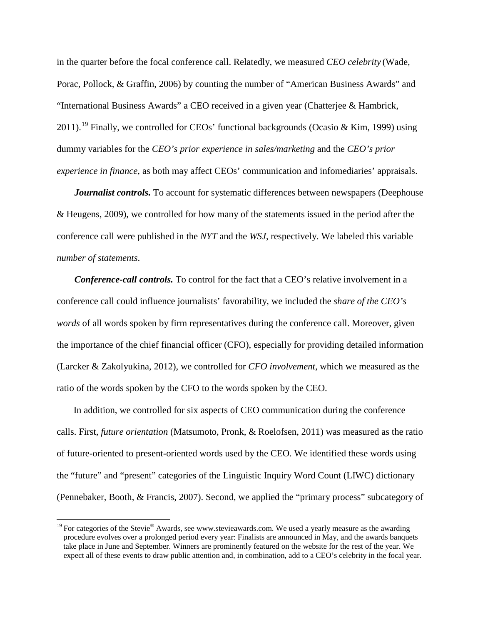in the quarter before the focal conference call. Relatedly, we measured *CEO celebrity* (Wade, Porac, Pollock, & Graffin, 2006) by counting the number of "American Business Awards" and "International Business Awards" a CEO received in a given year (Chatterjee & Hambrick, 2011).<sup>[19](#page-25-0)</sup> Finally, we controlled for CEOs' functional backgrounds (Ocasio & Kim, 1999) using dummy variables for the *CEO's prior experience in sales/marketing* and the *CEO's prior experience in finance*, as both may affect CEOs' communication and infomediaries' appraisals.

*Journalist controls.* To account for systematic differences between newspapers (Deephouse & Heugens, 2009), we controlled for how many of the statements issued in the period after the conference call were published in the *NYT* and the *WSJ*, respectively. We labeled this variable *number of statements*.

*Conference-call controls.* To control for the fact that a CEO's relative involvement in a conference call could influence journalists' favorability, we included the *share of the CEO's words* of all words spoken by firm representatives during the conference call. Moreover, given the importance of the chief financial officer (CFO), especially for providing detailed information (Larcker & Zakolyukina, 2012), we controlled for *CFO involvement*, which we measured as the ratio of the words spoken by the CFO to the words spoken by the CEO.

In addition, we controlled for six aspects of CEO communication during the conference calls. First, *future orientation* (Matsumoto, Pronk, & Roelofsen, 2011) was measured as the ratio of future-oriented to present-oriented words used by the CEO. We identified these words using the "future" and "present" categories of the Linguistic Inquiry Word Count (LIWC) dictionary (Pennebaker, Booth, & Francis, 2007). Second, we applied the "primary process" subcategory of

<span id="page-25-0"></span><sup>&</sup>lt;sup>19</sup> For categories of the Stevie<sup>®</sup> Awards, see www.stevieawards.com. We used a yearly measure as the awarding procedure evolves over a prolonged period every year: Finalists are announced in May, and the awards banquets take place in June and September. Winners are prominently featured on the website for the rest of the year. We expect all of these events to draw public attention and, in combination, add to a CEO's celebrity in the focal year.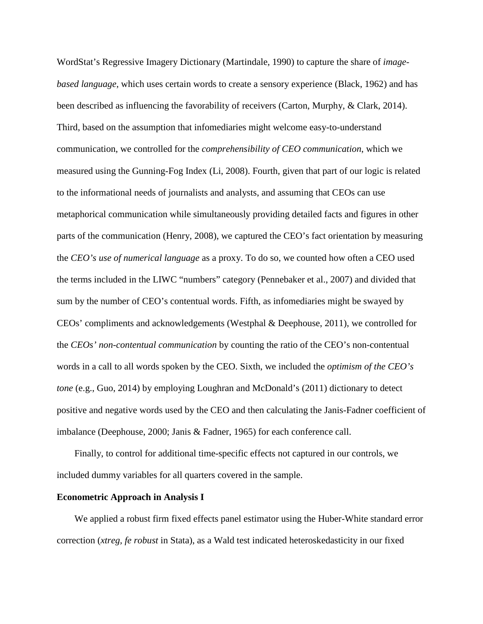WordStat's Regressive Imagery Dictionary (Martindale, 1990) to capture the share of *imagebased language*, which uses certain words to create a sensory experience (Black, 1962) and has been described as influencing the favorability of receivers (Carton, Murphy, & Clark, 2014). Third, based on the assumption that infomediaries might welcome easy-to-understand communication, we controlled for the *comprehensibility of CEO communication*, which we measured using the Gunning-Fog Index (Li, 2008). Fourth, given that part of our logic is related to the informational needs of journalists and analysts, and assuming that CEOs can use metaphorical communication while simultaneously providing detailed facts and figures in other parts of the communication (Henry, 2008), we captured the CEO's fact orientation by measuring the *CEO's use of numerical language* as a proxy. To do so, we counted how often a CEO used the terms included in the LIWC "numbers" category (Pennebaker et al., 2007) and divided that sum by the number of CEO's contentual words. Fifth, as infomediaries might be swayed by CEOs' compliments and acknowledgements (Westphal & Deephouse, 2011), we controlled for the *CEOs' non-contentual communication* by counting the ratio of the CEO's non-contentual words in a call to all words spoken by the CEO. Sixth, we included the *optimism of the CEO's tone* (e.g., Guo, 2014) by employing Loughran and McDonald's (2011) dictionary to detect positive and negative words used by the CEO and then calculating the Janis-Fadner coefficient of imbalance (Deephouse, 2000; Janis & Fadner, 1965) for each conference call.

Finally, to control for additional time-specific effects not captured in our controls, we included dummy variables for all quarters covered in the sample.

#### **Econometric Approach in Analysis I**

We applied a robust firm fixed effects panel estimator using the Huber-White standard error correction (*xtreg, fe robust* in Stata), as a Wald test indicated heteroskedasticity in our fixed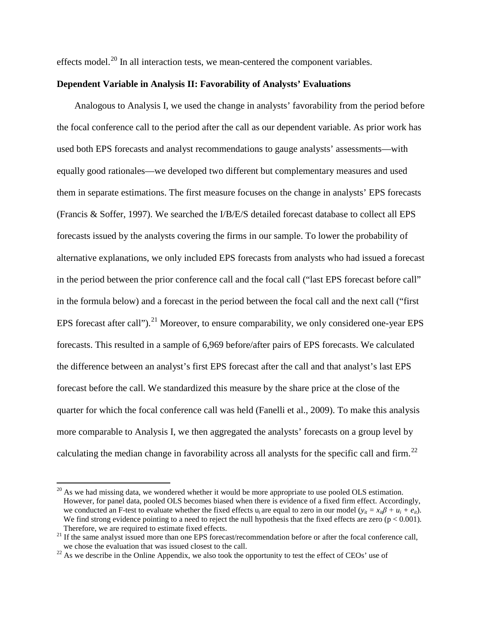effects model.<sup>[20](#page-27-0)</sup> In all interaction tests, we mean-centered the component variables.

# **Dependent Variable in Analysis II: Favorability of Analysts' Evaluations**

Analogous to Analysis I, we used the change in analysts' favorability from the period before the focal conference call to the period after the call as our dependent variable. As prior work has used both EPS forecasts and analyst recommendations to gauge analysts' assessments—with equally good rationales—we developed two different but complementary measures and used them in separate estimations. The first measure focuses on the change in analysts' EPS forecasts (Francis & Soffer, 1997). We searched the I/B/E/S detailed forecast database to collect all EPS forecasts issued by the analysts covering the firms in our sample. To lower the probability of alternative explanations, we only included EPS forecasts from analysts who had issued a forecast in the period between the prior conference call and the focal call ("last EPS forecast before call" in the formula below) and a forecast in the period between the focal call and the next call ("first EPS forecast after call").<sup>[21](#page-27-1)</sup> Moreover, to ensure comparability, we only considered one-year EPS forecasts. This resulted in a sample of 6,969 before/after pairs of EPS forecasts. We calculated the difference between an analyst's first EPS forecast after the call and that analyst's last EPS forecast before the call. We standardized this measure by the share price at the close of the quarter for which the focal conference call was held (Fanelli et al., 2009). To make this analysis more comparable to Analysis I, we then aggregated the analysts' forecasts on a group level by calculating the median change in favorability across all analysts for the specific call and firm.<sup>[22](#page-27-2)</sup>

<span id="page-27-0"></span> $^{20}$  As we had missing data, we wondered whether it would be more appropriate to use pooled OLS estimation. However, for panel data, pooled OLS becomes biased when there is evidence of a fixed firm effect. Accordingly, we conducted an F-test to evaluate whether the fixed effects u<sub>i</sub> are equal to zero in our model ( $y_{it} = x_{it} \beta + u_i + e_{it}$ ). We find strong evidence pointing to a need to reject the null hypothesis that the fixed effects are zero ( $p < 0.001$ ).<br>Therefore, we are required to estimate fixed effects.

<span id="page-27-1"></span><sup>&</sup>lt;sup>21</sup> If the same analyst issued more than one EPS forecast/recommendation before or after the focal conference call, we chose the evaluation that was issued closest to the call.

<span id="page-27-2"></span> $^{22}$  As we describe in the Online Appendix, we also took the opportunity to test the effect of CEOs' use of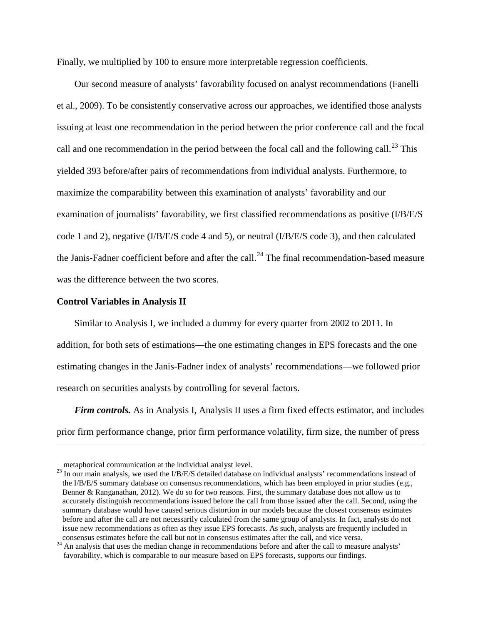Finally, we multiplied by 100 to ensure more interpretable regression coefficients.

Our second measure of analysts' favorability focused on analyst recommendations (Fanelli et al., 2009). To be consistently conservative across our approaches, we identified those analysts issuing at least one recommendation in the period between the prior conference call and the focal call and one recommendation in the period between the focal call and the following call.<sup>[23](#page-28-0)</sup> This yielded 393 before/after pairs of recommendations from individual analysts. Furthermore, to maximize the comparability between this examination of analysts' favorability and our examination of journalists' favorability, we first classified recommendations as positive (I/B/E/S code 1 and 2), negative (I/B/E/S code 4 and 5), or neutral (I/B/E/S code 3), and then calculated the Janis-Fadner coefficient before and after the call.<sup>[24](#page-28-1)</sup> The final recommendation-based measure was the difference between the two scores.

#### **Control Variables in Analysis II**

 $\overline{a}$ 

Similar to Analysis I, we included a dummy for every quarter from 2002 to 2011. In addition, for both sets of estimations—the one estimating changes in EPS forecasts and the one estimating changes in the Janis-Fadner index of analysts' recommendations—we followed prior research on securities analysts by controlling for several factors.

*Firm controls.* As in Analysis I, Analysis II uses a firm fixed effects estimator, and includes prior firm performance change, prior firm performance volatility, firm size, the number of press

<span id="page-28-0"></span>metaphorical communication at the individual analyst level.<br><sup>23</sup> In our main analysis, we used the I/B/E/S detailed database on individual analysts' recommendations instead of the I/B/E/S summary database on consensus recommendations, which has been employed in prior studies (e.g., Benner & Ranganathan, 2012). We do so for two reasons. First, the summary database does not allow us to accurately distinguish recommendations issued before the call from those issued after the call. Second, using the summary database would have caused serious distortion in our models because the closest consensus estimates before and after the call are not necessarily calculated from the same group of analysts. In fact, analysts do not issue new recommendations as often as they issue EPS forecasts. As such, analysts are frequently included in consensus estimates before the call but not in consensus estimates after the call, and vice versa.

<span id="page-28-1"></span> $24$  An analysis that uses the median change in recommendations before and after the call to measure analysts' favorability, which is comparable to our measure based on EPS forecasts, supports our findings.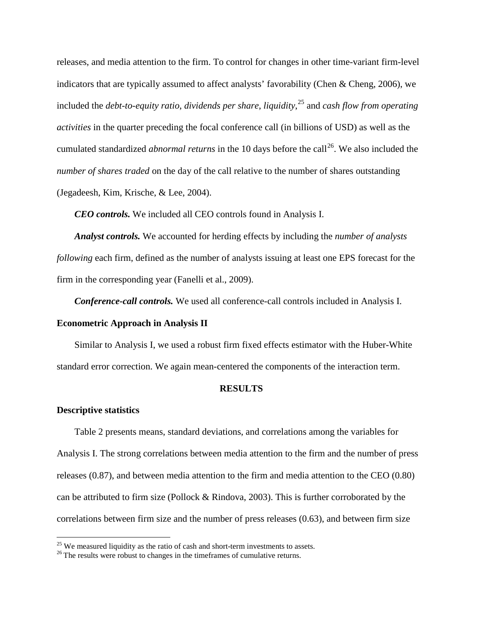releases, and media attention to the firm. To control for changes in other time-variant firm-level indicators that are typically assumed to affect analysts' favorability (Chen & Cheng, 2006), we included the *debt-to-equity ratio*, *dividends per share*, *liquidity*, [25](#page-29-0) and *cash flow from operating activities* in the quarter preceding the focal conference call (in billions of USD) as well as the cumulated standardized *abnormal returns* in the 10 days before the call<sup>[26](#page-29-1)</sup>. We also included the *number of shares traded* on the day of the call relative to the number of shares outstanding (Jegadeesh, Kim, Krische, & Lee, 2004).

*CEO controls.* We included all CEO controls found in Analysis I.

*Analyst controls.* We accounted for herding effects by including the *number of analysts following* each firm, defined as the number of analysts issuing at least one EPS forecast for the firm in the corresponding year (Fanelli et al., 2009).

*Conference-call controls.* We used all conference-call controls included in Analysis I.

#### **Econometric Approach in Analysis II**

Similar to Analysis I, we used a robust firm fixed effects estimator with the Huber-White standard error correction. We again mean-centered the components of the interaction term.

#### **RESULTS**

#### **Descriptive statistics**

Table 2 presents means, standard deviations, and correlations among the variables for Analysis I. The strong correlations between media attention to the firm and the number of press releases (0.87), and between media attention to the firm and media attention to the CEO (0.80) can be attributed to firm size (Pollock & Rindova, 2003). This is further corroborated by the correlations between firm size and the number of press releases (0.63), and between firm size

<span id="page-29-0"></span><sup>&</sup>lt;sup>25</sup> We measured liquidity as the ratio of cash and short-term investments to assets.  $^{26}$  The results were robust to changes in the timeframes of cumulative returns.

<span id="page-29-1"></span>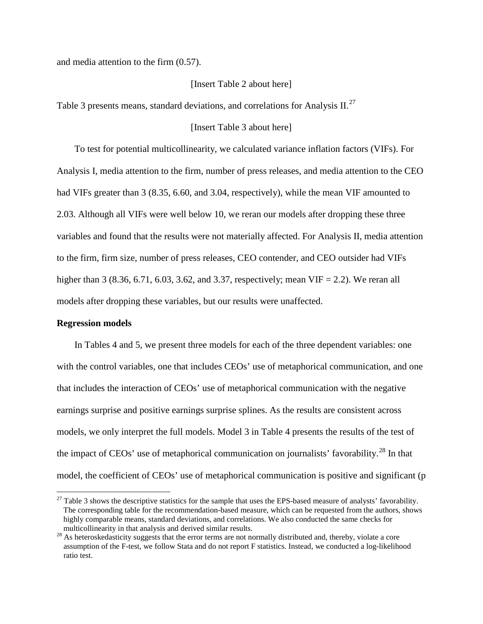and media attention to the firm (0.57).

### [Insert Table 2 about here]

Table 3 presents means, standard deviations, and correlations for Analysis II.<sup>[27](#page-30-0)</sup>

#### [Insert Table 3 about here]

To test for potential multicollinearity, we calculated variance inflation factors (VIFs). For Analysis I, media attention to the firm, number of press releases, and media attention to the CEO had VIFs greater than 3 (8.35, 6.60, and 3.04, respectively), while the mean VIF amounted to 2.03. Although all VIFs were well below 10, we reran our models after dropping these three variables and found that the results were not materially affected. For Analysis II, media attention to the firm, firm size, number of press releases, CEO contender, and CEO outsider had VIFs higher than 3 (8.36, 6.71, 6.03, 3.62, and 3.37, respectively; mean VIF = 2.2). We reran all models after dropping these variables, but our results were unaffected.

#### **Regression models**

In Tables 4 and 5, we present three models for each of the three dependent variables: one with the control variables, one that includes CEOs' use of metaphorical communication, and one that includes the interaction of CEOs' use of metaphorical communication with the negative earnings surprise and positive earnings surprise splines. As the results are consistent across models, we only interpret the full models. Model 3 in Table 4 presents the results of the test of the impact of CEOs' use of metaphorical communication on journalists' favorability.<sup>[28](#page-30-1)</sup> In that model, the coefficient of CEOs' use of metaphorical communication is positive and significant (p

<span id="page-30-0"></span> $^{27}$  Table 3 shows the descriptive statistics for the sample that uses the EPS-based measure of analysts' favorability. The corresponding table for the recommendation-based measure, which can be requested from the authors, shows highly comparable means, standard deviations, and correlations. We also conducted the same checks for multicollinearity in that analysis and derived similar results.

<span id="page-30-1"></span><sup>&</sup>lt;sup>28</sup> As heteroskedasticity suggests that the error terms are not normally distributed and, thereby, violate a core assumption of the F-test, we follow Stata and do not report F statistics. Instead, we conducted a log-likelihood ratio test.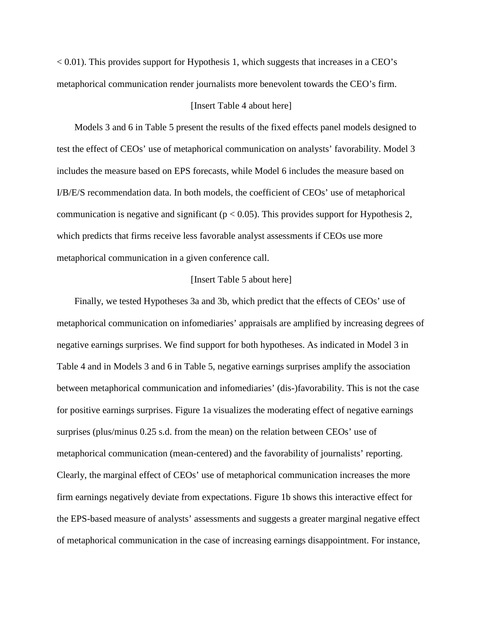$< 0.01$ ). This provides support for Hypothesis 1, which suggests that increases in a CEO's metaphorical communication render journalists more benevolent towards the CEO's firm.

#### [Insert Table 4 about here]

Models 3 and 6 in Table 5 present the results of the fixed effects panel models designed to test the effect of CEOs' use of metaphorical communication on analysts' favorability. Model 3 includes the measure based on EPS forecasts, while Model 6 includes the measure based on I/B/E/S recommendation data. In both models, the coefficient of CEOs' use of metaphorical communication is negative and significant ( $p < 0.05$ ). This provides support for Hypothesis 2, which predicts that firms receive less favorable analyst assessments if CEOs use more metaphorical communication in a given conference call.

# [Insert Table 5 about here]

Finally, we tested Hypotheses 3a and 3b, which predict that the effects of CEOs' use of metaphorical communication on infomediaries' appraisals are amplified by increasing degrees of negative earnings surprises. We find support for both hypotheses. As indicated in Model 3 in Table 4 and in Models 3 and 6 in Table 5, negative earnings surprises amplify the association between metaphorical communication and infomediaries' (dis-)favorability. This is not the case for positive earnings surprises. Figure 1a visualizes the moderating effect of negative earnings surprises (plus/minus 0.25 s.d. from the mean) on the relation between CEOs' use of metaphorical communication (mean-centered) and the favorability of journalists' reporting. Clearly, the marginal effect of CEOs' use of metaphorical communication increases the more firm earnings negatively deviate from expectations. Figure 1b shows this interactive effect for the EPS-based measure of analysts' assessments and suggests a greater marginal negative effect of metaphorical communication in the case of increasing earnings disappointment. For instance,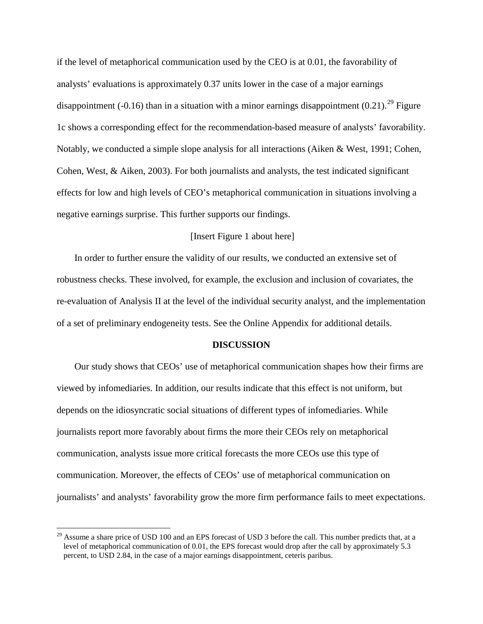if the level of metaphorical communication used by the CEO is at 0.01, the favorability of analysts' evaluations is approximately 0.37 units lower in the case of a major earnings disappointment (-0.16) than in a situation with a minor earnings disappointment  $(0.21)$ .<sup>[29](#page-32-0)</sup> Figure 1c shows a corresponding effect for the recommendation-based measure of analysts' favorability. Notably, we conducted a simple slope analysis for all interactions (Aiken & West, 1991; Cohen, Cohen, West, & Aiken, 2003). For both journalists and analysts, the test indicated significant effects for low and high levels of CEO's metaphorical communication in situations involving a negative earnings surprise. This further supports our findings.

## [Insert Figure 1 about here]

In order to further ensure the validity of our results, we conducted an extensive set of robustness checks. These involved, for example, the exclusion and inclusion of covariates, the re-evaluation of Analysis II at the level of the individual security analyst, and the implementation of a set of preliminary endogeneity tests. See the Online Appendix for additional details.

#### **DISCUSSION**

Our study shows that CEOs' use of metaphorical communication shapes how their firms are viewed by infomediaries. In addition, our results indicate that this effect is not uniform, but depends on the idiosyncratic social situations of different types of infomediaries. While journalists report more favorably about firms the more their CEOs rely on metaphorical communication, analysts issue more critical forecasts the more CEOs use this type of communication. Moreover, the effects of CEOs' use of metaphorical communication on journalists' and analysts' favorability grow the more firm performance fails to meet expectations.

<span id="page-32-0"></span><sup>&</sup>lt;sup>29</sup> Assume a share price of USD 100 and an EPS forecast of USD 3 before the call. This number predicts that, at a level of metaphorical communication of 0.01, the EPS forecast would drop after the call by approximately 5.3 percent, to USD 2.84, in the case of a major earnings disappointment, ceteris paribus.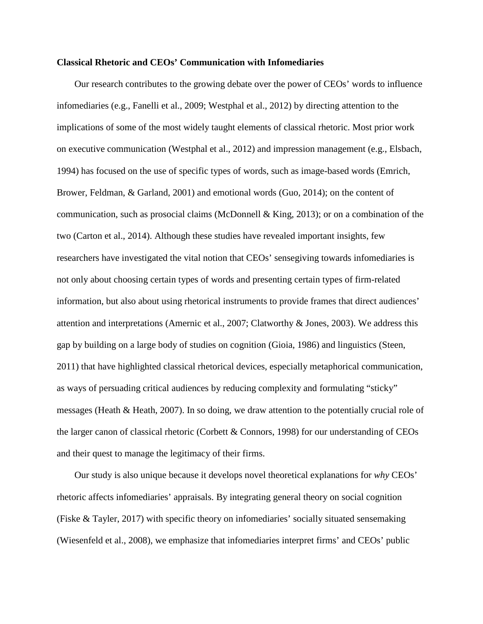#### **Classical Rhetoric and CEOs' Communication with Infomediaries**

Our research contributes to the growing debate over the power of CEOs' words to influence infomediaries (e.g., Fanelli et al., 2009; Westphal et al., 2012) by directing attention to the implications of some of the most widely taught elements of classical rhetoric. Most prior work on executive communication (Westphal et al., 2012) and impression management (e.g., Elsbach, 1994) has focused on the use of specific types of words, such as image-based words (Emrich, Brower, Feldman, & Garland, 2001) and emotional words (Guo, 2014); on the content of communication, such as prosocial claims (McDonnell & King, 2013); or on a combination of the two (Carton et al., 2014). Although these studies have revealed important insights, few researchers have investigated the vital notion that CEOs' sensegiving towards infomediaries is not only about choosing certain types of words and presenting certain types of firm-related information, but also about using rhetorical instruments to provide frames that direct audiences' attention and interpretations (Amernic et al., 2007; Clatworthy & Jones, 2003). We address this gap by building on a large body of studies on cognition (Gioia, 1986) and linguistics (Steen, 2011) that have highlighted classical rhetorical devices, especially metaphorical communication, as ways of persuading critical audiences by reducing complexity and formulating "sticky" messages (Heath & Heath, 2007). In so doing, we draw attention to the potentially crucial role of the larger canon of classical rhetoric (Corbett & Connors, 1998) for our understanding of CEOs and their quest to manage the legitimacy of their firms.

Our study is also unique because it develops novel theoretical explanations for *why* CEOs' rhetoric affects infomediaries' appraisals. By integrating general theory on social cognition (Fiske & Tayler, 2017) with specific theory on infomediaries' socially situated sensemaking (Wiesenfeld et al., 2008), we emphasize that infomediaries interpret firms' and CEOs' public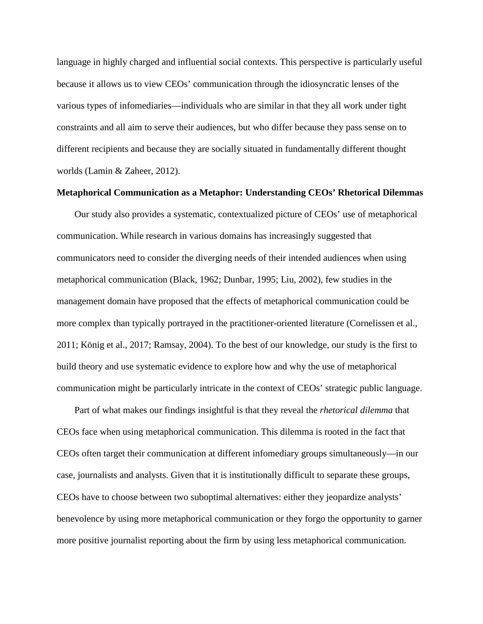language in highly charged and influential social contexts. This perspective is particularly useful because it allows us to view CEOs' communication through the idiosyncratic lenses of the various types of infomediaries—individuals who are similar in that they all work under tight constraints and all aim to serve their audiences, but who differ because they pass sense on to different recipients and because they are socially situated in fundamentally different thought worlds (Lamin & Zaheer, 2012).

#### **Metaphorical Communication as a Metaphor: Understanding CEOs' Rhetorical Dilemmas**

Our study also provides a systematic, contextualized picture of CEOs' use of metaphorical communication. While research in various domains has increasingly suggested that communicators need to consider the diverging needs of their intended audiences when using metaphorical communication (Black, 1962; Dunbar, 1995; Liu, 2002), few studies in the management domain have proposed that the effects of metaphorical communication could be more complex than typically portrayed in the practitioner-oriented literature (Cornelissen et al., 2011; König et al., 2017; Ramsay, 2004). To the best of our knowledge, our study is the first to build theory and use systematic evidence to explore how and why the use of metaphorical communication might be particularly intricate in the context of CEOs' strategic public language.

Part of what makes our findings insightful is that they reveal the *rhetorical dilemma* that CEOs face when using metaphorical communication. This dilemma is rooted in the fact that CEOs often target their communication at different infomediary groups simultaneously—in our case, journalists and analysts. Given that it is institutionally difficult to separate these groups, CEOs have to choose between two suboptimal alternatives: either they jeopardize analysts' benevolence by using more metaphorical communication or they forgo the opportunity to garner more positive journalist reporting about the firm by using less metaphorical communication.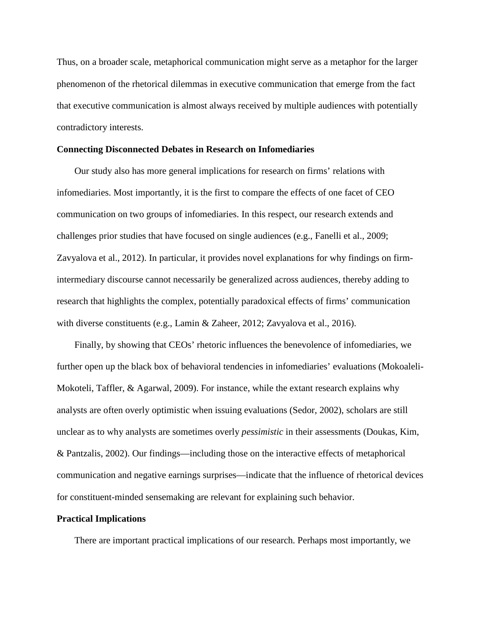Thus, on a broader scale, metaphorical communication might serve as a metaphor for the larger phenomenon of the rhetorical dilemmas in executive communication that emerge from the fact that executive communication is almost always received by multiple audiences with potentially contradictory interests.

#### **Connecting Disconnected Debates in Research on Infomediaries**

Our study also has more general implications for research on firms' relations with infomediaries. Most importantly, it is the first to compare the effects of one facet of CEO communication on two groups of infomediaries. In this respect, our research extends and challenges prior studies that have focused on single audiences (e.g., Fanelli et al., 2009; Zavyalova et al., 2012). In particular, it provides novel explanations for why findings on firmintermediary discourse cannot necessarily be generalized across audiences, thereby adding to research that highlights the complex, potentially paradoxical effects of firms' communication with diverse constituents (e.g., Lamin & Zaheer, 2012; Zavyalova et al., 2016).

Finally, by showing that CEOs' rhetoric influences the benevolence of infomediaries, we further open up the black box of behavioral tendencies in infomediaries' evaluations (Mokoaleli-Mokoteli, Taffler, & Agarwal, 2009). For instance, while the extant research explains why analysts are often overly optimistic when issuing evaluations (Sedor, 2002), scholars are still unclear as to why analysts are sometimes overly *pessimistic* in their assessments (Doukas, Kim, & Pantzalis, 2002). Our findings—including those on the interactive effects of metaphorical communication and negative earnings surprises—indicate that the influence of rhetorical devices for constituent-minded sensemaking are relevant for explaining such behavior.

#### **Practical Implications**

There are important practical implications of our research. Perhaps most importantly, we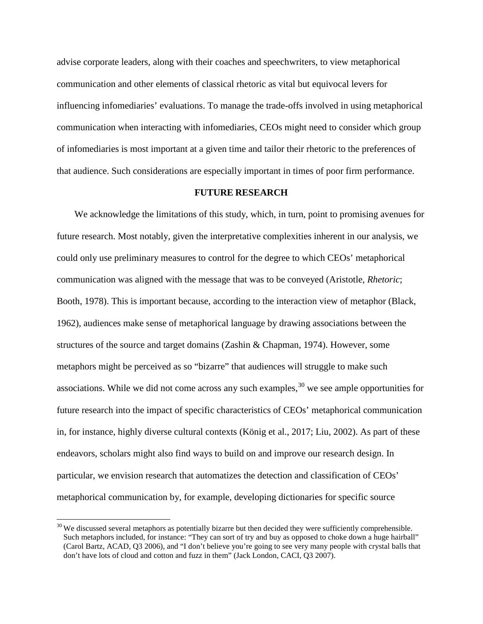advise corporate leaders, along with their coaches and speechwriters, to view metaphorical communication and other elements of classical rhetoric as vital but equivocal levers for influencing infomediaries' evaluations. To manage the trade-offs involved in using metaphorical communication when interacting with infomediaries, CEOs might need to consider which group of infomediaries is most important at a given time and tailor their rhetoric to the preferences of that audience. Such considerations are especially important in times of poor firm performance.

#### **FUTURE RESEARCH**

We acknowledge the limitations of this study, which, in turn, point to promising avenues for future research. Most notably, given the interpretative complexities inherent in our analysis, we could only use preliminary measures to control for the degree to which CEOs' metaphorical communication was aligned with the message that was to be conveyed (Aristotle, *Rhetoric*; Booth, 1978). This is important because, according to the interaction view of metaphor (Black, 1962), audiences make sense of metaphorical language by drawing associations between the structures of the source and target domains (Zashin & Chapman, 1974). However, some metaphors might be perceived as so "bizarre" that audiences will struggle to make such associations. While we did not come across any such examples, $30$  we see ample opportunities for future research into the impact of specific characteristics of CEOs' metaphorical communication in, for instance, highly diverse cultural contexts (König et al., 2017; Liu, 2002). As part of these endeavors, scholars might also find ways to build on and improve our research design. In particular, we envision research that automatizes the detection and classification of CEOs' metaphorical communication by, for example, developing dictionaries for specific source

<span id="page-36-0"></span> $30$  We discussed several metaphors as potentially bizarre but then decided they were sufficiently comprehensible. Such metaphors included, for instance: "They can sort of try and buy as opposed to choke down a huge hairball" (Carol Bartz, ACAD, Q3 2006), and "I don't believe you're going to see very many people with crystal balls that don't have lots of cloud and cotton and fuzz in them" (Jack London, CACI, Q3 2007).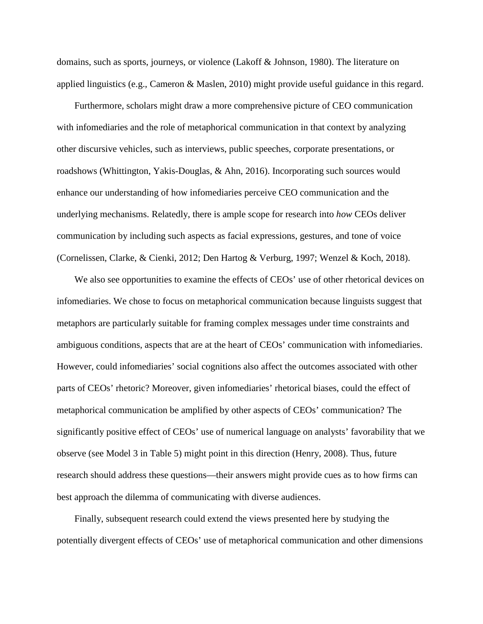domains, such as sports, journeys, or violence (Lakoff & Johnson, 1980). The literature on applied linguistics (e.g., Cameron & Maslen, 2010) might provide useful guidance in this regard.

Furthermore, scholars might draw a more comprehensive picture of CEO communication with infomediaries and the role of metaphorical communication in that context by analyzing other discursive vehicles, such as interviews, public speeches, corporate presentations, or roadshows (Whittington, Yakis-Douglas, & Ahn, 2016). Incorporating such sources would enhance our understanding of how infomediaries perceive CEO communication and the underlying mechanisms. Relatedly, there is ample scope for research into *how* CEOs deliver communication by including such aspects as facial expressions, gestures, and tone of voice (Cornelissen, Clarke, & Cienki, 2012; Den Hartog & Verburg, 1997; Wenzel & Koch, 2018).

We also see opportunities to examine the effects of CEOs' use of other rhetorical devices on infomediaries. We chose to focus on metaphorical communication because linguists suggest that metaphors are particularly suitable for framing complex messages under time constraints and ambiguous conditions, aspects that are at the heart of CEOs' communication with infomediaries. However, could infomediaries' social cognitions also affect the outcomes associated with other parts of CEOs' rhetoric? Moreover, given infomediaries' rhetorical biases, could the effect of metaphorical communication be amplified by other aspects of CEOs' communication? The significantly positive effect of CEOs' use of numerical language on analysts' favorability that we observe (see Model 3 in Table 5) might point in this direction (Henry, 2008). Thus, future research should address these questions—their answers might provide cues as to how firms can best approach the dilemma of communicating with diverse audiences.

Finally, subsequent research could extend the views presented here by studying the potentially divergent effects of CEOs' use of metaphorical communication and other dimensions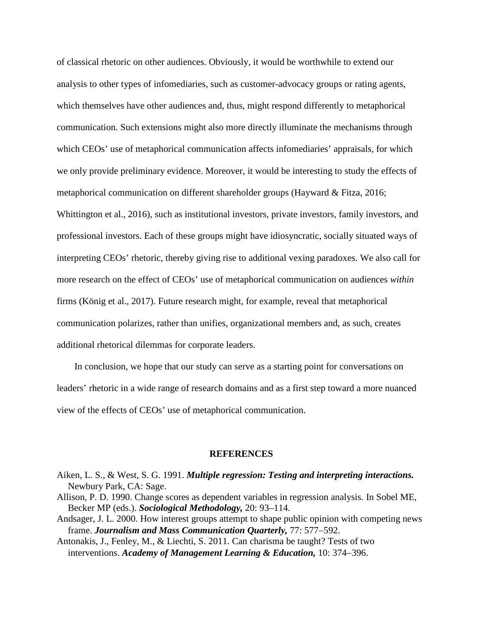of classical rhetoric on other audiences. Obviously, it would be worthwhile to extend our analysis to other types of infomediaries, such as customer-advocacy groups or rating agents, which themselves have other audiences and, thus, might respond differently to metaphorical communication. Such extensions might also more directly illuminate the mechanisms through which CEOs' use of metaphorical communication affects infomediaries' appraisals, for which we only provide preliminary evidence. Moreover, it would be interesting to study the effects of metaphorical communication on different shareholder groups (Hayward & Fitza, 2016; Whittington et al., 2016), such as institutional investors, private investors, family investors, and professional investors. Each of these groups might have idiosyncratic, socially situated ways of interpreting CEOs' rhetoric, thereby giving rise to additional vexing paradoxes. We also call for more research on the effect of CEOs' use of metaphorical communication on audiences *within* firms (König et al., 2017). Future research might, for example, reveal that metaphorical communication polarizes, rather than unifies, organizational members and, as such, creates additional rhetorical dilemmas for corporate leaders.

In conclusion, we hope that our study can serve as a starting point for conversations on leaders' rhetoric in a wide range of research domains and as a first step toward a more nuanced view of the effects of CEOs' use of metaphorical communication.

#### **REFERENCES**

- Aiken, L. S., & West, S. G. 1991. *Multiple regression: Testing and interpreting interactions.* Newbury Park, CA: Sage.
- Allison, P. D. 1990. Change scores as dependent variables in regression analysis. In Sobel ME, Becker MP (eds.). *Sociological Methodology,* 20: 93–114.
- Andsager, J. L. 2000. How interest groups attempt to shape public opinion with competing news frame. *Journalism and Mass Communication Quarterly,* 77: 577−592.
- Antonakis, J., Fenley, M., & Liechti, S. 2011. Can charisma be taught? Tests of two interventions. *Academy of Management Learning & Education,* 10: 374−396.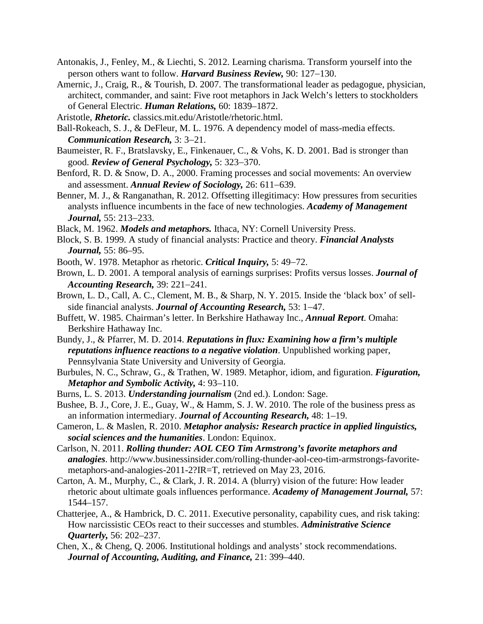- Antonakis, J., Fenley, M., & Liechti, S. 2012. Learning charisma. Transform yourself into the person others want to follow. *Harvard Business Review,* 90: 127−130.
- Amernic, J., Craig, R., & Tourish, D. 2007. The transformational leader as pedagogue, physician, architect, commander, and saint: Five root metaphors in Jack Welch's letters to stockholders of General Electric. *Human Relations,* 60: 1839–1872.
- Aristotle, *Rhetoric.* classics.mit.edu/Aristotle/rhetoric.html.
- Ball-Rokeach, S. J., & DeFleur, M. L. 1976. A dependency model of mass-media effects. *Communication Research,* 3: 3−21.
- Baumeister, R. F., Bratslavsky, E., Finkenauer, C., & Vohs, K. D. 2001. Bad is stronger than good. *Review of General Psychology,* 5: 323−370.
- Benford, R. D. & Snow, D. A., 2000. Framing processes and social movements: An overview and assessment. *Annual Review of Sociology,* 26: 611−639.
- Benner, M. J., & Ranganathan, R. 2012. Offsetting illegitimacy: How pressures from securities analysts influence incumbents in the face of new technologies. *Academy of Management Journal,* 55: 213−233.
- Black, M. 1962. *Models and metaphors.* Ithaca, NY: Cornell University Press.
- Block, S. B. 1999. A study of financial analysts: Practice and theory. *Financial Analysts Journal,* 55: 86–95.
- Booth, W. 1978. Metaphor as rhetoric. *Critical Inquiry,* 5: 49−72.
- Brown, L. D. 2001. A temporal analysis of earnings surprises: Profits versus losses. *Journal of Accounting Research,* 39: 221−241.
- Brown, L. D., Call, A. C., Clement, M. B., & Sharp, N. Y. 2015. Inside the 'black box' of sellside financial analysts. *Journal of Accounting Research,* 53: 1−47.
- Buffett, W. 1985. Chairman's letter. In Berkshire Hathaway Inc., *Annual Report*. Omaha: Berkshire Hathaway Inc.
- Bundy, J., & Pfarrer, M. D. 2014. *Reputations in flux: Examining how a firm's multiple reputations influence reactions to a negative violation*. Unpublished working paper, Pennsylvania State University and University of Georgia.
- Burbules, N. C., Schraw, G., & Trathen, W. 1989. Metaphor, idiom, and figuration. *Figuration, Metaphor and Symbolic Activity,* 4: 93–110.
- Burns, L. S. 2013. *Understanding journalism* (2nd ed.). London: Sage.
- Bushee, B. J., Core, J. E., Guay, W., & Hamm, S. J. W. 2010. The role of the business press as an information intermediary. *Journal of Accounting Research,* 48: 1–19.
- Cameron, L. & Maslen, R. 2010. *Metaphor analysis: Research practice in applied linguistics, social sciences and the humanities*. London: Equinox.
- Carlson, N. 2011. *Rolling thunder: AOL CEO Tim Armstrong's favorite metaphors and analogies*. http://www.businessinsider.com/rolling-thunder-aol-ceo-tim-armstrongs-favoritemetaphors-and-analogies-2011-2?IR=T, retrieved on May 23, 2016.
- Carton, A. M., Murphy, C., & Clark, J. R. 2014. A (blurry) vision of the future: How leader rhetoric about ultimate goals influences performance. *Academy of Management Journal,* 57: 1544–157.
- Chatterjee, A., & Hambrick, D. C. 2011. Executive personality, capability cues, and risk taking: How narcissistic CEOs react to their successes and stumbles. *Administrative Science Quarterly,* 56: 202–237.
- Chen, X., & Cheng, Q. 2006. Institutional holdings and analysts' stock recommendations. *Journal of Accounting, Auditing, and Finance,* 21: 399–440.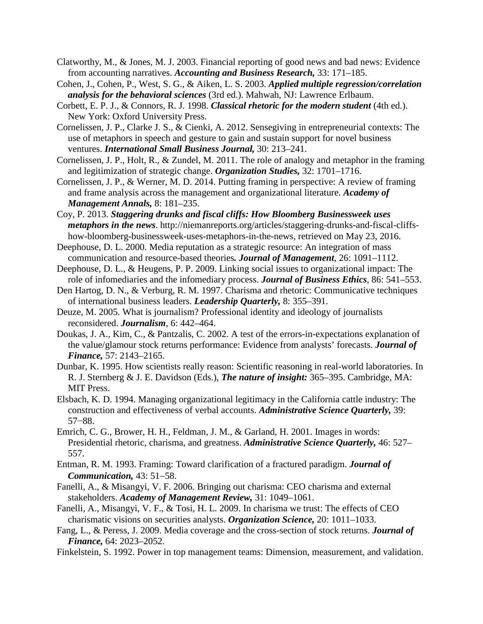- Clatworthy, M., & Jones, M. J. 2003. Financial reporting of good news and bad news: Evidence from accounting narratives. *Accounting and Business Research,* 33: 171–185.
- Cohen, J., Cohen, P., West, S. G., & Aiken, L. S. 2003. *Applied multiple regression/correlation analysis for the behavioral sciences* (3rd ed.). Mahwah, NJ: Lawrence Erlbaum.
- Corbett, E. P. J., & Connors, R. J. 1998. *Classical rhetoric for the modern student* (4th ed.). New York: Oxford University Press.
- Cornelissen, J. P., Clarke J. S., & Cienki, A. 2012. Sensegiving in entrepreneurial contexts: The use of metaphors in speech and gesture to gain and sustain support for novel business ventures. *International Small Business Journal,* 30: 213–241.
- Cornelissen, J. P., Holt, R., & Zundel, M. 2011. The role of analogy and metaphor in the framing and legitimization of strategic change. *Organization Studies,* 32: 1701–1716.
- Cornelissen, J. P., & Werner, M. D. 2014. Putting framing in perspective: A review of framing and frame analysis across the management and organizational literature. *Academy of Management Annals,* 8: 181–235.
- Coy, P. 2013. *Staggering drunks and fiscal cliffs: How Bloomberg Businessweek uses metaphors in the news*. http://niemanreports.org/articles/staggering-drunks-and-fiscal-cliffshow-bloomberg-businessweek-uses-metaphors-in-the-news, retrieved on May 23, 2016.
- Deephouse, D. L. 2000. Media reputation as a strategic resource: An integration of mass communication and resource-based theories*. Journal of Management*, 26: 1091–1112.
- Deephouse, D. L., & Heugens, P. P. 2009. Linking social issues to organizational impact: The role of infomediaries and the infomediary process. *Journal of Business Ethics*, 86: 541–553.
- Den Hartog, D. N., & Verburg, R. M. 1997. Charisma and rhetoric: Communicative techniques of international business leaders. *Leadership Quarterly,* 8: 355–391.
- Deuze, M. 2005. What is journalism? Professional identity and ideology of journalists reconsidered. *Journalism*, 6: 442–464.
- Doukas, J. A., Kim, C., & Pantzalis, C. 2002. A test of the errors-in-expectations explanation of the value/glamour stock returns performance: Evidence from analysts' forecasts. *Journal of Finance,* 57: 2143–2165.
- Dunbar, K. 1995. How scientists really reason: Scientific reasoning in real-world laboratories. In R. J. Sternberg & J. E. Davidson (Eds.), *The nature of insight:* 365–395. Cambridge, MA: MIT Press.
- Elsbach, K. D. 1994. Managing organizational legitimacy in the California cattle industry: The construction and effectiveness of verbal accounts. *Administrative Science Quarterly,* 39: 57−88.
- Emrich, C. G., Brower, H. H., Feldman, J. M., & Garland, H. 2001. Images in words: Presidential rhetoric, charisma, and greatness. *Administrative Science Quarterly,* 46: 527– 557.
- Entman, R. M. 1993. Framing: Toward clarification of a fractured paradigm. *Journal of Communication,* 43: 51−58.
- Fanelli, A., & Misangyi, V. F. 2006. Bringing out charisma: CEO charisma and external stakeholders. *Academy of Management Review,* 31: 1049–1061.
- Fanelli, A., Misangyi, V. F., & Tosi, H. L. 2009. In charisma we trust: The effects of CEO charismatic visions on securities analysts. *Organization Science,* 20: 1011–1033.
- Fang, L., & Peress, J. 2009. Media coverage and the cross-section of stock returns. *Journal of Finance,* 64: 2023–2052.
- Finkelstein, S. 1992. Power in top management teams: Dimension, measurement, and validation.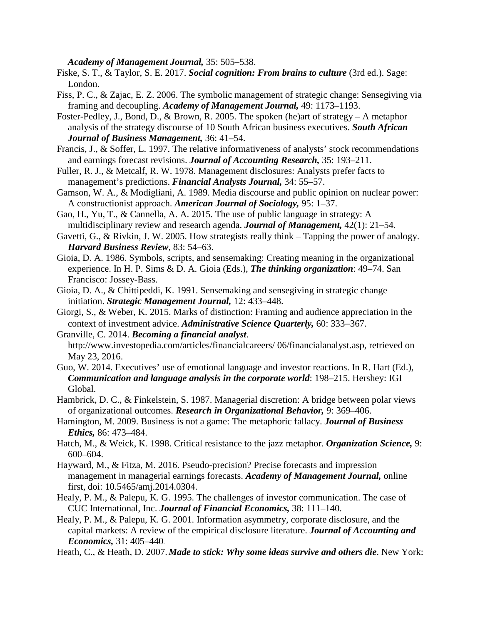*Academy of Management Journal,* 35: 505–538.

Fiske, S. T., & Taylor, S. E. 2017. *Social cognition: From brains to culture* (3rd ed.). Sage: London.

- Fiss, P. C., & Zajac, E. Z. 2006. The symbolic management of strategic change: Sensegiving via framing and decoupling. *Academy of Management Journal,* 49: 1173–1193.
- Foster-Pedley, J., Bond, D., & Brown, R. 2005. The spoken (he)art of strategy A metaphor analysis of the strategy discourse of 10 South African business executives. *South African Journal of Business Management,* 36: 41–54.
- Francis, J., & Soffer, L. 1997. The relative informativeness of analysts' stock recommendations and earnings forecast revisions. *Journal of Accounting Research,* 35: 193–211.
- Fuller, R. J., & Metcalf, R. W. 1978. Management disclosures: Analysts prefer facts to management's predictions. *Financial Analysts Journal,* 34: 55–57.
- Gamson, W. A., & Modigliani, A. 1989. Media discourse and public opinion on nuclear power: A constructionist approach. *American Journal of Sociology,* 95: 1–37.
- Gao, H., Yu, T., & Cannella, A. A. 2015. The use of public language in strategy: A multidisciplinary review and research agenda. *Journal of Management,* 42(1): 21–54.
- Gavetti, G., & Rivkin, J. W. 2005. How strategists really think Tapping the power of analogy. *Harvard Business Review*, 83: 54–63.
- Gioia, D. A. 1986. Symbols, scripts, and sensemaking: Creating meaning in the organizational experience. In H. P. Sims & D. A. Gioia (Eds.), *The thinking organization*: 49–74. San Francisco: Jossey-Bass.
- Gioia, D. A., & Chittipeddi, K. 1991. Sensemaking and sensegiving in strategic change initiation. *Strategic Management Journal,* 12: 433–448.
- Giorgi, S., & Weber, K. 2015. Marks of distinction: Framing and audience appreciation in the context of investment advice. *Administrative Science Quarterly,* 60: 333−367.

Granville, C. 2014. *Becoming a financial analyst*. http://www.investopedia.com/articles/financialcareers/ 06/financialanalyst.asp, retrieved on May 23, 2016.

Guo, W. 2014. Executives' use of emotional language and investor reactions. In R. Hart (Ed.), *Communication and language analysis in the corporate world*: 198–215. Hershey: IGI Global.

Hambrick, D. C., & Finkelstein, S. 1987. Managerial discretion: A bridge between polar views of organizational outcomes. *Research in Organizational Behavior,* 9: 369–406.

- Hamington, M. 2009. Business is not a game: The metaphoric fallacy. *Journal of Business Ethics,* 86: 473–484.
- Hatch, M., & Weick, K. 1998. Critical resistance to the jazz metaphor. *Organization Science,* 9: 600–604.
- Hayward, M., & Fitza, M. 2016. Pseudo-precision? Precise forecasts and impression management in managerial earnings forecasts. *Academy of Management Journal,* online first, doi: 10.5465/amj.2014.0304.
- Healy, P. M., & Palepu, K. G. 1995. The challenges of investor communication. The case of CUC International, Inc. *Journal of Financial Economics,* 38: 111–140.
- Healy, P. M., & Palepu, K. G. 2001. Information asymmetry, corporate disclosure, and the capital markets: A review of the empirical disclosure literature. *Journal of Accounting and Economics,* 31: 405–440.

Heath, C., & Heath, D. 2007.*Made to stick: Why some ideas survive and others die*. New York: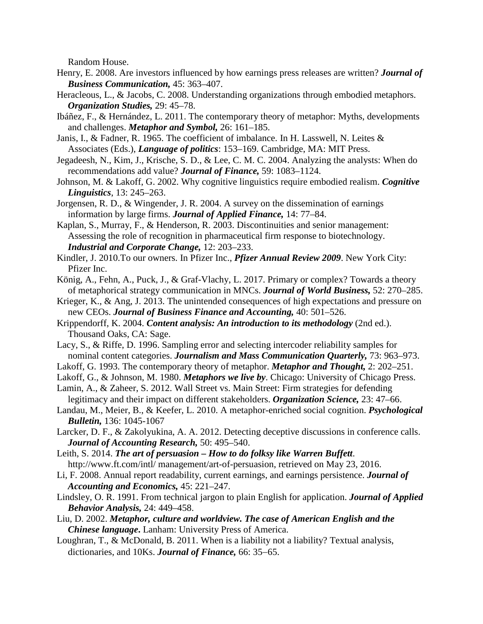Random House.

- Henry, E. 2008. Are investors influenced by how earnings press releases are written? *Journal of Business Communication,* 45: 363–407.
- Heracleous, L., & Jacobs, C. 2008. Understanding organizations through embodied metaphors. *Organization Studies,* 29: 45–78.
- Ibáñez, F., & Hernández, L. 2011. The contemporary theory of metaphor: Myths, developments and challenges. *Metaphor and Symbol,* 26: 161–185.
- Janis, I., & Fadner, R. 1965. The coefficient of imbalance. In H. Lasswell, N. Leites & Associates (Eds.), *Language of politics*: 153–169. Cambridge, MA: MIT Press.
- Jegadeesh, N., Kim, J., Krische, S. D., & Lee, C. M. C. 2004. Analyzing the analysts: When do recommendations add value? *Journal of Finance,* 59: 1083–1124.
- Johnson, M. & Lakoff, G. 2002. Why cognitive linguistics require embodied realism. *Cognitive Linguistics*, 13: 245–263.
- Jorgensen, R. D., & Wingender, J. R. 2004. A survey on the dissemination of earnings information by large firms. *Journal of Applied Finance,* 14: 77–84.
- Kaplan, S., Murray, F., & Henderson, R. 2003. Discontinuities and senior management: Assessing the role of recognition in pharmaceutical firm response to biotechnology. *Industrial and Corporate Change,* 12: 203–233.
- Kindler, J. 2010.To our owners. In Pfizer Inc., *Pfizer Annual Review 2009*. New York City: Pfizer Inc.
- König, A., Fehn, A., Puck, J., & Graf-Vlachy, L. 2017. Primary or complex? Towards a theory of metaphorical strategy communication in MNCs. *Journal of World Business,* 52: 270–285.
- Krieger, K., & Ang, J. 2013. The unintended consequences of high expectations and pressure on new CEOs. *Journal of Business Finance and Accounting,* 40: 501–526.
- Krippendorff, K. 2004. *Content analysis: An introduction to its methodology* (2nd ed.). Thousand Oaks, CA: Sage.
- Lacy, S., & Riffe, D. 1996. Sampling error and selecting intercoder reliability samples for nominal content categories. *Journalism and Mass Communication Quarterly,* 73: 963–973.
- Lakoff, G. 1993. The contemporary theory of metaphor. *Metaphor and Thought,* 2: 202–251.
- Lakoff, G., & Johnson, M. 1980. *Metaphors we live by*. Chicago: University of Chicago Press.
- Lamin, A., & Zaheer, S. 2012. Wall Street vs. Main Street: Firm strategies for defending legitimacy and their impact on different stakeholders. *Organization Science,* 23: 47–66.
- Landau, M., Meier, B., & Keefer, L. 2010. A metaphor-enriched social cognition. *Psychological Bulletin,* 136: 1045-1067
- Larcker, D. F., & Zakolyukina, A. A. 2012. Detecting deceptive discussions in conference calls. *Journal of Accounting Research,* 50: 495–540.
- Leith, S. 2014. *The art of persuasion – How to do folksy like Warren Buffett*. http://www.ft.com/intl/ management/art-of-persuasion, retrieved on May 23, 2016.
- Li, F. 2008. Annual report readability, current earnings, and earnings persistence. *Journal of Accounting and Economics,* 45: 221–247.
- Lindsley, O. R. 1991. From technical jargon to plain English for application. *Journal of Applied Behavior Analysis,* 24: 449–458.
- Liu, D. 2002. *Metaphor, culture and worldview. The case of American English and the Chinese language***.** Lanham: University Press of America.
- Loughran, T., & McDonald, B. 2011. When is a liability not a liability? Textual analysis, dictionaries, and 10Ks. *Journal of Finance,* 66: 35−65.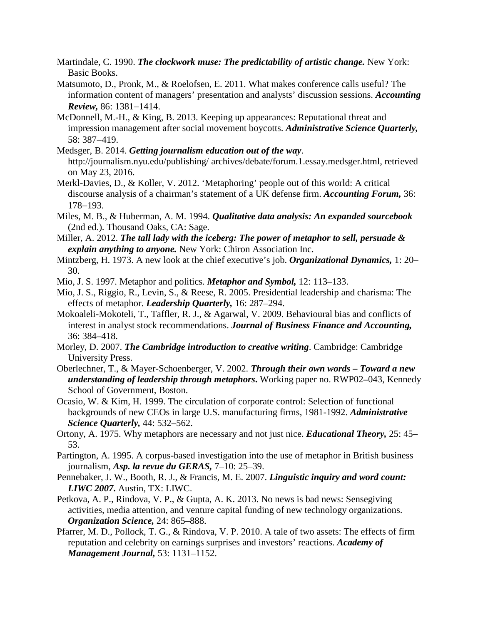- Martindale, C. 1990. *The clockwork muse: The predictability of artistic change.* New York: Basic Books.
- Matsumoto, D., Pronk, M., & Roelofsen, E. 2011. What makes conference calls useful? The information content of managers' presentation and analysts' discussion sessions. *Accounting Review,* 86: 1381−1414.
- McDonnell, M.-H., & King, B. 2013. Keeping up appearances: Reputational threat and impression management after social movement boycotts. *Administrative Science Quarterly,* 58: 387−419.
- Medsger, B. 2014. *Getting journalism education out of the way*. http://journalism.nyu.edu/publishing/ archives/debate/forum.1.essay.medsger.html, retrieved on May 23, 2016.
- Merkl-Davies, D., & Koller, V. 2012. 'Metaphoring' people out of this world: A critical discourse analysis of a chairman's statement of a UK defense firm. *Accounting Forum,* 36: 178−193.
- Miles, M. B., & Huberman, A. M. 1994. *Qualitative data analysis: An expanded sourcebook* (2nd ed.). Thousand Oaks, CA: Sage.
- Miller, A. 2012. *The tall lady with the iceberg: The power of metaphor to sell, persuade & explain anything to anyone.* New York: Chiron Association Inc.
- Mintzberg, H. 1973. A new look at the chief executive's job. *Organizational Dynamics,* 1: 20– 30.
- Mio, J. S. 1997. Metaphor and politics. *Metaphor and Symbol,* 12: 113–133.
- Mio, J. S., Riggio, R., Levin, S., & Reese, R. 2005. Presidential leadership and charisma: The effects of metaphor. *Leadership Quarterly,* 16: 287–294.
- Mokoaleli-Mokoteli, T., Taffler, R. J., & Agarwal, V. 2009. Behavioural bias and conflicts of interest in analyst stock recommendations. *Journal of Business Finance and Accounting,* 36: 384–418.
- Morley, D. 2007. *The Cambridge introduction to creative writing*. Cambridge: Cambridge University Press.
- Oberlechner, T., & Mayer-Schoenberger, V. 2002. *Through their own words – Toward a new understanding of leadership through metaphors***.** Working paper no. RWP02**–**043, Kennedy School of Government, Boston.
- Ocasio, W. & Kim, H. 1999. The circulation of corporate control: Selection of functional backgrounds of new CEOs in large U.S. manufacturing firms, 1981-1992. *Administrative Science Quarterly,* 44: 532–562.
- Ortony, A. 1975. Why metaphors are necessary and not just nice. *Educational Theory,* 25: 45– 53.
- Partington, A. 1995. A corpus-based investigation into the use of metaphor in British business journalism, *Asp. la revue du GERAS,* 7–10: 25–39.
- Pennebaker, J. W., Booth, R. J., & Francis, M. E. 2007. *Linguistic inquiry and word count: LIWC 2007***.** Austin, TX: LIWC.
- Petkova, A. P., Rindova, V. P., & Gupta, A. K. 2013. No news is bad news: Sensegiving activities, media attention, and venture capital funding of new technology organizations. *Organization Science,* 24: 865–888.
- Pfarrer, M. D., Pollock, T. G., & Rindova, V. P. 2010. A tale of two assets: The effects of firm reputation and celebrity on earnings surprises and investors' reactions. *Academy of Management Journal,* 53: 1131–1152.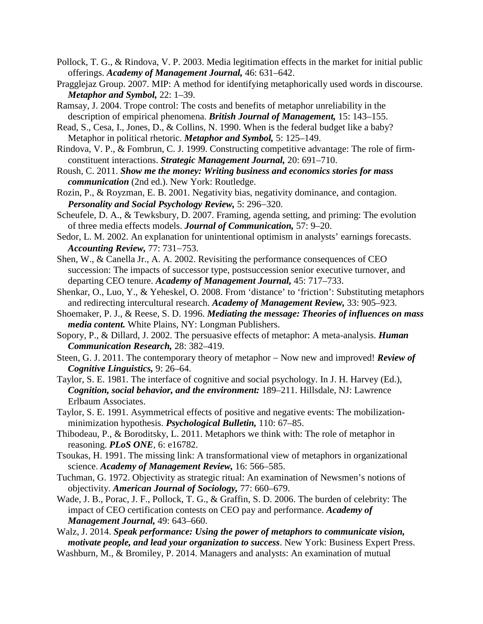- Pollock, T. G., & Rindova, V. P. 2003. Media legitimation effects in the market for initial public offerings. *Academy of Management Journal,* 46: 631–642.
- Pragglejaz Group. 2007. MIP: A method for identifying metaphorically used words in discourse. *Metaphor and Symbol,* 22: 1–39.
- Ramsay, J. 2004. Trope control: The costs and benefits of metaphor unreliability in the description of empirical phenomena. *British Journal of Management,* 15: 143–155.
- Read, S., Cesa, I., Jones, D., & Collins, N. 1990. When is the federal budget like a baby? Metaphor in political rhetoric. *Metaphor and Symbol,* 5: 125–149.
- Rindova, V. P., & Fombrun, C. J. 1999. Constructing competitive advantage: The role of firmconstituent interactions. *Strategic Management Journal,* 20: 691–710.
- Roush, C. 2011. *Show me the money: Writing business and economics stories for mass communication* (2nd ed.). New York: Routledge.
- Rozin, P., & Royzman, E. B. 2001. Negativity bias, negativity dominance, and contagion. *Personality and Social Psychology Review,* 5: 296−320.
- Scheufele, D. A., & Tewksbury, D. 2007. Framing, agenda setting, and priming: The evolution of three media effects models. *Journal of Communication,* 57: 9–20.
- Sedor, L. M. 2002. An explanation for unintentional optimism in analysts' earnings forecasts. *Accounting Review,* 77: 731−753.
- Shen, W., & Canella Jr., A. A. 2002. Revisiting the performance consequences of CEO succession: The impacts of successor type, postsuccession senior executive turnover, and departing CEO tenure. *Academy of Management Journal,* 45: 717–733.
- Shenkar, O., Luo, Y., & Yeheskel, O. 2008. From 'distance' to 'friction': Substituting metaphors and redirecting intercultural research. *Academy of Management Review,* 33: 905–923.
- Shoemaker, P. J., & Reese, S. D. 1996. *Mediating the message: Theories of influences on mass media content.* White Plains, NY: Longman Publishers.
- Sopory, P., & Dillard, J. 2002. The persuasive effects of metaphor: A meta-analysis. *Human Communication Research,* 28: 382–419.
- Steen, G. J. 2011. The contemporary theory of metaphor − Now new and improved! *Review of Cognitive Linguistics,* 9: 26–64.
- Taylor, S. E. 1981. The interface of cognitive and social psychology. In J. H. Harvey (Ed.), *Cognition, social behavior, and the environment:* 189–211. Hillsdale, NJ: Lawrence Erlbaum Associates.
- Taylor, S. E. 1991. Asymmetrical effects of positive and negative events: The mobilizationminimization hypothesis. *Psychological Bulletin,* 110: 67–85.
- Thibodeau, P., & Boroditsky, L. 2011. Metaphors we think with: The role of metaphor in reasoning. *PLoS ONE*, 6: e16782.
- Tsoukas, H. 1991. The missing link: A transformational view of metaphors in organizational science. *Academy of Management Review,* 16: 566–585.
- Tuchman, G. 1972. Objectivity as strategic ritual: An examination of Newsmen's notions of objectivity. *American Journal of Sociology,* 77: 660–679.
- Wade, J. B., Porac, J. F., Pollock, T. G., & Graffin, S. D. 2006. The burden of celebrity: The impact of CEO certification contests on CEO pay and performance. *Academy of Management Journal,* 49: 643–660.
- Walz, J. 2014. *Speak performance: Using the power of metaphors to communicate vision, motivate people, and lead your organization to success*. New York: Business Expert Press.
- Washburn, M., & Bromiley, P. 2014. Managers and analysts: An examination of mutual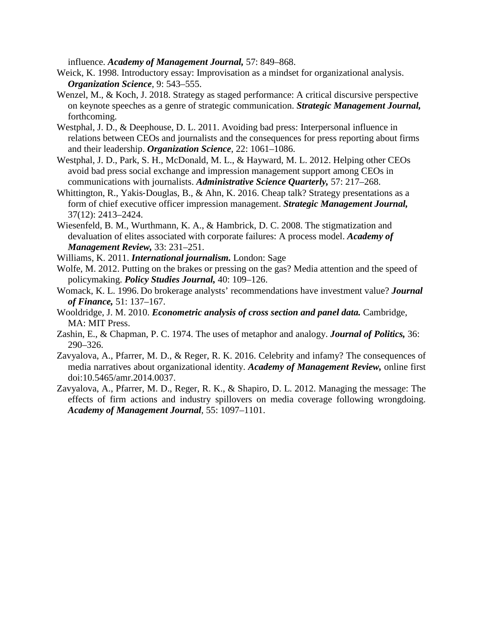influence. *Academy of Management Journal,* 57: 849–868.

- Weick, K. 1998. Introductory essay: Improvisation as a mindset for organizational analysis. *Organization Science*, 9: 543–555.
- Wenzel, M., & Koch, J. 2018. Strategy as staged performance: A critical discursive perspective on keynote speeches as a genre of strategic communication. *Strategic Management Journal,*  forthcoming.
- Westphal, J. D., & Deephouse, D. L. 2011. Avoiding bad press: Interpersonal influence in relations between CEOs and journalists and the consequences for press reporting about firms and their leadership. *Organization Science*, 22: 1061–1086.
- Westphal, J. D., Park, S. H., McDonald, M. L., & Hayward, M. L. 2012. Helping other CEOs avoid bad press social exchange and impression management support among CEOs in communications with journalists. *Administrative Science Quarterly,* 57: 217–268.
- Whittington, R., Yakis-Douglas, B., & Ahn, K. 2016. Cheap talk? Strategy presentations as a form of chief executive officer impression management. *Strategic Management Journal,*  37(12): 2413–2424.
- Wiesenfeld, B. M., Wurthmann, K. A., & Hambrick, D. C. 2008. The stigmatization and devaluation of elites associated with corporate failures: A process model. *Academy of Management Review,* 33: 231–251.
- Williams, K. 2011. *International journalism.* London: Sage
- Wolfe, M. 2012. Putting on the brakes or pressing on the gas? Media attention and the speed of policymaking. *Policy Studies Journal,* 40: 109–126.
- Womack, K. L. 1996. Do brokerage analysts' recommendations have investment value? *Journal of Finance,* 51: 137–167.
- Wooldridge, J. M. 2010. *Econometric analysis of cross section and panel data.* Cambridge, MA: MIT Press.
- Zashin, E., & Chapman, P. C. 1974. The uses of metaphor and analogy. *Journal of Politics,* 36: 290–326.
- Zavyalova, A., Pfarrer, M. D., & Reger, R. K. 2016. Celebrity and infamy? The consequences of media narratives about organizational identity. *Academy of Management Review,* online first doi:10.5465/amr.2014.0037.
- Zavyalova, A., Pfarrer, M. D., Reger, R. K., & Shapiro, D. L. 2012. Managing the message: The effects of firm actions and industry spillovers on media coverage following wrongdoing. *Academy of Management Journal*, 55: 1097–1101.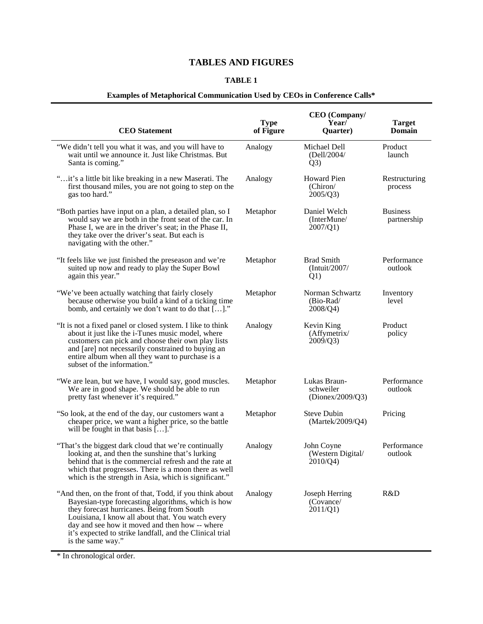# **TABLES AND FIGURES**

# **TABLE 1**

# **Examples of Metaphorical Communication Used by CEOs in Conference Calls\***

| <b>CEO</b> Statement                                                                                                                                                                                                                                                                                                                                  | <b>Type</b><br>of Figure | <b>CEO</b> (Company/<br>Year/<br>Quarter)     | <b>Target</b><br><b>Domain</b> |
|-------------------------------------------------------------------------------------------------------------------------------------------------------------------------------------------------------------------------------------------------------------------------------------------------------------------------------------------------------|--------------------------|-----------------------------------------------|--------------------------------|
| "We didn't tell you what it was, and you will have to<br>wait until we announce it. Just like Christmas. But<br>Santa is coming."                                                                                                                                                                                                                     | Analogy                  | Michael Dell<br>(Dell/2004/<br>Q3)            | Product<br>launch              |
| "it's a little bit like breaking in a new Maserati. The<br>first thousand miles, you are not going to step on the<br>gas too hard."                                                                                                                                                                                                                   | Analogy                  | Howard Pien<br>(Chiron/<br>2005/Q3)           | Restructuring<br>process       |
| "Both parties have input on a plan, a detailed plan, so I<br>would say we are both in the front seat of the car. In<br>Phase I, we are in the driver's seat; in the Phase II,<br>they take over the driver's seat. But each is<br>navigating with the other."                                                                                         | Metaphor                 | Daniel Welch<br>(InterMune/<br>2007/Q1)       | <b>Business</b><br>partnership |
| "It feels like we just finished the preseason and we're<br>suited up now and ready to play the Super Bowl<br>again this year."                                                                                                                                                                                                                        | Metaphor                 | <b>Brad Smith</b><br>(Intuit/2007/<br>Q1)     | Performance<br>outlook         |
| "We've been actually watching that fairly closely<br>because otherwise you build a kind of a ticking time<br>bomb, and certainly we don't want to do that []."                                                                                                                                                                                        | Metaphor                 | Norman Schwartz<br>$(Bio-Rad)$<br>2008/Q4)    | Inventory<br>level             |
| "It is not a fixed panel or closed system. I like to think<br>about it just like the i-Tunes music model, where<br>customers can pick and choose their own play lists<br>and [are] not necessarily constrained to buying an<br>entire album when all they want to purchase is a<br>subset of the information."                                        | Analogy                  | Kevin King<br>(Affymetrix/<br>2009/Q3)        | Product<br>policy              |
| "We are lean, but we have, I would say, good muscles.<br>We are in good shape. We should be able to run<br>pretty fast whenever it's required."                                                                                                                                                                                                       | Metaphor                 | Lukas Braun-<br>schweiler<br>(Dionex/2009/Q3) | Performance<br>outlook         |
| "So look, at the end of the day, our customers want a<br>cheaper price, we want a higher price, so the battle<br>will be fought in that basis $[]$ .                                                                                                                                                                                                  | Metaphor                 | <b>Steve Dubin</b><br>(Martek/2009/Q4)        | Pricing                        |
| "That's the biggest dark cloud that we're continually<br>looking at, and then the sunshine that's lurking<br>behind that is the commercial refresh and the rate at<br>which that progresses. There is a moon there as well<br>which is the strength in Asia, which is significant."                                                                   | Analogy                  | John Coyne<br>(Western Digital/<br>2010/Q4)   | Performance<br>outlook         |
| "And then, on the front of that, Todd, if you think about<br>Bayesian-type forecasting algorithms, which is how<br>they forecast hurricanes. Being from South<br>Louisiana, I know all about that. You watch every<br>day and see how it moved and then how -- where<br>it's expected to strike landfall, and the Clinical trial<br>is the same way." | Analogy                  | Joseph Herring<br>(Covance/<br>2011/Q1        | R&D                            |

\* In chronological order.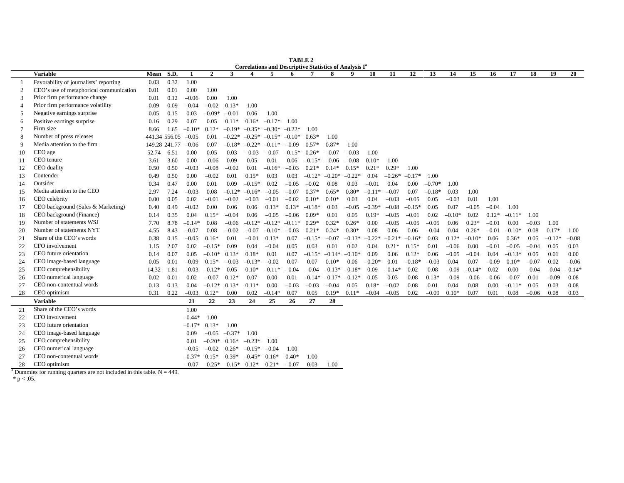|                | Correlations and Descriptive Statistics of Analysis I <sup>a</sup> |       |               |              |              |                 |          |                         |          |          |          |          |          |          |          |          |          |          |         |          |         |          |          |
|----------------|--------------------------------------------------------------------|-------|---------------|--------------|--------------|-----------------|----------|-------------------------|----------|----------|----------|----------|----------|----------|----------|----------|----------|----------|---------|----------|---------|----------|----------|
|                | <b>Variable</b>                                                    | Mean  | S.D.          | $\mathbf{1}$ | $\mathbf{2}$ | 3               | 4        | $\overline{\mathbf{5}}$ | 6        |          | 8        | 9        | 10       | 11       | 12       | 13       | 14       | 15       | 16      | 17       | 18      | 19       | 20       |
|                | Favorability of journalists' reporting                             | 0.03  | 0.32          | 1.00         |              |                 |          |                         |          |          |          |          |          |          |          |          |          |          |         |          |         |          |          |
| $\overline{2}$ | CEO's use of metaphorical communication                            | 0.01  | 0.01          | 0.00         | 1.00         |                 |          |                         |          |          |          |          |          |          |          |          |          |          |         |          |         |          |          |
| 3              | Prior firm performance change                                      | 0.01  | 0.12          | $-0.06$      | 0.00         | 1.00            |          |                         |          |          |          |          |          |          |          |          |          |          |         |          |         |          |          |
| $\overline{4}$ | Prior firm performance volatility                                  | 0.09  | 0.09          | $-0.04$      | $-0.02$      | $0.13*$         | 1.00     |                         |          |          |          |          |          |          |          |          |          |          |         |          |         |          |          |
| 5              | Negative earnings surprise                                         | 0.05  | 0.15          | 0.03         | $-0.09*$     | $-0.01$         | 0.06     | 1.00                    |          |          |          |          |          |          |          |          |          |          |         |          |         |          |          |
| 6              | Positive earnings surprise                                         | 0.16  | 0.29          | 0.07         | 0.05         | $0.11*$         | $0.16*$  | $-0.17*$                | 1.00     |          |          |          |          |          |          |          |          |          |         |          |         |          |          |
| $\tau$         | Firm size                                                          | 8.66  | 1.65          | $-0.10*$     | $0.12*$      | $-0.19*$        | $-0.35*$ | $-0.30*$                | $-0.22*$ | 1.00     |          |          |          |          |          |          |          |          |         |          |         |          |          |
| 8              | Number of press releases                                           |       | 441.34 556.05 | $-0.05$      | 0.01         | $-0.22*$        | $-0.25*$ | $-0.15*$                | $-0.10*$ | $0.63*$  | 1.00     |          |          |          |          |          |          |          |         |          |         |          |          |
| 9              | Media attention to the firm                                        |       | 149.28 241.77 | $-0.06$      | 0.07         | $-0.18*$        | $-0.22*$ | $-0.11*$                | $-0.09$  | $0.57*$  | $0.87*$  | 1.00     |          |          |          |          |          |          |         |          |         |          |          |
| 10             | CEO age                                                            | 52.74 | 6.51          | 0.00         | 0.05         | 0.03            | $-0.03$  | $-0.07$                 | $-0.15*$ | $0.26*$  | $-0.07$  | $-0.03$  | 1.00     |          |          |          |          |          |         |          |         |          |          |
| -11            | CEO tenure                                                         | 3.61  | 3.60          | 0.00         | $-0.06$      | 0.09            | 0.05     | 0.01                    | 0.06     | $-0.15*$ | $-0.06$  | $-0.08$  | $0.10*$  | 1.00     |          |          |          |          |         |          |         |          |          |
| 12             | CEO duality                                                        | 0.50  | 0.50          | $-0.03$      | $-0.08$      | $-0.02$         | 0.01     | $-0.16*$                | $-0.03$  | $0.21*$  | $0.14*$  | $0.15*$  | $0.21*$  | $0.29*$  | 1.00     |          |          |          |         |          |         |          |          |
| 13             | Contender                                                          | 0.49  | 0.50          | 0.00         | $-0.02$      | 0.01            | $0.15*$  | 0.03                    | 0.03     | $-0.12*$ | $-0.20*$ | $-0.22*$ | 0.04     | $-0.26*$ | $-0.17*$ | 1.00     |          |          |         |          |         |          |          |
| 14             | Outsider                                                           | 0.34  | 0.47          | 0.00         | 0.01         | 0.09            | $-0.15*$ | 0.02                    | $-0.05$  | $-0.02$  | 0.08     | 0.03     | $-0.01$  | 0.04     | 0.00     | $-0.70*$ | 1.00     |          |         |          |         |          |          |
| 15             | Media attention to the CEO                                         | 2.97  | 7.24          | $-0.03$      | 0.08         | $-0.12*$        | $-0.16*$ | $-0.05$                 | $-0.07$  | $0.37*$  | $0.65*$  | $0.80*$  | $-0.11*$ | $-0.07$  | 0.07     | $-0.18*$ | 0.03     | 1.00     |         |          |         |          |          |
| 16             | CEO celebrity                                                      | 0.00  | 0.05          | 0.02         | $-0.01$      | $-0.02$         | $-0.03$  | $-0.01$                 | $-0.02$  | $0.10*$  | $0.10*$  | 0.03     | 0.04     | $-0.03$  | $-0.05$  | 0.05     | $-0.03$  | 0.01     | 1.00    |          |         |          |          |
| 17             | CEO background (Sales & Marketing)                                 | 0.40  | 0.49          | $-0.02$      | 0.00         | 0.06            | 0.06     | $0.13*$                 | $0.13*$  | $-0.18*$ | 0.03     | $-0.05$  | $-0.39*$ | $-0.08$  | $-0.15*$ | 0.05     | 0.07     | $-0.05$  | $-0.04$ | 1.00     |         |          |          |
| 18             | CEO background (Finance)                                           | 0.14  | 0.35          | 0.04         | $0.15*$      | $-0.04$         | 0.06     | $-0.05$                 | $-0.06$  | $0.09*$  | 0.01     | 0.05     | $0.19*$  | $-0.05$  | $-0.01$  | 0.02     | $-0.10*$ | 0.02     | $0.12*$ | $-0.11*$ | 1.00    |          |          |
| 19             | Number of statements WSJ                                           | 7.70  | 8.78          | $-0.14*$     | 0.08         | $-0.06$         | $-0.12*$ | $-0.12*$                | $-0.11*$ | $0.29*$  | $0.32*$  | $0.26*$  | 0.00     | $-0.05$  | $-0.05$  | $-0.05$  | 0.06     | $0.23*$  | $-0.01$ | 0.00     | $-0.03$ | 1.00     |          |
| 20             | Number of statements NYT                                           | 4.55  | 8.43          | $-0.07$      | 0.08         | $-0.02$         | $-0.07$  | $-0.10*$                | $-0.03$  | $0.21*$  | $0.24*$  | $0.30*$  | 0.08     | 0.06     | 0.06     | $-0.04$  | 0.04     | $0.26*$  | $-0.01$ | $-0.10*$ | 0.08    | $0.17*$  | 1.00     |
| 21             | Share of the CEO's words                                           | 0.38  | 0.15          | $-0.05$      | $0.16*$      | 0.01            | $-0.01$  | $0.13*$                 | 0.07     | $-0.15*$ | $-0.07$  | $-0.13*$ | $-0.22*$ | $-0.21*$ | $-0.16*$ | 0.03     | $0.12*$  | $-0.10*$ | 0.06    | $0.36*$  | 0.05    | $-0.12*$ | $-0.08$  |
| 22             | CFO involvement                                                    | 1.15  | 2.07          | 0.02         | $-0.15*$     | 0.09            | 0.04     | $-0.04$                 | 0.05     | 0.03     | 0.01     | 0.02     | 0.04     | $0.21*$  | $0.15*$  | 0.01     | $-0.06$  | 0.00     | $-0.01$ | $-0.05$  | $-0.04$ | 0.05     | 0.03     |
| 23             | CEO future orientation                                             | 0.14  | 0.07          | 0.05         | $-0.10*$     | $0.13*$         | $0.18*$  | 0.01                    | 0.07     | $-0.15*$ | $-0.14*$ | $-0.10*$ | 0.09     | 0.06     | $0.12*$  | 0.06     | $-0.05$  | $-0.04$  | 0.04    | $-0.13*$ | 0.05    | 0.01     | 0.00     |
| 24             | CEO image-based language                                           | 0.05  | 0.01          | $-0.09$      | $0.15*$      | $-0.03$         | $-0.13*$ | $-0.02$                 | 0.07     | 0.07     | $0.10*$  | 0.06     | $-0.20*$ | 0.01     | $-0.18*$ | $-0.03$  | 0.04     | 0.07     | $-0.09$ | $0.10*$  | $-0.07$ | 0.02     | $-0.06$  |
| 25             | CEO comprehensibility                                              | 14.32 | 1.81          | $-0.03$      | $-0.12*$     | 0.05            | $0.10*$  | $-0.11*$                | $-0.04$  | $-0.04$  | $-0.13*$ | $-0.18*$ | 0.09     | $-0.14*$ | 0.02     | 0.08     | $-0.09$  | $-0.14*$ | 0.02    | 0.00     | $-0.04$ | $-0.04$  | $-0.14*$ |
| 26             | CEO numerical language                                             | 0.02  | 0.01          | 0.02         | $-0.07$      | $0.12*$         | 0.07     | 0.00                    | 0.01     | $-0.14*$ | $-0.17*$ | $-0.12*$ | 0.05     | 0.03     | 0.08     | $0.13*$  | $-0.09$  | $-0.06$  | $-0.06$ | $-0.07$  | 0.01    | $-0.09$  | 0.08     |
| 27             | CEO non-contentual words                                           | 0.13  | 0.13          | 0.04         | $-0.12*$     | $0.13*$         | $0.11*$  | 0.00                    | $-0.03$  | $-0.03$  | $-0.04$  | 0.05     | $0.18*$  | $-0.02$  | 0.08     | 0.01     | 0.04     | 0.08     | 0.00    | $-0.11*$ | 0.05    | 0.03     | 0.08     |
| 28             | CEO optimism                                                       | 0.31  | 0.22          | $-0.03$      | $0.12*$      | 0.00            | 0.02     | $-0.14*$                | 0.07     | 0.05     | $0.19*$  | $0.11*$  | $-0.04$  | $-0.05$  | 0.02     | $-0.09$  | $0.10*$  | 0.07     | 0.01    | 0.08     | $-0.06$ | 0.08     | 0.03     |
|                | <b>Variable</b>                                                    |       |               | 21           | 22           | 23              | 24       | 25                      | 26       | 27       | 28       |          |          |          |          |          |          |          |         |          |         |          |          |
| 21             | Share of the CEO's words                                           |       |               | 1.00         |              |                 |          |                         |          |          |          |          |          |          |          |          |          |          |         |          |         |          |          |
| 22             | CFO involvement                                                    |       |               | $-0.44*$     | 1.00         |                 |          |                         |          |          |          |          |          |          |          |          |          |          |         |          |         |          |          |
| 23             | CEO future orientation                                             |       |               | $-0.17*$     | $0.13*$      | 1.00            |          |                         |          |          |          |          |          |          |          |          |          |          |         |          |         |          |          |
| 24             | CEO image-based language                                           |       |               | 0.09         | $-0.05$      | $-0.37*$        | 1.00     |                         |          |          |          |          |          |          |          |          |          |          |         |          |         |          |          |
| 25             | CEO comprehensibility                                              |       |               | 0.01         | $-0.20*$     | $0.16*$         | $-0.23*$ | 1.00                    |          |          |          |          |          |          |          |          |          |          |         |          |         |          |          |
| 26             | CEO numerical language                                             |       |               | $-0.05$      | $-0.02$      | $0.26*$         | $-0.15*$ | $-0.04$                 | 1.00     |          |          |          |          |          |          |          |          |          |         |          |         |          |          |
| 27             | CEO non-contentual words                                           |       |               | $-0.37*$     | $0.15*$      | $0.39*$         | $-0.45*$ | $0.16*$                 | $0.40*$  | 1.00     |          |          |          |          |          |          |          |          |         |          |         |          |          |
| 28             | CEO optimism                                                       |       |               | $-0.07$      |              | $-0.25* -0.15*$ | $0.12*$  | $0.21*$                 | $-0.07$  | 0.03     | 1.00     |          |          |          |          |          |          |          |         |          |         |          |          |

**TABLE 2**

<sup>a</sup> Dummies for running quarters are not included in this table.  $N = 449$ .

\*  $p < .05$ .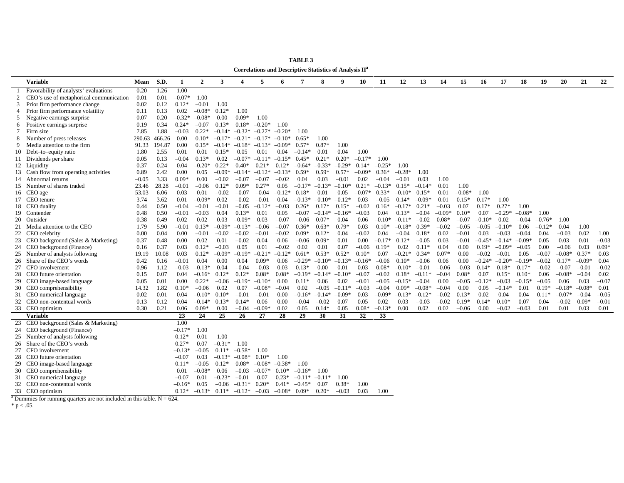|                                                                                                                                                                                                                                  | Correlations and Descriptive Statistics of Analysis II |                    |  |  |  |  |  |  |  |  |  |  |
|----------------------------------------------------------------------------------------------------------------------------------------------------------------------------------------------------------------------------------|--------------------------------------------------------|--------------------|--|--|--|--|--|--|--|--|--|--|
| S.D.<br>$\overline{2}$<br>3<br>5<br>8<br>11<br>15<br><b>Variable</b><br>1<br>7<br>9<br>10<br>12<br>13<br>14<br>16<br>Mean<br>$\boldsymbol{\Delta}$<br>6                                                                          | 17<br>18<br>19<br>20                                   | 22<br>21           |  |  |  |  |  |  |  |  |  |  |
| 1.00<br>Favorability of analysts' evaluations<br>1.26<br>0.20                                                                                                                                                                    |                                                        |                    |  |  |  |  |  |  |  |  |  |  |
| $-0.07*$<br>CEO's use of metaphorical communication<br>0.01<br>0.01<br>1.00<br>2                                                                                                                                                 |                                                        |                    |  |  |  |  |  |  |  |  |  |  |
| Prior firm performance change<br>0.02<br>0.12<br>$0.12*$<br>$-0.01$<br>1.00<br>3                                                                                                                                                 |                                                        |                    |  |  |  |  |  |  |  |  |  |  |
| 0.02<br>$0.12*$<br>1.00<br>0.11<br>0.13<br>$-0.08*$<br>Prior firm performance volatility<br>$\overline{4}$                                                                                                                       |                                                        |                    |  |  |  |  |  |  |  |  |  |  |
| $-0.32*$<br>0.00<br>$0.09*$<br>1.00<br>0.07<br>0.20<br>$-0.08*$<br>5 Negative earnings surprise                                                                                                                                  |                                                        |                    |  |  |  |  |  |  |  |  |  |  |
| $0.24*$<br>$-0.20*$<br>0.19<br>0.34<br>$-0.07$<br>$0.13*$<br>$0.18*$<br>Positive earnings surprise<br>1.00<br>6                                                                                                                  |                                                        |                    |  |  |  |  |  |  |  |  |  |  |
| 7.85<br>1.88<br>$-0.03$<br>$0.22*$<br>$-0.32*$<br>$-0.20*$<br>Firm size<br>$-0.14*$<br>$-0.27*$<br>1.00<br>7                                                                                                                     |                                                        |                    |  |  |  |  |  |  |  |  |  |  |
| 290.63<br>0.00<br>$0.10*$<br>$-0.17*$<br>Number of press releases<br>466.26<br>$-0.21*$<br>$-0.17*$<br>$0.65*$<br>1.00<br>8<br>$-0.10*$                                                                                          |                                                        |                    |  |  |  |  |  |  |  |  |  |  |
| 0.00<br>1.00<br>Media attention to the firm<br>91.33<br>194.87<br>$0.15*$<br>$-0.14*$<br>$-0.18*$<br>$-0.09*$<br>$0.57*$<br>$0.87*$<br>$-0.13*$                                                                                  |                                                        |                    |  |  |  |  |  |  |  |  |  |  |
| 1.00<br>1.80<br>2.55<br>0.01<br>0.01<br>$0.15*$<br>0.05<br>0.01<br>0.04<br>10 Debt-to-equity ratio<br>0.01<br>0.04<br>$-0.14*$                                                                                                   |                                                        |                    |  |  |  |  |  |  |  |  |  |  |
| 0.13<br>$-0.04$<br>0.02<br>$-0.07*$<br>$0.20*$<br>$-0.17*$<br>11 Dividends per share<br>0.05<br>$0.13*$<br>$-0.11*$<br>$-0.15*$<br>$0.45*$<br>$0.21*$<br>1.00                                                                    |                                                        |                    |  |  |  |  |  |  |  |  |  |  |
| 0.37<br>0.24<br>0.04<br>$-0.20*$<br>$0.22*$<br>$0.40*$<br>$-0.33*$<br>$-0.29*$<br>$-0.25*$<br>$0.21*$<br>$0.12*$<br>$0.14*$<br>1.00<br>12 Liquidity<br>$-0.64*$                                                                  |                                                        |                    |  |  |  |  |  |  |  |  |  |  |
| 0.89<br>0.00<br>$-0.09*$<br>$0.59*$<br>$0.57*$<br>$-0.09*$<br>$-0.28*$<br>2.42<br>0.05<br>$-0.14*$<br>$-0.12*$<br>$-0.13*$<br>$0.59*$<br>$0.36*$<br>1.00<br>13 Cash flow from operating activities                               |                                                        |                    |  |  |  |  |  |  |  |  |  |  |
| $0.09*$<br>$-0.05$<br>3.33<br>0.00<br>$-0.02$<br>$-0.07$<br>$-0.07$<br>$-0.02$<br>0.03<br>$-0.01$<br>0.02<br>$-0.04$<br>$-0.01$<br>0.03<br>1.00<br>Abnormal returns<br>0.04<br>14                                                |                                                        |                    |  |  |  |  |  |  |  |  |  |  |
| 23.46<br>28.28<br>$-0.01$<br>$-0.06$<br>$0.12*$<br>$0.09*$<br>$0.27*$<br>0.05<br>$-0.17*$<br>$-0.13*$<br>$-0.10*$<br>$0.21*$<br>$-0.13*$<br>$0.15*$<br>$-0.14*$<br>0.01<br>1.00<br>15 Number of shares traded                    |                                                        |                    |  |  |  |  |  |  |  |  |  |  |
| $-0.08*$<br>$-0.07*$<br>0.01<br>1.00<br>53.03<br>6.06<br>0.03<br>0.01<br>$-0.02$<br>$-0.07$<br>$-0.04$<br>$-0.12*$<br>$0.18*$<br>0.01<br>0.05<br>$0.33*$<br>$-0.10*$<br>$0.15*$<br>16 CEO age                                    |                                                        |                    |  |  |  |  |  |  |  |  |  |  |
| 0.01<br>$-0.09*$<br>0.02<br>$-0.10^*$ $-0.12^*$<br>$-0.09*$<br>$0.17*$<br>3.74<br>3.62<br>$-0.02$<br>$-0.01$<br>0.04<br>$-0.13*$<br>0.03<br>$-0.05$<br>$0.14*$<br>0.01<br>$0.15*$<br>17 CEO tenure                               | 1.00                                                   |                    |  |  |  |  |  |  |  |  |  |  |
| 0.44<br>0.50<br>$-0.04$<br>$-0.01$<br>$-0.01$<br>$-0.05$<br>$-0.03$<br>$0.17*$<br>$0.15*$<br>$-0.02$<br>$-0.17*$<br>$0.21*$<br>$0.17*$<br>18 CEO duality<br>$-0.12*$<br>$0.26*$<br>$0.16*$<br>$-0.03$<br>0.07                    | $0.27*$<br>1.00                                        |                    |  |  |  |  |  |  |  |  |  |  |
| 0.50<br>$-0.01$<br>$-0.03$<br>0.04<br>$0.13*$<br>0.01<br>$-0.07$<br>$-0.14*$<br>$-0.03$<br>0.04<br>$-0.04$<br>$-0.09*$<br>$0.10*$<br>0.07<br>19 Contender<br>0.48<br>0.05<br>$-0.16*$<br>$0.13*$                                 | $-0.29*$<br>$-0.08*$<br>1.00                           |                    |  |  |  |  |  |  |  |  |  |  |
| 20 Outsider<br>0.02<br>0.02<br>0.03<br>$-0.09*$<br>$-0.07$<br>$0.07*$<br>$-0.10*$<br>$-0.02$<br>$0.08*$<br>$-0.10*$<br>0.38<br>0.49<br>0.03<br>$-0.06$<br>0.04<br>0.06<br>$-0.11*$<br>$-0.07$                                    | 0.02<br>$-0.76*$<br>$-0.04$<br>1.00                    |                    |  |  |  |  |  |  |  |  |  |  |
| $-0.01$<br>$-0.09*$<br>$-0.02$<br>Media attention to the CEO<br>1.79<br>5.90<br>$0.13*$<br>$-0.13*$<br>$-0.06$<br>$-0.07$<br>$0.36*$<br>$0.63*$<br>$0.79*$<br>0.03<br>$0.10*$<br>$-0.18*$<br>$0.39*$<br>$-0.05$<br>$-0.05$<br>21 | 0.04<br>$-0.10*$<br>0.06<br>$-0.12*$                   | 1.00               |  |  |  |  |  |  |  |  |  |  |
| $-0.02$<br>CEO celebrity<br>0.00<br>0.04<br>0.00<br>$-0.01$<br>$-0.02$<br>$-0.01$<br>$-0.02$<br>$0.09*$<br>$0.12*$<br>0.04<br>$-0.02$<br>0.04<br>$-0.04$<br>$0.18*$<br>0.02<br>$-0.01$<br>0.03<br>22                             | $-0.03$<br>$-0.04$<br>0.04<br>$-0.03$                  | 0.02<br>1.00       |  |  |  |  |  |  |  |  |  |  |
| CEO background (Sales & Marketing)<br>0.37<br>0.00<br>0.02<br>0.01<br>$-0.02$<br>$-0.06$<br>$0.09*$<br>0.00<br>$-0.17*$<br>$0.12*$<br>$-0.05$<br>0.03<br>$-0.01$<br>$-0.45*$<br>0.48<br>0.04<br>0.06<br>0.01<br>23               | 0.03<br>$-0.14*$<br>$-0.09*$<br>0.05                   | $-0.03$<br>0.01    |  |  |  |  |  |  |  |  |  |  |
| 0.16<br>0.03<br>$0.12*$<br>$-0.02$<br>$-0.06$<br>$0.19*$<br>0.02<br>0.04<br>0.00<br>$0.19*$<br>CEO background (Finance)<br>0.37<br>$-0.03$<br>0.05<br>0.01<br>0.02<br>0.01<br>0.07<br>$0.11*$<br>24                              | $-0.09*$<br>$-0.06$<br>$-0.05$<br>0.00                 | $0.09*$<br>0.03    |  |  |  |  |  |  |  |  |  |  |
| 0.03<br>$0.12*$<br>$-0.09*$<br>$-0.19*$<br>$-0.21*$<br>$-0.12*$<br>$0.61*$<br>$0.53*$<br>$0.52*$<br>$0.10*$<br>0.07<br>$-0.21*$<br>$0.34*$<br>$0.07*$<br>$-0.02$<br>Number of analysts following<br>19.19<br>10.08<br>0.00<br>25 | $-0.08*$<br>$-0.01$<br>0.05<br>$-0.07$                 | $0.37*$<br>0.03    |  |  |  |  |  |  |  |  |  |  |
| $-0.01$<br>0.42<br>0.04<br>0.00<br>0.04<br>$0.09*$<br>$-0.29*$<br>$-0.10*$<br>$-0.13*$<br>$-0.06$<br>$0.10*$<br>$-0.06$<br>0.06<br>0.00<br>$-0.24*$<br>Share of the CEO's words<br>0.16<br>0.06<br>$-0.16*$<br>26                | $-0.19*$<br>$-0.02$<br>$0.17*$<br>$-0.20*$             | $-0.09*$<br>0.04   |  |  |  |  |  |  |  |  |  |  |
| 0.96<br>$-0.03$<br>$-0.13*$<br>0.04<br>$-0.04$<br>$-0.03$<br>0.03<br>0.00<br>$0.08*$<br>$-0.10*$<br>$-0.06$<br>$0.14*$<br>CFO involvement<br>1.12<br>$0.13*$<br>0.01<br>0.03<br>$-0.01$<br>$-0.03$<br>27                         | $0.18*$<br>$-0.02$<br>$-0.07$<br>$0.17*$               | $-0.02$<br>$-0.01$ |  |  |  |  |  |  |  |  |  |  |
| $0.08*$<br>$0.08*$<br>$-0.07$<br>0.07<br>CEO future orientation<br>0.15<br>0.07<br>0.04<br>$-0.16*$<br>$0.12*$<br>$0.12*$<br>$-0.19*$<br>$-0.14*$<br>$-0.10*$<br>$-0.02$<br>$0.18*$<br>$-0.11*$<br>$-0.04$<br>$0.08*$<br>28      | $-0.08*$<br>$0.15*$<br>$0.10*$<br>0.06                 | 0.02<br>$-0.04$    |  |  |  |  |  |  |  |  |  |  |
| 0.00<br>$0.22*$<br>$-0.06$<br>$-0.01$<br>$-0.15*$<br>$-0.12*$<br>CEO image-based language<br>0.05<br>0.01<br>$-0.19*$<br>$-0.10*$<br>0.00<br>$0.11*$<br>0.06<br>0.02<br>$-0.05$<br>$-0.04$<br>0.00<br>$-0.05$<br>29              | $-0.15*$<br>$-0.03$<br>$-0.05$<br>0.06                 | $-0.07$<br>0.03    |  |  |  |  |  |  |  |  |  |  |
| 1.82<br>$0.10*$<br>$-0.06$<br>$-0.04$<br>$-0.03$<br>$0.09*$<br>$-0.08*$<br>30 CEO comprehensibility<br>14.32<br>0.02<br>0.07<br>$-0.08*$<br>0.02<br>$-0.05$<br>$-0.11*$<br>$-0.04$<br>$-0.04$<br>0.00<br>0.05                    | $-0.18* -0.08*$<br>$-0.14*$<br>0.01<br>$0.19*$         | 0.01               |  |  |  |  |  |  |  |  |  |  |
| $-0.13*$<br>CEO numerical language<br>0.02<br>0.01<br>0.04<br>$-0.10*$<br>$0.10*$<br>$-0.01$<br>$-0.01$<br>0.00<br>$-0.16*$<br>$-0.14*$<br>$-0.09*$<br>0.03<br>$-0.09*$<br>$-0.12*$<br>$-0.02$<br>$0.13*$<br>0.02<br>31          | 0.04<br>0.04<br>$-0.07*$<br>$0.11*$                    | $-0.04$<br>$-0.05$ |  |  |  |  |  |  |  |  |  |  |
| 32 CEO non-contentual words<br>0.13<br>0.04<br>$-0.14*$<br>$0.13*$<br>$0.14*$<br>0.06<br>0.00<br>$-0.04$<br>$-0.02$<br>0.07<br>0.05<br>0.02<br>0.03<br>$-0.03$<br>$-0.02$<br>$0.19*$<br>$0.14*$<br>0.12                          | $0.10*$<br>0.07<br>0.04<br>$-0.02$                     | $0.09*$<br>$-0.01$ |  |  |  |  |  |  |  |  |  |  |
| $-0.13*$<br>33 CEO optimism<br>0.30<br>0.21<br>0.06<br>$0.09*$<br>0.00<br>$-0.04$<br>$-0.09*$<br>0.02<br>$0.14*$<br>0.05<br>$0.08*$<br>0.00<br>0.02<br>0.02<br>$-0.06$<br>0.00<br>0.05                                           | $-0.02$<br>$-0.03$<br>0.01<br>0.01                     | 0.03<br>0.01       |  |  |  |  |  |  |  |  |  |  |
| 23<br>25<br>29<br>32<br>33<br><b>Variable</b><br>24<br>26<br>27<br>28<br>30<br>31                                                                                                                                                |                                                        |                    |  |  |  |  |  |  |  |  |  |  |
| 1.00<br>23<br>CEO background (Sales & Marketing)                                                                                                                                                                                 |                                                        |                    |  |  |  |  |  |  |  |  |  |  |
| $-0.17*$<br>CEO background (Finance)<br>1.00<br>24                                                                                                                                                                               |                                                        |                    |  |  |  |  |  |  |  |  |  |  |
| 1.00<br>$0.12*$<br>0.01<br>25 Number of analysts following                                                                                                                                                                       |                                                        |                    |  |  |  |  |  |  |  |  |  |  |
| Share of the CEO's words<br>$0.27*$<br>0.07<br>$-0.31*$<br>1.00<br>26                                                                                                                                                            |                                                        |                    |  |  |  |  |  |  |  |  |  |  |
| $-0.13*$<br>1.00<br>27<br>CFO involvement<br>$-0.05$<br>$0.11*$<br>$-0.58*$                                                                                                                                                      |                                                        |                    |  |  |  |  |  |  |  |  |  |  |
| $0.10*$<br>CEO future orientation<br>$-0.07$<br>0.03<br>$-0.13*$<br>$-0.08*$<br>1.00<br>28                                                                                                                                       |                                                        |                    |  |  |  |  |  |  |  |  |  |  |
| $-0.05$<br>$-0.08*$<br>$-0.38*$<br>1.00<br>CEO image-based language<br>$0.11*$<br>$0.12*$<br>$0.08*$<br>29                                                                                                                       |                                                        |                    |  |  |  |  |  |  |  |  |  |  |
| 30 CEO comprehensibility<br>$-0.08*$<br>0.06<br>$-0.07*$<br>$0.10*$<br>$-0.16*$<br>1.00<br>0.01<br>$-0.03$                                                                                                                       |                                                        |                    |  |  |  |  |  |  |  |  |  |  |
| 31 CEO numerical language<br>$-0.23*$<br>$-0.01$<br>0.07<br>$0.23*$<br>$-0.07$<br>0.01<br>$-0.11*$<br>$-0.11*$<br>1.00                                                                                                           |                                                        |                    |  |  |  |  |  |  |  |  |  |  |
| 0.05<br>$-0.06$<br>$-0.31*$<br>$-0.45*$<br>$0.38*$<br>1.00<br>32 CEO non-contentual words<br>$-0.16*$<br>$0.20*$<br>$0.41*$<br>0.07                                                                                              |                                                        |                    |  |  |  |  |  |  |  |  |  |  |
| $0.12*$<br>$-0.13*$<br>$-0.12*$<br>$-0.03$<br>$-0.08*$<br>$0.09*$<br>$0.20*$<br>$-0.03$<br>0.03<br>1.00<br>33 CEO optimism<br>$0.11*$                                                                                            |                                                        |                    |  |  |  |  |  |  |  |  |  |  |

**TABLE 3 Correlations and Descriptive Statistics of Analysis II<sup>a</sup>**

<sup>a</sup> Dummies for running quarters are not included in this table.  $N = 624$ .

 $*$  p < .05.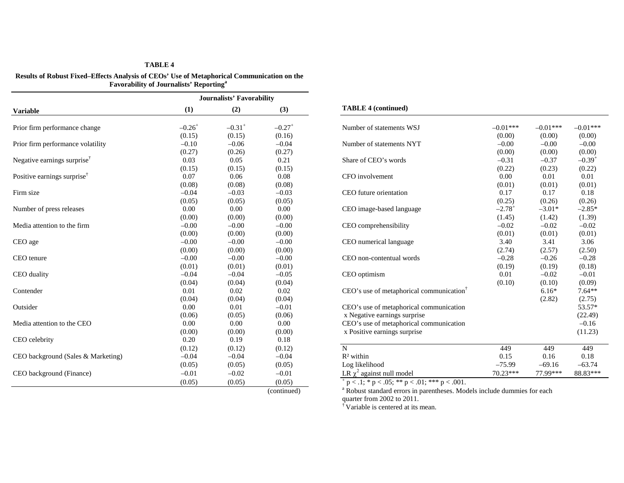# **TABLE 4**

**Results of Robust Fixed–Effects Analysis of CEOs' Use of Metaphorical Communication on the Favorability of Journalists' Reporting<sup>a</sup>**

|                                         |                      | <b>Journalists' Favorability</b> |                      |                                                      |                      |            |                      |
|-----------------------------------------|----------------------|----------------------------------|----------------------|------------------------------------------------------|----------------------|------------|----------------------|
| <b>Variable</b>                         | (1)                  | (2)                              | (3)                  | <b>TABLE 4 (continued)</b>                           |                      |            |                      |
| Prior firm performance change           | $-0.26$ <sup>+</sup> | $-0.31$ <sup>+</sup>             | $-0.27$ <sup>+</sup> | Number of statements WSJ                             | $-0.01***$           | $-0.01***$ | $-0.01***$           |
|                                         | (0.15)               | (0.15)                           | (0.16)               |                                                      | (0.00)               | (0.00)     | (0.00)               |
| Prior firm performance volatility       | $-0.10$              | $-0.06$                          | $-0.04$              | Number of statements NYT                             | $-0.00$              | $-0.00$    | $-0.00$              |
|                                         | (0.27)               | (0.26)                           | (0.27)               |                                                      | (0.00)               | (0.00)     | (0.00)               |
| Negative earnings surprise <sup>†</sup> | 0.03                 | 0.05                             | 0.21                 | Share of CEO's words                                 | $-0.31$              | $-0.37$    | $-0.39$ <sup>+</sup> |
|                                         | (0.15)               | (0.15)                           | (0.15)               |                                                      | (0.22)               | (0.23)     | (0.22)               |
| Positive earnings surprise <sup>†</sup> | 0.07                 | 0.06                             | 0.08                 | CFO involvement                                      | $0.00\,$             | 0.01       | 0.01                 |
|                                         | (0.08)               | (0.08)                           | (0.08)               |                                                      | (0.01)               | (0.01)     | (0.01)               |
| Firm size                               | $-0.04$              | $-0.03$                          | $-0.03$              | CEO future orientation                               | 0.17                 | 0.17       | $0.18\,$             |
|                                         | (0.05)               | (0.05)                           | (0.05)               |                                                      | (0.25)               | (0.26)     | (0.26)               |
| Number of press releases                | 0.00                 | 0.00                             | 0.00                 | CEO image-based language                             | $-2.78$ <sup>+</sup> | $-3.01*$   | $-2.85*$             |
|                                         | (0.00)               | (0.00)                           | (0.00)               |                                                      | (1.45)               | (1.42)     | (1.39)               |
| Media attention to the firm             | $-0.00$              | $-0.00$                          | $-0.00$              | CEO comprehensibility                                | $-0.02$              | $-0.02$    | $-0.02$              |
|                                         | (0.00)               | (0.00)                           | (0.00)               |                                                      | (0.01)               | (0.01)     | (0.01)               |
| CEO age                                 | $-0.00$              | $-0.00$                          | $-0.00$              | CEO numerical language                               | 3.40                 | 3.41       | 3.06                 |
|                                         | (0.00)               | (0.00)                           | (0.00)               |                                                      | (2.74)               | (2.57)     | (2.50)               |
| CEO tenure                              | $-0.00$              | $-0.00$                          | $-0.00$              | CEO non-contentual words                             | $-0.28$              | $-0.26$    | $-0.28$              |
|                                         | (0.01)               | (0.01)                           | (0.01)               |                                                      | (0.19)               | (0.19)     | (0.18)               |
| CEO duality                             | $-0.04$              | $-0.04$                          | $-0.05$              | CEO optimism                                         | 0.01                 | $-0.02$    | $-0.01$              |
|                                         | (0.04)               | (0.04)                           | (0.04)               |                                                      | (0.10)               | (0.10)     | (0.09)               |
| Contender                               | 0.01                 | 0.02                             | 0.02                 | CEO's use of metaphorical communication <sup>†</sup> |                      | $6.16*$    | $7.64**$             |
|                                         | (0.04)               | (0.04)                           | (0.04)               |                                                      |                      | (2.82)     | (2.75)               |
| Outsider                                | 0.00                 | 0.01                             | $-0.01$              | CEO's use of metaphorical communication              |                      |            | 53.57*               |
|                                         | (0.06)               | (0.05)                           | (0.06)               | x Negative earnings surprise                         |                      |            | (22.49)              |
| Media attention to the CEO              | 0.00                 | 0.00                             | 0.00                 | CEO's use of metaphorical communication              |                      |            | $-0.16$              |
|                                         | (0.00)               | (0.00)                           | (0.00)               | x Positive earnings surprise                         |                      |            | (11.23)              |
| CEO celebrity                           | 0.20                 | 0.19                             | 0.18                 |                                                      |                      |            |                      |
|                                         | (0.12)               | (0.12)                           | (0.12)               | $\mathbf N$                                          | 449                  | 449        | 449                  |
| CEO background (Sales & Marketing)      | $-0.04$              | $-0.04$                          | $-0.04$              | $R2$ within                                          | 0.15                 | 0.16       | 0.18                 |
|                                         | (0.05)               | (0.05)                           | (0.05)               | Log likelihood                                       | $-75.99$             | $-69.16$   | $-63.74$             |
| CEO background (Finance)                | $-0.01$              | $-0.02$                          | $-0.01$              | LR $\chi^2$ against null model                       | 70.23***             | 77.99***   | 88.83***             |
|                                         | (0.05)               | (0.05)                           | (0.05)               | $p < 0.1$ ; * p < .05; ** p < .01; *** p < .001.     |                      |            |                      |

| <b>TABLE 4 (continued)</b> |  |  |
|----------------------------|--|--|
|----------------------------|--|--|

| $-0.26^+$ | $-0.31$ <sup>+</sup> | $-0.27$ <sup>+</sup> | Number of statements WSJ                             | $-0.01***$           | $-0.01***$ | $-0.01***$  |
|-----------|----------------------|----------------------|------------------------------------------------------|----------------------|------------|-------------|
| (0.15)    | (0.15)               | (0.16)               |                                                      | (0.00)               | (0.00)     | (0.00)      |
| $-0.10$   | $-0.06$              | $-0.04$              | Number of statements NYT                             | $-0.00$              | $-0.00$    | $-0.00$     |
| (0.27)    | (0.26)               | (0.27)               |                                                      | (0.00)               | (0.00)     | (0.00)      |
| 0.03      | 0.05                 | 0.21                 | Share of CEO's words                                 | $-0.31$              | $-0.37$    | $-0.39^{+}$ |
| (0.15)    | (0.15)               | (0.15)               |                                                      | (0.22)               | (0.23)     | (0.22)      |
| 0.07      | 0.06                 | 0.08                 | CFO involvement                                      | 0.00                 | 0.01       | 0.01        |
| (0.08)    | (0.08)               | (0.08)               |                                                      | (0.01)               | (0.01)     | (0.01)      |
| $-0.04$   | $-0.03$              | $-0.03$              | CEO future orientation                               | 0.17                 | 0.17       | 0.18        |
| (0.05)    | (0.05)               | (0.05)               |                                                      | (0.25)               | (0.26)     | (0.26)      |
| 0.00      | 0.00                 | 0.00                 | CEO image-based language                             | $-2.78$ <sup>+</sup> | $-3.01*$   | $-2.85*$    |
| (0.00)    | (0.00)               | (0.00)               |                                                      | (1.45)               | (1.42)     | (1.39)      |
| $-0.00$   | $-0.00$              | $-0.00$              | CEO comprehensibility                                | $-0.02$              | $-0.02$    | $-0.02$     |
| (0.00)    | (0.00)               | (0.00)               |                                                      | (0.01)               | (0.01)     | (0.01)      |
| $-0.00$   | $-0.00$              | $-0.00$              | CEO numerical language                               | 3.40                 | 3.41       | 3.06        |
| (0.00)    | (0.00)               | (0.00)               |                                                      | (2.74)               | (2.57)     | (2.50)      |
| $-0.00$   | $-0.00$              | $-0.00$              | CEO non-contentual words                             | $-0.28$              | $-0.26$    | $-0.28$     |
| (0.01)    | (0.01)               | (0.01)               |                                                      | (0.19)               | (0.19)     | (0.18)      |
| $-0.04$   | $-0.04$              | $-0.05$              | CEO optimism                                         | 0.01                 | $-0.02$    | $-0.01$     |
| (0.04)    | (0.04)               | (0.04)               |                                                      | (0.10)               | (0.10)     | (0.09)      |
| 0.01      | 0.02                 | 0.02                 | CEO's use of metaphorical communication <sup>†</sup> |                      | $6.16*$    | $7.64**$    |
| (0.04)    | (0.04)               | (0.04)               |                                                      |                      | (2.82)     | (2.75)      |
| 0.00      | 0.01                 | $-0.01$              | CEO's use of metaphorical communication              |                      |            | 53.57*      |
| (0.06)    | (0.05)               | (0.06)               | x Negative earnings surprise                         |                      |            | (22.49)     |
| 0.00      | 0.00                 | 0.00                 | CEO's use of metaphorical communication              |                      |            | $-0.16$     |
| (0.00)    | (0.00)               | (0.00)               | x Positive earnings surprise                         |                      |            | (11.23)     |
| 0.20      | 0.19                 | 0.18                 |                                                      |                      |            |             |
| (0.12)    | (0.12)               | (0.12)               | $\mathbf N$                                          | 449                  | 449        | 449         |
| $-0.04$   | $-0.04$              | $-0.04$              | $R2$ within                                          | 0.15                 | 0.16       | 0.18        |
| (0.05)    | (0.05)               | (0.05)               | Log likelihood                                       | $-75.99$             | $-69.16$   | $-63.74$    |
| $-0.01$   | $-0.02$              | $-0.01$              | LR $\chi^2$ against null model                       | 70.23***             | 77.99***   | 88.83***    |
|           |                      |                      |                                                      |                      |            |             |

(0.05)  $p < .1$ ; \* p < .05; \*\* p < .01; \*\*\* p < .001.<br>(continued)  $p > a$  Robust standard errors in parentheses. Mod <sup>a</sup> Robust standard errors in parentheses. Models include dummies for each quarter from 2002 to 2011.

 $\hat{N}$  Variable is centered at its mean.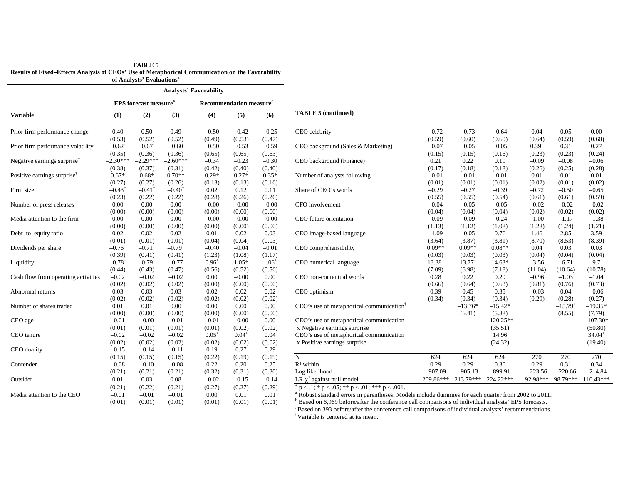| TABLE 5                                                                                          |
|--------------------------------------------------------------------------------------------------|
| Results of Fixed–Effects Analysis of CEOs' Use of Metaphorical Communication on the Favorability |
| of Analysts' Evaluations <sup>a</sup>                                                            |

|                                                            | <b>Analysts' Favorability</b> |                                          |                      |            |                                     |            |                                                                                                                 |             |             |             |            |              |                      |
|------------------------------------------------------------|-------------------------------|------------------------------------------|----------------------|------------|-------------------------------------|------------|-----------------------------------------------------------------------------------------------------------------|-------------|-------------|-------------|------------|--------------|----------------------|
|                                                            |                               | <b>EPS</b> forecast measure <sup>b</sup> |                      |            | Recommendation measure <sup>c</sup> |            |                                                                                                                 |             |             |             |            |              |                      |
| <b>Variable</b>                                            | (1)                           | (2)                                      | (3)                  | (4)        | (5)                                 | (6)        | <b>TABLE 5 (continued)</b>                                                                                      |             |             |             |            |              |                      |
| Prior firm performance change                              | 0.40                          | 0.50                                     | 0.49                 | $-0.50$    | $-0.42$                             | $-0.25$    | CEO celebrity                                                                                                   | $-0.72$     | $-0.73$     | $-0.64$     | 0.04       | 0.05         | 0.00                 |
|                                                            | (0.53)                        | (0.52)                                   | (0.52)               | (0.49)     | (0.53)                              | (0.47)     |                                                                                                                 | (0.59)      | (0.60)      | (0.60)      | (0.64)     | (0.59)       | (0.60)               |
| Prior firm performance volatility                          | $-0.62$ <sup>+</sup>          | $-0.67$ <sup>+</sup>                     | $-0.60$              | $-0.50$    | $-0.53$                             | $-0.59$    | CEO background (Sales & Marketing)                                                                              | $-0.07$     | $-0.05$     | $-0.05$     | $0.39^{+}$ | 0.31         | 0.27                 |
|                                                            | (0.35)                        | (0.36)                                   | (0.36)               | (0.65)     | (0.65)                              | (0.63)     |                                                                                                                 | (0.15)      | (0.15)      | (0.16)      | (0.23)     | (0.23)       | (0.24)               |
| Negative earnings surprise <sup><math>\dagger</math></sup> | $-2.30***$                    | $-2.29***$                               | $-2.60***$           | $-0.34$    | $-0.23$                             | $-0.30$    | CEO background (Finance)                                                                                        | 0.21        | 0.22        | 0.19        | $-0.09$    | $-0.08$      | $-0.06$              |
|                                                            | (0.38)                        | (0.37)                                   | (0.31)               | (0.42)     | (0.40)                              | (0.40)     |                                                                                                                 | (0.17)      | (0.18)      | (0.18)      | (0.26)     | (0.25)       | (0.28)               |
| Positive earnings surprise <sup>†</sup>                    | $0.67*$                       | $0.68*$                                  | $0.70**$             | $0.29*$    | $0.27*$                             | $0.35*$    | Number of analysts following                                                                                    | $-0.01$     | $-0.01$     | $-0.01$     | 0.01       | 0.01         | 0.01                 |
|                                                            | (0.27)                        | (0.27)                                   | (0.26)               | (0.13)     | (0.13)                              | (0.16)     |                                                                                                                 | (0.01)      | (0.01)      | (0.01)      | (0.02)     | (0.01)       | (0.02)               |
| Firm size                                                  | $-0.43$ <sup>+</sup>          | $-0.41$ <sup>+</sup>                     | $-0.40^{\circ}$      | 0.02       | 0.12                                | 0.11       | Share of CEO's words                                                                                            | $-0.29$     | $-0.27$     | $-0.39$     | $-0.72$    | $-0.50$      | $-0.65$              |
|                                                            | (0.23)                        | (0.22)                                   | (0.22)               | (0.28)     | (0.26)                              | (0.26)     |                                                                                                                 | (0.55)      | (0.55)      | (0.54)      | (0.61)     | (0.61)       | (0.59)               |
| Number of press releases                                   | 0.00                          | 0.00                                     | 0.00                 | $-0.00$    | $-0.00$                             | $-0.00$    | CFO involvement                                                                                                 | $-0.04$     | $-0.05$     | $-0.05$     | $-0.02$    | $-0.02$      | $-0.02$              |
|                                                            | (0.00)                        | (0.00)                                   | (0.00)               | (0.00)     | (0.00)                              | (0.00)     |                                                                                                                 | (0.04)      | (0.04)      | (0.04)      | (0.02)     | (0.02)       | (0.02)               |
| Media attention to the firm                                | 0.00                          | 0.00                                     | 0.00                 | $-0.00$    | $-0.00$                             | $-0.00$    | CEO future orientation                                                                                          | $-0.09$     | $-0.09$     | $-0.24$     | $-1.00$    | $-1.17$      | $-1.38$              |
|                                                            | (0.00)                        | (0.00)                                   | (0.00)               | (0.00)     | (0.00)                              | (0.00)     |                                                                                                                 | (1.13)      | (1.12)      | (1.08)      | (1.28)     | (1.24)       | (1.21)               |
| Debt-to-equity ratio                                       | 0.02                          | 0.02                                     | 0.02                 | 0.01       | 0.02                                | 0.03       | CEO image-based language                                                                                        | $-1.09$     | $-0.05$     | 0.76        | 1.46       | 2.85         | 3.59                 |
|                                                            | (0.01)                        | (0.01)                                   | (0.01)               | (0.04)     | (0.04)                              | (0.03)     |                                                                                                                 | (3.64)      | (3.87)      | (3.81)      | (8.70)     | (8.53)       | (8.39)               |
| Dividends per share                                        | $-0.76$ <sup>+</sup>          | $-0.71$                                  | $-0.79$ <sup>+</sup> | $-0.40$    | $-0.04$                             | $-0.01$    | CEO comprehensibility                                                                                           | $0.09**$    | $0.09**$    | $0.08**$    | 0.04       | 0.03         | 0.03                 |
|                                                            | (0.39)                        | (0.41)                                   | (0.41)               | (1.23)     | (1.08)                              | (1.17)     |                                                                                                                 | (0.03)      | (0.03)      | (0.03)      | (0.04)     | (0.04)       | (0.04)               |
| Liquidity                                                  | $-0.78$ <sup>+</sup>          | $-0.79^{+}$                              | $-0.77$              | $0.96^{+}$ | $1.05*$                             | $1.06^{+}$ | CEO numerical language                                                                                          | $13.38^{+}$ | $13.77^{+}$ | $14.63*$    | $-3.56$    | $-6.71$      | $-9.71$              |
|                                                            | (0.44)                        | (0.43)                                   | (0.47)               | (0.56)     | (0.52)                              | (0.56)     |                                                                                                                 | (7.09)      | (6.98)      | (7.18)      | (11.04)    | (10.64)      | (10.78)              |
| Cash flow from operating activities                        | $-0.02$                       | $-0.02$                                  | $-0.02$              | 0.00       | $-0.00$                             | 0.00       | CEO non-contentual words                                                                                        | 0.28        | 0.22        | 0.29        | $-0.96$    | $-1.03$      | $-1.04$              |
|                                                            | (0.02)                        | (0.02)                                   | (0.02)               | (0.00)     | (0.00)                              | (0.00)     |                                                                                                                 | (0.66)      | (0.64)      | (0.63)      | (0.81)     | (0.76)       | (0.73)               |
| Abnormal returns                                           | 0.03                          | 0.03                                     | 0.03                 | 0.02       | 0.02                                | 0.02       | CEO optimism                                                                                                    | 0.39        | 0.45        | 0.35        | $-0.03$    | 0.04         | $-0.06$              |
|                                                            | (0.02)                        | (0.02)                                   | (0.02)               | (0.02)     | (0.02)                              | (0.02)     |                                                                                                                 | (0.34)      | (0.34)      | (0.34)      | (0.29)     | (0.28)       | (0.27)               |
| Number of shares traded                                    | 0.01                          | 0.01                                     | 0.00                 | 0.00       | 0.00                                | 0.00       | CEO's use of metaphorical communication <sup>†</sup>                                                            |             | $-13.76*$   | $-15.42*$   |            | $-15.79^{+}$ | $-19.35*$            |
|                                                            | (0.00)                        | (0.00)                                   | (0.00)               | (0.00)     | (0.00)                              | (0.00)     |                                                                                                                 |             | (6.41)      | (5.88)      |            | (8.55)       | (7.79)               |
| CEO age                                                    | $-0.01$                       | $-0.00$                                  | $-0.01$              | $-0.01$    | $-0.00$                             | 0.00       | CEO's use of metaphorical communication                                                                         |             |             | $-120.25**$ |            |              | $-107.30*$           |
|                                                            | (0.01)                        | (0.01)                                   | (0.01)               | (0.01)     | (0.02)                              | (0.02)     | x Negative earnings surprise                                                                                    |             |             | (35.51)     |            |              | (50.80)              |
| CEO tenure                                                 | $-0.02$                       | $-0.02$                                  | $-0.02$              | $0.05^{+}$ | $0.04^{+}$                          | 0.04       | CEO's use of metaphorical communication                                                                         |             |             | 14.96       |            |              | $34.04$ <sup>+</sup> |
|                                                            | (0.02)                        | (0.02)                                   | (0.02)               | (0.02)     | (0.02)                              | (0.02)     | x Positive earnings surprise                                                                                    |             |             | (24.32)     |            |              | (19.40)              |
| CEO duality                                                | $-0.15$                       | $-0.14$                                  | $-0.11$              | 0.19       | 0.27                                | 0.29       |                                                                                                                 |             |             |             |            |              |                      |
|                                                            | (0.15)                        | (0.15)                                   | (0.15)               | (0.22)     | (0.19)                              | (0.19)     | $\mathbf N$                                                                                                     | 624         | 624         | 624         | 270        | 270          | 270                  |
| Contender                                                  | $-0.08$                       | $-0.10$                                  | $-0.08$              | 0.22       | 0.20                                | 0.25       | $R^2$ within                                                                                                    | 0.29        | 0.29        | 0.30        | 0.29       | 0.31         | 0.34                 |
|                                                            | (0.21)                        | (0.21)                                   | (0.21)               | (0.32)     | (0.31)                              | (0.30)     | Log likelihood                                                                                                  | $-907.09$   | $-905.13$   | $-899.91$   | $-223.56$  | $-220.66$    | $-214.84$            |
| Outsider                                                   | 0.01                          | 0.03                                     | 0.08                 | $-0.02$    | $-0.15$                             | $-0.14$    | LR $\chi^2$ against null model                                                                                  | 209.86***   | 213.79***   | 224.22***   | 92.98***   | 98.79***     | $110.43***$          |
|                                                            | (0.21)                        | (0.22)                                   | (0.21)               | (0.27)     | (0.27)                              | (0.29)     | $p < 0.1$ ; * $p < 0.05$ ; * * $p < 0.01$ ; * * * $p < 0.001$ .                                                 |             |             |             |            |              |                      |
| Media attention to the CEO                                 | $-0.01$                       | $-0.01$                                  | $-0.01$              | 0.00       | 0.01                                | 0.01       | <sup>a</sup> Robust standard errors in parentheses. Models include dummies for each quarter from 2002 to 2011.  |             |             |             |            |              |                      |
|                                                            | (0.01)                        | (0.01)                                   | (0.01)               | (0.01)     | (0.01)                              | (0.01)     | <sup>b</sup> Based on 6,969 before/after the conference call comparisons of individual analysts' EPS forecasts. |             |             |             |            |              |                      |

| 0.40            | 0.50                 | 0.49                 | $-0.50$    | $-0.42$    | $-0.25$    | CEO celebrity                                        | $-0.72$     | $-0.73$   | $-0.64$     | 0.04       | 0.05         | 0.00        |
|-----------------|----------------------|----------------------|------------|------------|------------|------------------------------------------------------|-------------|-----------|-------------|------------|--------------|-------------|
| (0.53)          | (0.52)               | (0.52)               | (0.49)     | (0.53)     | (0.47)     |                                                      | (0.59)      | (0.60)    | (0.60)      | (0.64)     | (0.59)       | (0.60)      |
| $-0.62^+$       | $-0.67$ <sup>+</sup> | $-0.60$              | $-0.50$    | $-0.53$    | $-0.59$    | CEO background (Sales & Marketing)                   | $-0.07$     | $-0.05$   | $-0.05$     | $0.39^{+}$ | 0.31         | 0.27        |
| (0.35)          | (0.36)               | (0.36)               | (0.65)     | (0.65)     | (0.63)     |                                                      | (0.15)      | (0.15)    | (0.16)      | (0.23)     | (0.23)       | (0.24)      |
| $2.30***$       | $-2.29***$           | $-2.60***$           | $-0.34$    | $-0.23$    | $-0.30$    | CEO background (Finance)                             | 0.21        | 0.22      | 0.19        | $-0.09$    | $-0.08$      | $-0.06$     |
| (0.38)          | (0.37)               | (0.31)               | (0.42)     | (0.40)     | (0.40)     |                                                      | (0.17)      | (0.18)    | (0.18)      | (0.26)     | (0.25)       | (0.28)      |
| $0.67*$         | $0.68*$              | $0.70**$             | $0.29*$    | $0.27*$    | $0.35*$    | Number of analysts following                         | $-0.01$     | $-0.01$   | $-0.01$     | 0.01       | 0.01         | 0.01        |
| (0.27)          | (0.27)               | (0.26)               | (0.13)     | (0.13)     | (0.16)     |                                                      | (0.01)      | (0.01)    | (0.01)      | (0.02)     | (0.01)       | (0.02)      |
| $-0.43^\circ$   | $-0.41$              | $-0.40$              | 0.02       | 0.12       | 0.11       | Share of CEO's words                                 | $-0.29$     | $-0.27$   | $-0.39$     | $-0.72$    | $-0.50$      | $-0.65$     |
| (0.23)          | (0.22)               | (0.22)               | (0.28)     | (0.26)     | (0.26)     |                                                      | (0.55)      | (0.55)    | (0.54)      | (0.61)     | (0.61)       | (0.59)      |
| 0.00            | 0.00                 | 0.00                 | $-0.00$    | $-0.00$    | $-0.00$    | CFO involvement                                      | $-0.04$     | $-0.05$   | $-0.05$     | $-0.02$    | $-0.02$      | $-0.02$     |
| (0.00)          | (0.00)               | (0.00)               | (0.00)     | (0.00)     | (0.00)     |                                                      | (0.04)      | (0.04)    | (0.04)      | (0.02)     | (0.02)       | (0.02)      |
| 0.00            | 0.00                 | 0.00                 | $-0.00$    | $-0.00$    | $-0.00$    | CEO future orientation                               | $-0.09$     | $-0.09$   | $-0.24$     | $-1.00$    | $-1.17$      | $-1.38$     |
| (0.00)          | (0.00)               | (0.00)               | (0.00)     | (0.00)     | (0.00)     |                                                      | (1.13)      | (1.12)    | (1.08)      | (1.28)     | (1.24)       | (1.21)      |
| 0.02            | 0.02                 | 0.02                 | 0.01       | 0.02       | 0.03       | CEO image-based language                             | $-1.09$     | $-0.05$   | 0.76        | 1.46       | 2.85         | 3.59        |
| (0.01)          | (0.01)               | (0.01)               | (0.04)     | (0.04)     | (0.03)     |                                                      | (3.64)      | (3.87)    | (3.81)      | (8.70)     | (8.53)       | (8.39)      |
| $-0.76^\circ$   | $-0.71$ <sup>+</sup> | $-0.79$ <sup>-</sup> | $-0.40$    | $-0.04$    | $-0.01$    | CEO comprehensibility                                | $0.09**$    | $0.09**$  | $0.08**$    | 0.04       | 0.03         | 0.03        |
| (0.39)          | (0.41)               | (0.41)               | (1.23)     | (1.08)     | (1.17)     |                                                      | (0.03)      | (0.03)    | (0.03)      | (0.04)     | (0.04)       | (0.04)      |
| $-0.78^{\circ}$ | $-0.79^{+}$          | $-0.77$              | $0.96^{+}$ | $1.05*$    | $1.06^{+}$ | CEO numerical language                               | $13.38^{+}$ | 13.77     | $14.63*$    | $-3.56$    | $-6.71$      | $-9.71$     |
| (0.44)          | (0.43)               | (0.47)               | (0.56)     | (0.52)     | (0.56)     |                                                      | (7.09)      | (6.98)    | (7.18)      | (11.04)    | (10.64)      | (10.78)     |
| $-0.02$         | $-0.02$              | $-0.02$              | 0.00       | $-0.00$    | 0.00       | CEO non-contentual words                             | 0.28        | 0.22      | 0.29        | $-0.96$    | $-1.03$      | $-1.04$     |
| (0.02)          | (0.02)               | (0.02)               | (0.00)     | (0.00)     | (0.00)     |                                                      | (0.66)      | (0.64)    | (0.63)      | (0.81)     | (0.76)       | (0.73)      |
| 0.03            | 0.03                 | 0.03                 | 0.02       | 0.02       | 0.02       | CEO optimism                                         | 0.39        | 0.45      | 0.35        | $-0.03$    | 0.04         | $-0.06$     |
| (0.02)          | (0.02)               | (0.02)               | (0.02)     | (0.02)     | (0.02)     |                                                      | (0.34)      | (0.34)    | (0.34)      | (0.29)     | (0.28)       | (0.27)      |
| 0.01            | 0.01                 | 0.00                 | 0.00       | 0.00       | 0.00       | CEO's use of metaphorical communication <sup>1</sup> |             | $-13.76*$ | $-15.42*$   |            | $-15.79^{+}$ | $-19.35*$   |
| (0.00)          | (0.00)               | (0.00)               | (0.00)     | (0.00)     | (0.00)     |                                                      |             | (6.41)    | (5.88)      |            | (8.55)       | (7.79)      |
| $-0.01$         | $-0.00$              | $-0.01$              | $-0.01$    | $-0.00$    | 0.00       | CEO's use of metaphorical communication              |             |           | $-120.25**$ |            |              | $-107.30*$  |
| (0.01)          | (0.01)               | (0.01)               | (0.01)     | (0.02)     | (0.02)     | x Negative earnings surprise                         |             |           | (35.51)     |            |              | (50.80)     |
| $-0.02$         | $-0.02$              | $-0.02$              | $0.05^{+}$ | $0.04^{+}$ | 0.04       | CEO's use of metaphorical communication              |             |           | 14.96       |            |              | $34.04^{+}$ |
| (0.02)          | (0.02)               | (0.02)               | (0.02)     | (0.02)     | (0.02)     | x Positive earnings surprise                         |             |           | (24.32)     |            |              | (19.40)     |
| $-0.15$         | $-0.14$              | $-0.11$              | 0.19       | 0.27       | 0.29       |                                                      |             |           |             |            |              |             |
| (0.15)          | (0.15)               | (0.15)               | (0.22)     | (0.19)     | (0.19)     | N                                                    | 624         | 624       | 624         | 270        | 270          | 270         |
| $-0.08$         | $-0.10$              | $-0.08$              | 0.22       | 0.20       | 0.25       | $R^2$ within                                         | 0.29        | 0.29      | 0.30        | 0.29       | 0.31         | 0.34        |
| (0.21)          | (0.21)               | (0.21)               | (0.32)     | (0.31)     | (0.30)     | Log likelihood                                       | $-907.09$   | $-905.13$ | $-899.91$   | $-223.56$  | $-220.66$    | $-214.84$   |
| 0.01            | 0.03                 | 0.08                 | $-0.02$    | $-0.15$    | $-0.14$    | LR $\chi^2$ against null model                       | $209.86***$ | 213.79*** | 224.22***   | 92.98***   | 98.79***     | $110.43***$ |

<sup>c</sup> Based on 393 before/after the conference call comparisons of individual analysts' recommendations. † Variable is centered at its mean.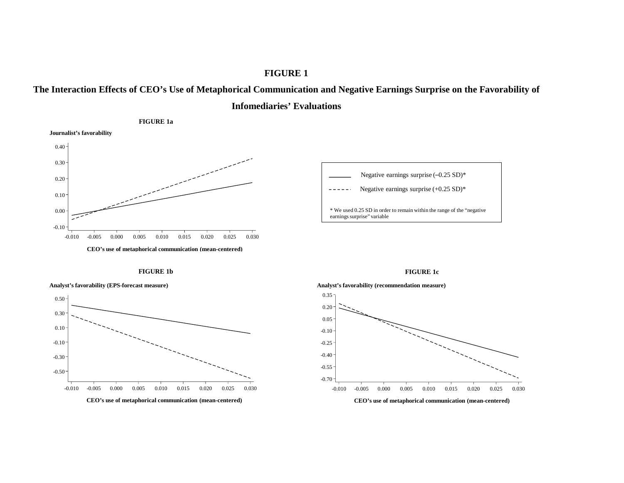# **FIGURE 1**





Negative earnings surprise (–0.25 SD)\* Negative earnings surprise (+0.25 SD)\*

\* We used 0.25 SD in order to remain within the range of the "negative earnings surprise" variable



**FIGURE 1b** 



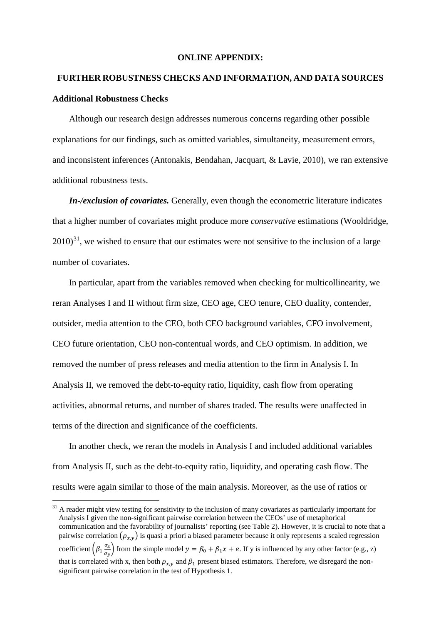#### **ONLINE APPENDIX:**

# **FURTHER ROBUSTNESS CHECKS AND INFORMATION, AND DATA SOURCES Additional Robustness Checks**

Although our research design addresses numerous concerns regarding other possible explanations for our findings, such as omitted variables, simultaneity, measurement errors, and inconsistent inferences (Antonakis, Bendahan, Jacquart, & Lavie, 2010), we ran extensive additional robustness tests.

*In-/exclusion of covariates.* Generally, even though the econometric literature indicates that a higher number of covariates might produce more *conservative* estimations (Wooldridge,  $2010$ <sup>31</sup>, we wished to ensure that our estimates were not sensitive to the inclusion of a large number of covariates.

In particular, apart from the variables removed when checking for multicollinearity, we reran Analyses I and II without firm size, CEO age, CEO tenure, CEO duality, contender, outsider, media attention to the CEO, both CEO background variables, CFO involvement, CEO future orientation, CEO non-contentual words, and CEO optimism. In addition, we removed the number of press releases and media attention to the firm in Analysis I. In Analysis II, we removed the debt-to-equity ratio, liquidity, cash flow from operating activities, abnormal returns, and number of shares traded. The results were unaffected in terms of the direction and significance of the coefficients.

In another check, we reran the models in Analysis I and included additional variables from Analysis II, such as the debt-to-equity ratio, liquidity, and operating cash flow. The results were again similar to those of the main analysis. Moreover, as the use of ratios or

<span id="page-52-0"></span><sup>&</sup>lt;sup>31</sup> A reader might view testing for sensitivity to the inclusion of many covariates as particularly important for Analysis I given the non-significant pairwise correlation between the CEOs' use of metaphorical communication and the favorability of journalists' reporting (see Table 2). However, it is crucial to note that a pairwise correlation  $(\rho_{x,y})$  is quasi a priori a biased parameter because it only represents a scaled regression coefficient  $\left(\beta_1 \frac{\sigma_x}{\sigma_y}\right)$  $\frac{\partial x}{\partial y}$  from the simple model  $y = \beta_0 + \beta_1 x + e$ . If y is influenced by any other factor (e.g., z) that is correlated with x, then both  $\rho_{x,y}$  and  $\beta_1$  present biased estimators. Therefore, we disregard the nonsignificant pairwise correlation in the test of Hypothesis 1.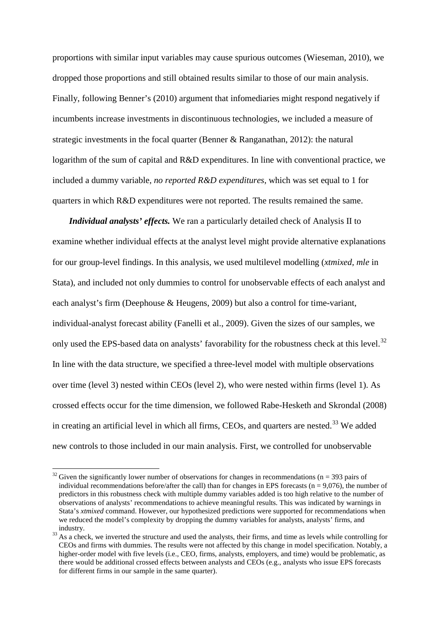proportions with similar input variables may cause spurious outcomes (Wieseman, 2010), we dropped those proportions and still obtained results similar to those of our main analysis. Finally, following Benner's (2010) argument that infomediaries might respond negatively if incumbents increase investments in discontinuous technologies, we included a measure of strategic investments in the focal quarter (Benner & Ranganathan, 2012): the natural logarithm of the sum of capital and R&D expenditures. In line with conventional practice, we included a dummy variable, *no reported R&D expenditures*, which was set equal to 1 for quarters in which R&D expenditures were not reported. The results remained the same.

*Individual analysts' effects.* We ran a particularly detailed check of Analysis II to examine whether individual effects at the analyst level might provide alternative explanations for our group-level findings. In this analysis, we used multilevel modelling (*xtmixed, mle* in Stata), and included not only dummies to control for unobservable effects of each analyst and each analyst's firm (Deephouse & Heugens, 2009) but also a control for time-variant, individual-analyst forecast ability (Fanelli et al., 2009). Given the sizes of our samples, we only used the EPS-based data on analysts' favorability for the robustness check at this level.<sup>[32](#page-53-0)</sup> In line with the data structure, we specified a three-level model with multiple observations over time (level 3) nested within CEOs (level 2), who were nested within firms (level 1). As crossed effects occur for the time dimension, we followed Rabe-Hesketh and Skrondal (2008) in creating an artificial level in which all firms, CEOs, and quarters are nested.<sup>[33](#page-53-1)</sup> We added new controls to those included in our main analysis. First, we controlled for unobservable

<span id="page-53-0"></span> $32$  Given the significantly lower number of observations for changes in recommendations (n = 393 pairs of individual recommendations before/after the call) than for changes in EPS forecasts  $(n = 9,076)$ , the number of predictors in this robustness check with multiple dummy variables added is too high relative to the number of observations of analysts' recommendations to achieve meaningful results. This was indicated by warnings in Stata's *xtmixed* command. However, our hypothesized predictions were supported for recommendations when we reduced the model's complexity by dropping the dummy variables for analysts, analysts' firms, and

<span id="page-53-1"></span>industry. <sup>33</sup> As a check, we inverted the structure and used the analysts, their firms, and time as levels while controlling for CEOs and firms with dummies. The results were not affected by this change in model specification. Notably, a higher-order model with five levels (i.e., CEO, firms, analysts, employers, and time) would be problematic, as there would be additional crossed effects between analysts and CEOs (e.g., analysts who issue EPS forecasts for different firms in our sample in the same quarter).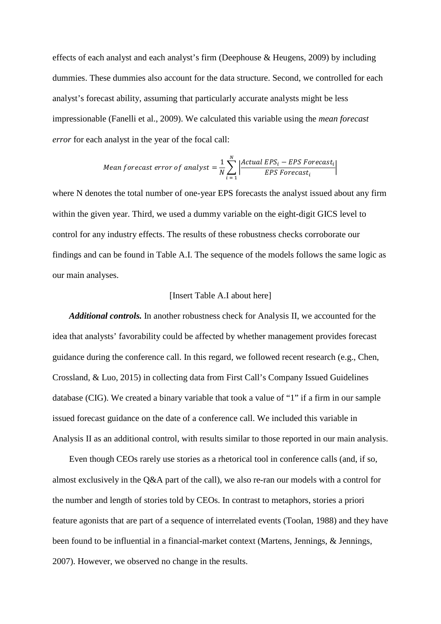effects of each analyst and each analyst's firm (Deephouse & Heugens, 2009) by including dummies. These dummies also account for the data structure. Second, we controlled for each analyst's forecast ability, assuming that particularly accurate analysts might be less impressionable (Fanelli et al., 2009). We calculated this variable using the *mean forecast error* for each analyst in the year of the focal call:

Mean forecast error of analyst 
$$
=
$$
  $\frac{1}{N} \sum_{i=1}^{N} \left| \frac{Actual EPS_i - EPS\,Forecast_i}{EPS\,Forecast_i} \right|$ 

where N denotes the total number of one-year EPS forecasts the analyst issued about any firm within the given year. Third, we used a dummy variable on the eight-digit GICS level to control for any industry effects. The results of these robustness checks corroborate our findings and can be found in Table A.I. The sequence of the models follows the same logic as our main analyses.

#### [Insert Table A.I about here]

*Additional controls.* In another robustness check for Analysis II, we accounted for the idea that analysts' favorability could be affected by whether management provides forecast guidance during the conference call. In this regard, we followed recent research (e.g., Chen, Crossland, & Luo, 2015) in collecting data from First Call's Company Issued Guidelines database (CIG). We created a binary variable that took a value of "1" if a firm in our sample issued forecast guidance on the date of a conference call. We included this variable in Analysis II as an additional control, with results similar to those reported in our main analysis.

Even though CEOs rarely use stories as a rhetorical tool in conference calls (and, if so, almost exclusively in the Q&A part of the call), we also re-ran our models with a control for the number and length of stories told by CEOs. In contrast to metaphors, stories a priori feature agonists that are part of a sequence of interrelated events (Toolan, 1988) and they have been found to be influential in a financial-market context (Martens, Jennings, & Jennings, 2007). However, we observed no change in the results.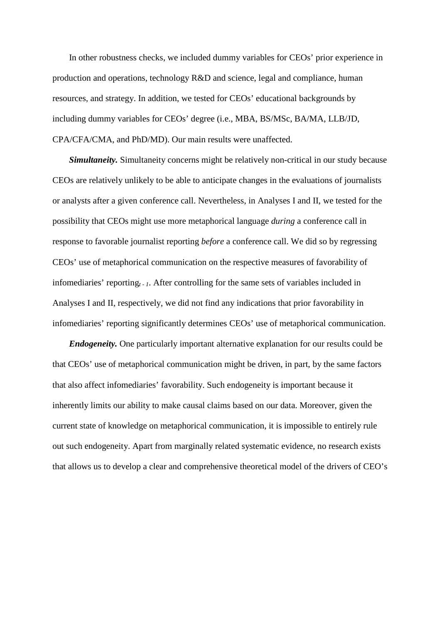In other robustness checks, we included dummy variables for CEOs' prior experience in production and operations, technology R&D and science, legal and compliance, human resources, and strategy. In addition, we tested for CEOs' educational backgrounds by including dummy variables for CEOs' degree (i.e., MBA, BS/MSc, BA/MA, LLB/JD, CPA/CFA/CMA, and PhD/MD). Our main results were unaffected.

*Simultaneity.* Simultaneity concerns might be relatively non-critical in our study because CEOs are relatively unlikely to be able to anticipate changes in the evaluations of journalists or analysts after a given conference call. Nevertheless, in Analyses I and II, we tested for the possibility that CEOs might use more metaphorical language *during* a conference call in response to favorable journalist reporting *before* a conference call. We did so by regressing CEOs' use of metaphorical communication on the respective measures of favorability of infomediaries' reporting<sub>t-1</sub>. After controlling for the same sets of variables included in Analyses I and II, respectively, we did not find any indications that prior favorability in infomediaries' reporting significantly determines CEOs' use of metaphorical communication.

*Endogeneity.* One particularly important alternative explanation for our results could be that CEOs' use of metaphorical communication might be driven, in part, by the same factors that also affect infomediaries' favorability. Such endogeneity is important because it inherently limits our ability to make causal claims based on our data. Moreover, given the current state of knowledge on metaphorical communication, it is impossible to entirely rule out such endogeneity. Apart from marginally related systematic evidence, no research exists that allows us to develop a clear and comprehensive theoretical model of the drivers of CEO's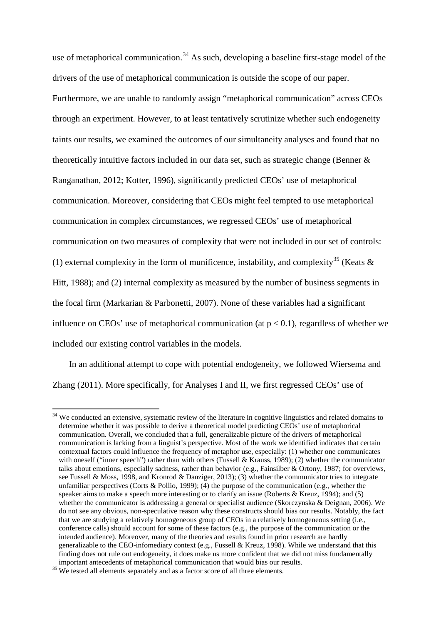use of metaphorical communication.<sup>[34](#page-56-0)</sup> As such, developing a baseline first-stage model of the drivers of the use of metaphorical communication is outside the scope of our paper. Furthermore, we are unable to randomly assign "metaphorical communication" across CEOs through an experiment. However, to at least tentatively scrutinize whether such endogeneity taints our results, we examined the outcomes of our simultaneity analyses and found that no theoretically intuitive factors included in our data set, such as strategic change (Benner & Ranganathan, 2012; Kotter, 1996), significantly predicted CEOs' use of metaphorical communication. Moreover, considering that CEOs might feel tempted to use metaphorical communication in complex circumstances, we regressed CEOs' use of metaphorical communication on two measures of complexity that were not included in our set of controls: (1) external complexity in the form of munificence, instability, and complexity<sup>[35](#page-56-1)</sup> (Keats  $\&$ Hitt, 1988); and (2) internal complexity as measured by the number of business segments in the focal firm (Markarian & Parbonetti, 2007). None of these variables had a significant influence on CEOs' use of metaphorical communication (at  $p < 0.1$ ), regardless of whether we included our existing control variables in the models.

In an additional attempt to cope with potential endogeneity, we followed Wiersema and Zhang (2011). More specifically, for Analyses I and II, we first regressed CEOs' use of

<span id="page-56-0"></span><sup>&</sup>lt;sup>34</sup> We conducted an extensive, systematic review of the literature in cognitive linguistics and related domains to determine whether it was possible to derive a theoretical model predicting CEOs' use of metaphorical communication. Overall, we concluded that a full, generalizable picture of the drivers of metaphorical communication is lacking from a linguist's perspective. Most of the work we identified indicates that certain contextual factors could influence the frequency of metaphor use, especially: (1) whether one communicates with oneself ("inner speech") rather than with others (Fussell & Krauss, 1989); (2) whether the communicator talks about emotions, especially sadness, rather than behavior (e.g., Fainsilber & Ortony, 1987; for overviews, see Fussell & Moss, 1998, and Kronrod & Danziger, 2013); (3) whether the communicator tries to integrate unfamiliar perspectives (Corts & Pollio, 1999); (4) the purpose of the communication (e.g., whether the speaker aims to make a speech more interesting or to clarify an issue (Roberts & Kreuz, 1994); and (5) whether the communicator is addressing a general or specialist audience (Skorczynska & Deignan, 2006). We do not see any obvious, non-speculative reason why these constructs should bias our results. Notably, the fact that we are studying a relatively homogeneous group of CEOs in a relatively homogeneous setting (i.e., conference calls) should account for some of these factors (e.g., the purpose of the communication or the intended audience). Moreover, many of the theories and results found in prior research are hardly generalizable to the CEO-infomediary context (e.g., Fussell & Kreuz, 1998). While we understand that this finding does not rule out endogeneity, it does make us more confident that we did not miss fundamentally

<span id="page-56-1"></span> $35$  We tested all elements separately and as a factor score of all three elements.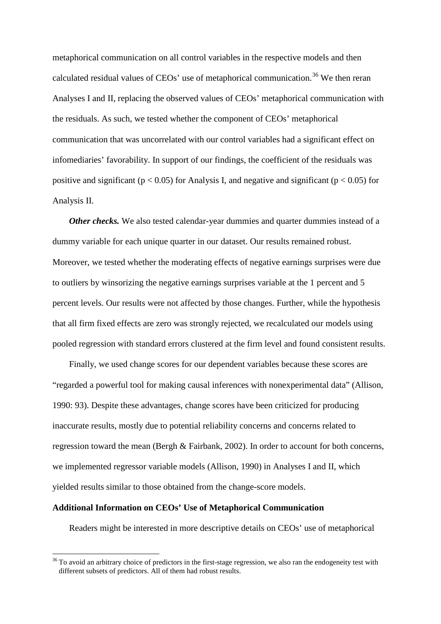metaphorical communication on all control variables in the respective models and then calculated residual values of CEOs' use of metaphorical communication.<sup>[36](#page-57-0)</sup> We then reran Analyses I and II, replacing the observed values of CEOs' metaphorical communication with the residuals. As such, we tested whether the component of CEOs' metaphorical communication that was uncorrelated with our control variables had a significant effect on infomediaries' favorability. In support of our findings, the coefficient of the residuals was positive and significant ( $p < 0.05$ ) for Analysis I, and negative and significant ( $p < 0.05$ ) for Analysis II.

*Other checks*. We also tested calendar-year dummies and quarter dummies instead of a dummy variable for each unique quarter in our dataset. Our results remained robust. Moreover, we tested whether the moderating effects of negative earnings surprises were due to outliers by winsorizing the negative earnings surprises variable at the 1 percent and 5 percent levels. Our results were not affected by those changes. Further, while the hypothesis that all firm fixed effects are zero was strongly rejected, we recalculated our models using pooled regression with standard errors clustered at the firm level and found consistent results.

Finally, we used change scores for our dependent variables because these scores are "regarded a powerful tool for making causal inferences with nonexperimental data" (Allison, 1990: 93). Despite these advantages, change scores have been criticized for producing inaccurate results, mostly due to potential reliability concerns and concerns related to regression toward the mean (Bergh & Fairbank, 2002). In order to account for both concerns, we implemented regressor variable models (Allison, 1990) in Analyses I and II, which yielded results similar to those obtained from the change-score models.

# **Additional Information on CEOs' Use of Metaphorical Communication**

Readers might be interested in more descriptive details on CEOs' use of metaphorical

<span id="page-57-0"></span><sup>&</sup>lt;sup>36</sup> To avoid an arbitrary choice of predictors in the first-stage regression, we also ran the endogeneity test with different subsets of predictors. All of them had robust results.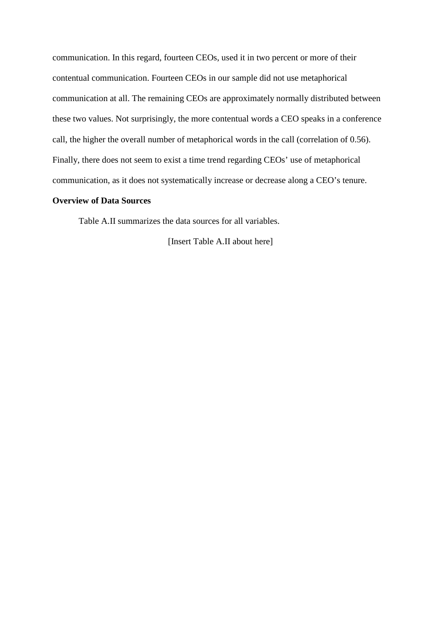communication. In this regard, fourteen CEOs, used it in two percent or more of their contentual communication. Fourteen CEOs in our sample did not use metaphorical communication at all. The remaining CEOs are approximately normally distributed between these two values. Not surprisingly, the more contentual words a CEO speaks in a conference call, the higher the overall number of metaphorical words in the call (correlation of 0.56). Finally, there does not seem to exist a time trend regarding CEOs' use of metaphorical communication, as it does not systematically increase or decrease along a CEO's tenure.

# **Overview of Data Sources**

Table A.II summarizes the data sources for all variables.

[Insert Table A.II about here]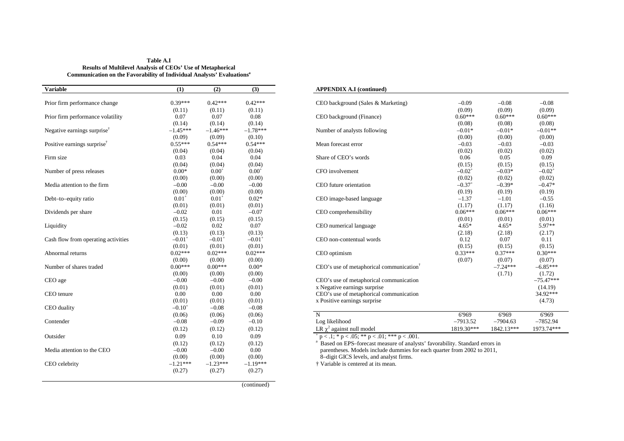| Table A.I                                                                          |
|------------------------------------------------------------------------------------|
| <b>Results of Multilevel Analysis of CEOs' Use of Metaphorical</b>                 |
| Communication on the Favorability of Individual Analysts' Evaluations <sup>a</sup> |

| <b>Variable</b>                         | (1)                  | (2)                  | $\overline{3}$       | <b>APPENDIX A.I</b> (continued)                                                         |                      |             |
|-----------------------------------------|----------------------|----------------------|----------------------|-----------------------------------------------------------------------------------------|----------------------|-------------|
| Prior firm performance change           | $0.39***$            | $0.42***$            | $0.42***$            | CEO background (Sales & Marketing)                                                      | $-0.09$              |             |
|                                         | (0.11)               | (0.11)               | (0.11)               |                                                                                         | (0.09)               |             |
| Prior firm performance volatility       | 0.07                 | 0.07                 | 0.08                 | CEO background (Finance)                                                                | $0.60***$            | 0           |
|                                         | (0.14)               | (0.14)               | (0.14)               |                                                                                         | (0.08)               |             |
| Negative earnings surprise <sup>†</sup> | $-1.45***$           | $-1.46***$           | $-1.78***$           | Number of analysts following                                                            | $-0.01*$             |             |
|                                         | (0.09)               | (0.09)               | (0.10)               |                                                                                         | (0.00)               |             |
| Positive earnings surprise <sup>†</sup> | $0.55***$            | $0.54***$            | $0.54***$            | Mean forecast error                                                                     | $-0.03$              |             |
|                                         | (0.04)               | (0.04)               | (0.04)               |                                                                                         | (0.02)               |             |
| Firm size                               | 0.03                 | 0.04                 | 0.04                 | Share of CEO's words                                                                    | 0.06                 |             |
|                                         | (0.04)               | (0.04)               | (0.04)               |                                                                                         | (0.15)               |             |
| Number of press releases                | $0.00*$              | $0.00^{+}$           | $0.00^{+}$           | CFO involvement                                                                         | $-0.02$ <sup>+</sup> |             |
|                                         | (0.00)               | (0.00)               | (0.00)               |                                                                                         | (0.02)               |             |
| Media attention to the firm             | $-0.00$              | $-0.00$              | $-0.00$              | CEO future orientation                                                                  | $-0.37$ <sup>+</sup> |             |
|                                         | (0.00)               | (0.00)               | (0.00)               |                                                                                         | (0.19)               |             |
| Debt-to-equity ratio                    | $0.01^{+}$           | $0.01^{+}$           | $0.02*$              | CEO image-based language                                                                | $-1.37$              |             |
|                                         | (0.01)               | (0.01)               | (0.01)               |                                                                                         | (1.17)               |             |
| Dividends per share                     | $-0.02$              | 0.01                 | $-0.07$              | CEO comprehensibility                                                                   | $0.06***$            | 0           |
|                                         | (0.15)               | (0.15)               | (0.15)               |                                                                                         | (0.01)               |             |
| Liquidity                               | $-0.02$              | 0.02                 | 0.07                 | CEO numerical language                                                                  | $4.65*$              |             |
|                                         | (0.13)               | (0.13)               | (0.13)               |                                                                                         | (2.18)               |             |
| Cash flow from operating activities     | $-0.01$ <sup>+</sup> | $-0.01$ <sup>+</sup> | $-0.01$ <sup>+</sup> | CEO non-contentual words                                                                | 0.12                 |             |
|                                         | (0.01)               | (0.01)               | (0.01)               |                                                                                         | (0.15)               |             |
| Abnormal returns                        | $0.02***$            | $0.02***$            | $0.02***$            | CEO optimism                                                                            | $0.33***$            | $\mathbf 0$ |
|                                         | (0.00)               | (0.00)               | (0.00)               |                                                                                         | (0.07)               |             |
| Number of shares traded                 | $0.00***$            | $0.00***$            | $0.00*$              | $CEO's$ use of metaphorical communication <sup>†</sup>                                  |                      |             |
|                                         | (0.00)               | (0.00)               | (0.00)               |                                                                                         |                      |             |
| CEO age                                 | $-0.00$              | $-0.00$              | $-0.00$              | CEO's use of metaphorical communication                                                 |                      |             |
|                                         | (0.01)               | (0.01)               | (0.01)               | x Negative earnings surprise                                                            |                      |             |
| CEO tenure                              | 0.00                 | $0.00\,$             | 0.00                 | CEO's use of metaphorical communication                                                 |                      |             |
|                                         | (0.01)               | (0.01)               | (0.01)               | x Positive earnings surprise                                                            |                      |             |
| CEO duality                             | $-0.10^{+}$          | $-0.08$              | $-0.08$              |                                                                                         |                      |             |
|                                         | (0.06)               | (0.06)               | (0.06)               | $\overline{N}$                                                                          | 6'969                |             |
| Contender                               | $-0.08$              | $-0.09$              | $-0.10$              | Log likelihood                                                                          | $-7913.52$           | $\equiv$    |
|                                         | (0.12)               | (0.12)               | (0.12)               | LR $\gamma^2$ against null model                                                        | 1819.30***           | 184         |
| Outsider                                | 0.09                 | 0.10                 | 0.09                 | $p < 0.1$ ; * p < .05; ** p < .01; *** p < .001.                                        |                      |             |
|                                         | (0.12)               | (0.12)               | (0.12)               | <sup>a</sup> Based on EPS-forecast measure of analysts' favorability. Standard errors i |                      |             |
| Media attention to the CEO              | $-0.00$              | $-0.00$              | 0.00                 | parentheses. Models include dummies for each quarter from 2002 to 2011,                 |                      |             |
|                                         | (0.00)               | (0.00)               | (0.00)               | 8-digit GICS levels, and analyst firms.                                                 |                      |             |
| CEO celebrity                           | $-1.21***$           | $-1.23***$           | $-1.19***$           | † Variable is centered at its mean.                                                     |                      |             |
|                                         | (0.27)               | (0.27)               | (0.27)               |                                                                                         |                      |             |
|                                         |                      |                      |                      |                                                                                         |                      |             |
|                                         |                      |                      |                      |                                                                                         |                      |             |

#### $\bf APPENDIX A.I$  (continued)

| Prior firm performance change           | $0.39***$     | $0.42***$            | $0.42***$  | CEO background (Sales & Marketing)                   | $-0.09$              | $-0.08$    | $-0.08$     |
|-----------------------------------------|---------------|----------------------|------------|------------------------------------------------------|----------------------|------------|-------------|
|                                         | (0.11)        | (0.11)               | (0.11)     |                                                      | (0.09)               | (0.09)     | (0.09)      |
| Prior firm performance volatility       | 0.07          | 0.07                 | 0.08       | CEO background (Finance)                             | $0.60***$            | $0.60***$  | $0.60***$   |
|                                         | (0.14)        | (0.14)               | (0.14)     |                                                      | (0.08)               | (0.08)     | (0.08)      |
| Negative earnings surprise <sup>†</sup> | $-1.45***$    | $-1.46***$           | $-1.78***$ | Number of analysts following                         | $-0.01*$             | $-0.01*$   | $-0.01**$   |
|                                         | (0.09)        | (0.09)               | (0.10)     |                                                      | (0.00)               | (0.00)     | (0.00)      |
| Positive earnings surprise <sup>T</sup> | $0.55***$     | $0.54***$            | $0.54***$  | Mean forecast error                                  | $-0.03$              | $-0.03$    | $-0.03$     |
|                                         | (0.04)        | (0.04)               | (0.04)     |                                                      | (0.02)               | (0.02)     | (0.02)      |
| Firm size                               | 0.03          | 0.04                 | 0.04       | Share of CEO's words                                 | 0.06                 | 0.05       | 0.09        |
|                                         | (0.04)        | (0.04)               | (0.04)     |                                                      | (0.15)               | (0.15)     | (0.15)      |
| Number of press releases                | $0.00*$       | $0.00^{+}$           | $0.00^{+}$ | CFO involvement                                      | $-0.02$ <sup>+</sup> | $-0.03*$   | $-0.02^+$   |
|                                         | (0.00)        | (0.00)               | (0.00)     |                                                      | (0.02)               | (0.02)     | (0.02)      |
| Media attention to the firm             | $-0.00$       | $-0.00$              | $-0.00$    | CEO future orientation                               | $-0.37$ <sup>+</sup> | $-0.39*$   | $-0.47*$    |
|                                         | (0.00)        | (0.00)               | (0.00)     |                                                      | (0.19)               | (0.19)     | (0.19)      |
| Debt-to-equity ratio                    | $0.01^{+}$    | $0.01^{+}$           | $0.02*$    | CEO image-based language                             | $-1.37$              | $-1.01$    | $-0.55$     |
|                                         | (0.01)        | (0.01)               | (0.01)     |                                                      | (1.17)               | (1.17)     | (1.16)      |
| Dividends per share                     | $-0.02$       | 0.01                 | $-0.07$    | CEO comprehensibility                                | $0.06***$            | $0.06***$  | $0.06***$   |
|                                         | (0.15)        | (0.15)               | (0.15)     |                                                      | (0.01)               | (0.01)     | (0.01)      |
| Liquidity                               | $-0.02$       | 0.02                 | 0.07       | CEO numerical language                               | $4.65*$              | $4.65*$    | $5.97**$    |
|                                         | (0.13)        | (0.13)               | (0.13)     |                                                      | (2.18)               | (2.18)     | (2.17)      |
| Cash flow from operating activities     | $-0.01$       | $-0.01$ <sup>+</sup> | $-0.01^+$  | CEO non-contentual words                             | 0.12                 | 0.07       | 0.11        |
|                                         | (0.01)        | (0.01)               | (0.01)     |                                                      | (0.15)               | (0.15)     | (0.15)      |
| Abnormal returns                        | $0.02***$     | $0.02***$            | $0.02***$  | CEO optimism                                         | $0.33***$            | $0.37***$  | $0.30***$   |
|                                         | (0.00)        | (0.00)               | (0.00)     |                                                      | (0.07)               | (0.07)     | (0.07)      |
| Number of shares traded                 | $0.00***$     | $0.00***$            | $0.00*$    | CEO's use of metaphorical communication <sup>†</sup> |                      | $-7.24***$ | $-6.85***$  |
|                                         | (0.00)        | (0.00)               | (0.00)     |                                                      |                      | (1.71)     | (1.72)      |
| CEO age                                 | $-0.00$       | $-0.00$              | $-0.00$    | CEO's use of metaphorical communication              |                      |            | $-75.47***$ |
|                                         | (0.01)        | (0.01)               | (0.01)     | x Negative earnings surprise                         |                      |            | (14.19)     |
| CEO tenure                              | 0.00          | 0.00                 | 0.00       | CEO's use of metaphorical communication              |                      |            | 34.92***    |
|                                         | (0.01)        |                      | (0.01)     | x Positive earnings surprise                         |                      |            | (4.73)      |
|                                         |               | (0.01)               | $-0.08$    |                                                      |                      |            |             |
| <b>CEO</b> duality                      | $-0.10^\circ$ | $-0.08$              |            |                                                      |                      |            |             |
|                                         | (0.06)        | (0.06)               | (0.06)     | N                                                    | 6'969                | 6'969      | 6'969       |
| Contender                               | $-0.08$       | $-0.09$              | $-0.10$    | Log likelihood                                       | $-7913.52$           | $-7904.63$ | $-7852.94$  |
|                                         | (0.12)        | (0.12)               | (0.12)     | LR $\chi^2$ against null model                       | 1819.30***           | 1842.13*** | 1973.74***  |

(continued)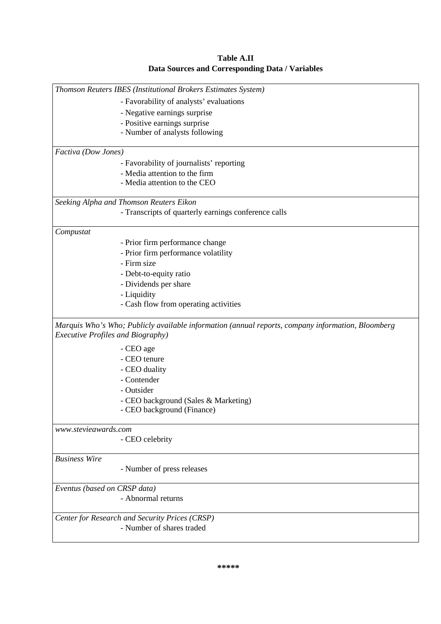| Table A.II                                      |
|-------------------------------------------------|
| Data Sources and Corresponding Data / Variables |

| Thomson Reuters IBES (Institutional Brokers Estimates System) |                                                                                                   |  |
|---------------------------------------------------------------|---------------------------------------------------------------------------------------------------|--|
|                                                               | - Favorability of analysts' evaluations                                                           |  |
|                                                               | - Negative earnings surprise                                                                      |  |
|                                                               | - Positive earnings surprise                                                                      |  |
|                                                               | - Number of analysts following                                                                    |  |
| Factiva (Dow Jones)                                           |                                                                                                   |  |
|                                                               | - Favorability of journalists' reporting                                                          |  |
|                                                               | - Media attention to the firm                                                                     |  |
|                                                               | - Media attention to the CEO                                                                      |  |
|                                                               |                                                                                                   |  |
|                                                               | Seeking Alpha and Thomson Reuters Eikon                                                           |  |
|                                                               | - Transcripts of quarterly earnings conference calls                                              |  |
| Compustat                                                     |                                                                                                   |  |
|                                                               | - Prior firm performance change                                                                   |  |
|                                                               | - Prior firm performance volatility                                                               |  |
|                                                               | - Firm size                                                                                       |  |
|                                                               | - Debt-to-equity ratio                                                                            |  |
|                                                               | - Dividends per share                                                                             |  |
|                                                               | - Liquidity                                                                                       |  |
|                                                               | - Cash flow from operating activities                                                             |  |
| <b>Executive Profiles and Biography)</b>                      | Marquis Who's Who; Publicly available information (annual reports, company information, Bloomberg |  |
|                                                               | - CEO age                                                                                         |  |
|                                                               | - CEO tenure                                                                                      |  |
|                                                               | - CEO duality                                                                                     |  |
|                                                               | - Contender                                                                                       |  |
|                                                               | - Outsider                                                                                        |  |
|                                                               | - CEO background (Sales & Marketing)                                                              |  |
|                                                               | - CEO background (Finance)                                                                        |  |
| www.stevieawards.com                                          |                                                                                                   |  |
|                                                               | - CEO celebrity                                                                                   |  |
| <b>Business Wire</b>                                          |                                                                                                   |  |
|                                                               | - Number of press releases                                                                        |  |
| Eventus (based on CRSP data)                                  |                                                                                                   |  |
|                                                               | - Abnormal returns                                                                                |  |
|                                                               | Center for Research and Security Prices (CRSP)                                                    |  |
|                                                               | - Number of shares traded                                                                         |  |
|                                                               |                                                                                                   |  |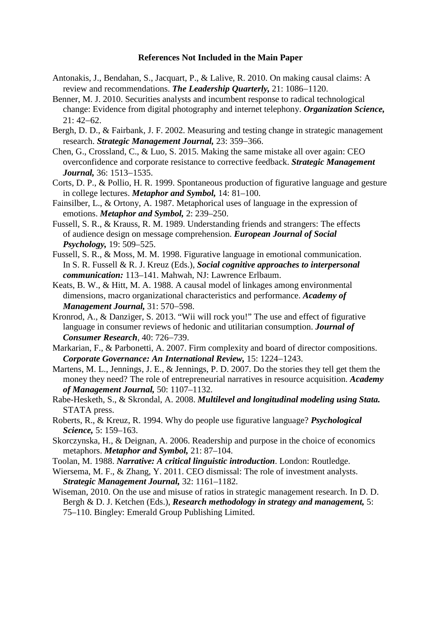### **References Not Included in the Main Paper**

- Antonakis, J., Bendahan, S., Jacquart, P., & Lalive, R. 2010. On making causal claims: A review and recommendations. *The Leadership Quarterly,* 21: 1086−1120.
- Benner, M. J. 2010. Securities analysts and incumbent response to radical technological change: Evidence from digital photography and internet telephony. *Organization Science,* 21: 42−62.
- Bergh, D. D., & Fairbank, J. F. 2002. Measuring and testing change in strategic management research. *Strategic Management Journal,* 23: 359−366.
- Chen, G., Crossland, C., & Luo, S. 2015. Making the same mistake all over again: CEO overconfidence and corporate resistance to corrective feedback. *Strategic Management Journal,* 36: 1513−1535.
- Corts, D. P., & Pollio, H. R. 1999. Spontaneous production of figurative language and gesture in college lectures. *Metaphor and Symbol,* 14: 81–100.
- Fainsilber, L., & Ortony, A. 1987. Metaphorical uses of language in the expression of emotions. *Metaphor and Symbol,* 2: 239–250.
- Fussell, S. R., & Krauss, R. M. 1989. Understanding friends and strangers: The effects of audience design on message comprehension. *European Journal of Social Psychology,* 19: 509–525.
- Fussell, S. R., & Moss, M. M. 1998. Figurative language in emotional communication. In S. R. Fussell & R. J. Kreuz (Eds.), *Social cognitive approaches to interpersonal communication:* 113–141. Mahwah, NJ: Lawrence Erlbaum.
- Keats, B. W., & Hitt, M. A. 1988. A causal model of linkages among environmental dimensions, macro organizational characteristics and performance. *Academy of Management Journal,* 31: 570−598.
- Kronrod, A., & Danziger, S. 2013. "Wii will rock you!" The use and effect of figurative language in consumer reviews of hedonic and utilitarian consumption. *Journal of Consumer Research*, 40: 726−739.
- Markarian, F., & Parbonetti, A. 2007. Firm complexity and board of director compositions. *Corporate Governance: An International Review,* 15: 1224−1243.
- Martens, M. L., Jennings, J. E., & Jennings, P. D. 2007. Do the stories they tell get them the money they need? The role of entrepreneurial narratives in resource acquisition. *Academy of Management Journal,* 50: 1107–1132.
- Rabe-Hesketh, S., & Skrondal, A. 2008. *Multilevel and longitudinal modeling using Stata.* STATA press.
- Roberts, R., & Kreuz, R. 1994. Why do people use figurative language? *Psychological Science,* 5: 159–163.
- Skorczynska, H., & Deignan, A. 2006. Readership and purpose in the choice of economics metaphors. *Metaphor and Symbol,* 21: 87–104.
- Toolan, M. 1988. *Narrative: A critical linguistic introduction*. London: Routledge.
- Wiersema, M. F., & Zhang, Y. 2011. CEO dismissal: The role of investment analysts. *Strategic Management Journal,* 32: 1161–1182.
- Wiseman, 2010. On the use and misuse of ratios in strategic management research. In D. D. Bergh & D. J. Ketchen (Eds.), *Research methodology in strategy and management,* 5: 75–110. Bingley: Emerald Group Publishing Limited.